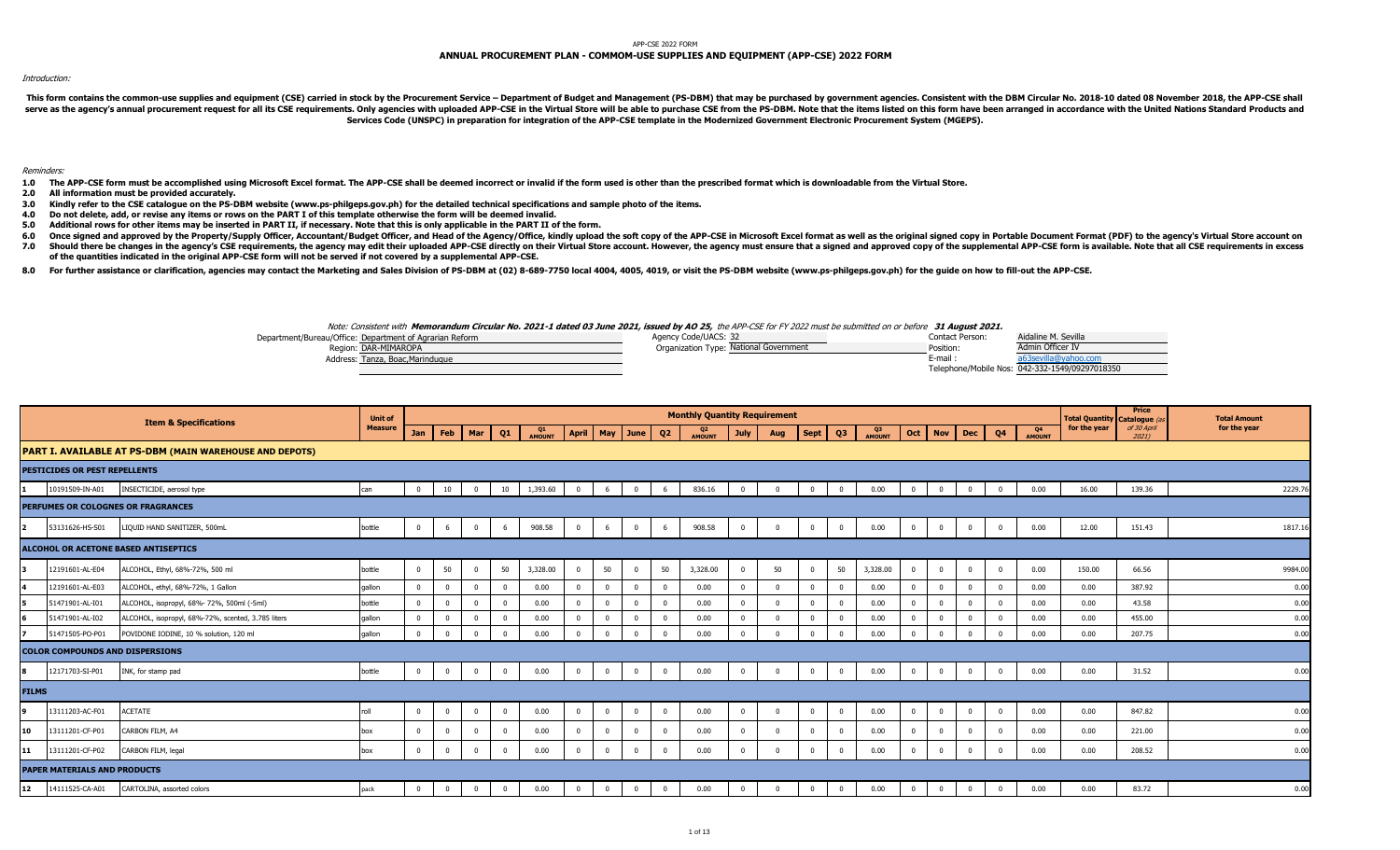#### APP-CSE 2022 FORM

# **ANNUAL PROCUREMENT PLAN - COMMOM-USE SUPPLIES AND EQUIPMENT (APP-CSE) 2022 FORM**

#### Introduction:

This form contains the common-use supplies and equipment (CSE) carried in stock by the Procurement Service - Department of Budget and Management (PS-DBM) that may be purchased by government agencies. Consistent with the DB serve as the agency's annual procurement request for all its CSE requirements. Only agencies with uploaded APP-CSE in the Virtual Store will be able to purchase CSE from the PS-DBM. Note that the items listed on this form **Services Code (UNSPC) in preparation for integration of the APP-CSE template in the Modernized Government Electronic Procurement System (MGEPS).** 

### Reminders:

- 1.0 The APP-CSE form must be accomplished using Microsoft Excel format. The APP-CSE shall be deemed incorrect or invalid if the form used is other than the prescribed format which is downloadable from the Virtual Store.
- **2.0 All information must be provided accurately.**
- **3.0 Kindly refer to the CSE catalogue on the PS-DBM website (www.ps-philgeps.gov.ph) for the detailed technical specifications and sample photo of the items.**
- **4.0 Do not delete, add, or revise any items or rows on the PART I of this template otherwise the form will be deemed invalid.**
- **5.0 Additional rows for other items may be inserted in PART II, if necessary. Note that this is only applicable in the PART II of the form.**
- 6.0 Once signed and approved by the Property/Supply Officer, Accountant/Budget Officer, and Head of the Agency/Office, kindly upload the soft copy of the APP-CSE in Microsoft Excel format as well as the original signed cop
- **7.0** Should there be changes in the agency's CSE requirements, the agency may edit their uploaded APP-CSE directly on their Virtual Store account. However, the agency must ensure that a signed and approved copy of the supplemen **of the quantities indicated in the original APP-CSE form will not be served if not covered by a supplemental APP-CSE.**
- 8.0 For further assistance or clarification, agencies may contact the Marketing and Sales Division of PS-DBM at (02) 8-689-7750 local 4004, 4005, 4019, or visit the PS-DBM website (www.ps-philgeps.gov.ph) for the guide on

## Note: Consistent with **Memorandum Circular No. 2021-1 dated 03 June 2021, issued by AO 25,** the APP-CSE for FY 2022 must be submitted on or before **31 August 2021.**

| Department/Bureau/Office: Department of Agrarian Reform  | Agency Code/UACS: 32                   | Contact Person: | Aidaline M. Sevilla                            |
|----------------------------------------------------------|----------------------------------------|-----------------|------------------------------------------------|
| Region: DAR-MIMAROPA                                     | Organization Type: National Government | <b>Position</b> | Admin Officer IV                               |
| <sup>*</sup> <sup>+</sup> dress: Tanza, Boac, Marindugue |                                        | E-mail          |                                                |
|                                                          |                                        |                 | Telephone/Mobile Nos: 042-332-1549/09297018350 |

| <b>Item &amp; Specifications</b>                                            | <b>Unit of</b> |                |                         |                |                |              |                         |                |                |                | <b>Monthly Quantity Requirement</b> |                |                |                |                |              |                |                |              |                |                     | <b>Total Quantity Catalogue (a</b> | Price                   | <b>Total Amount</b> |
|-----------------------------------------------------------------------------|----------------|----------------|-------------------------|----------------|----------------|--------------|-------------------------|----------------|----------------|----------------|-------------------------------------|----------------|----------------|----------------|----------------|--------------|----------------|----------------|--------------|----------------|---------------------|------------------------------------|-------------------------|---------------------|
|                                                                             | <b>Measure</b> | Jan            | Feb                     | Mar            | Q1             | Q1<br>AMOUNT |                         | April May June |                | Q2             | Q2<br>AMOUNT                        | July           | Aug            | Sept           | Q3             | Q3<br>AMOUNT |                | Oct Nov        | Dec          | Q <sub>4</sub> | Q4<br><b>AMOUNT</b> | for the year                       | of 30 April<br>$2021$ ) | for the year        |
| PART I. AVAILABLE AT PS-DBM (MAIN WAREHOUSE AND DEPOTS)                     |                |                |                         |                |                |              |                         |                |                |                |                                     |                |                |                |                |              |                |                |              |                |                     |                                    |                         |                     |
| <b>PESTICIDES OR PEST REPELLENTS</b>                                        |                |                |                         |                |                |              |                         |                |                |                |                                     |                |                |                |                |              |                |                |              |                |                     |                                    |                         |                     |
| 10191509-IN-A01<br>INSECTICIDE, aerosol type                                | can            | $\overline{0}$ | 10                      | $\overline{0}$ | 10             | 1,393.60     | $\overline{\mathbf{0}}$ | -6             | $\overline{0}$ | 6              | 836.16                              | $\overline{0}$ | $\mathbf{0}$   | $\mathbf{0}$   | $^{\circ}$     | 0.00         | $\overline{0}$ | $\overline{0}$ | $\mathbf{0}$ | $\overline{0}$ | 0.00                | 16.00                              | 139.36                  | 2229.76             |
| PERFUMES OR COLOGNES OR FRAGRANCES                                          |                |                |                         |                |                |              |                         |                |                |                |                                     |                |                |                |                |              |                |                |              |                |                     |                                    |                         |                     |
| LIQUID HAND SANITIZER, 500mL<br>12.<br>53131626-HS-S01                      | bottle         | $\overline{0}$ | 6                       | $\overline{0}$ | 6              | 908.58       | $\overline{0}$          | 6              | $\overline{0}$ | 6              | 908.58                              | $\overline{0}$ | $\overline{0}$ | $\overline{0}$ | $\overline{0}$ | 0.00         | $\mathbf 0$    | $\overline{0}$ | $\bf{0}$     | $\overline{0}$ | 0.00                | 12.00                              | 151.43                  | 1817.16             |
| ALCOHOL OR ACETONE BASED ANTISEPTICS                                        |                |                |                         |                |                |              |                         |                |                |                |                                     |                |                |                |                |              |                |                |              |                |                     |                                    |                         |                     |
| ALCOHOL, Ethyl, 68%-72%, 500 ml<br>12191601-AL-E04                          | bottle         | $\Omega$       | 50                      | $\mathbf 0$    | 50             | 3,328.00     |                         | 50             | $\Omega$       | 50             | 3,328.00                            | $\overline{0}$ | 50             | $\mathbf 0$    | 50             | 3,328.00     |                | $\Omega$       | $\mathbf{0}$ | $\bf{0}$       | 0.00                | 150.00                             | 66.56                   | 9984.0              |
| 12191601-AL-E03<br>ALCOHOL, ethyl, 68%-72%, 1 Gallon                        | gallon         | $\Omega$       |                         | $\mathbf{0}$   | $\mathbf{0}$   | 0.00         | $\mathbf{0}$            |                | $\Omega$       | $\overline{0}$ | 0.00                                | 0              | $\Omega$       | $\mathbf 0$    |                | 0.00         |                | $\Omega$       | $\mathbf{0}$ | $\overline{0}$ | 0.00                | 0.00                               | 387.92                  | 0.00                |
| ALCOHOL, isopropyl, 68%- 72%, 500ml (-5ml)<br>51471901-AL-I01               | bottle         | $\overline{0}$ | $\Omega$                | $\mathbf 0$    | $\Omega$       | 0.00         | $\Omega$                |                | $\Omega$       | $\overline{0}$ | 0.00                                | $\mathbf 0$    | $\Omega$       | $\mathbf 0$    |                | 0.00         | $\Omega$       | $\Omega$       | $\mathbf{0}$ | $\mathbf{0}$   | 0.00                | 0.00                               | 43.58                   | 0.00                |
| l6<br>51471901-AL-I02<br>ALCOHOL, isopropyl, 68%-72%, scented, 3.785 liters | gallon         | $\Omega$       | $\Omega$                | $\overline{0}$ | $\Omega$       | 0.00         |                         | $\Omega$       | $\Omega$       | $\Omega$       | 0.00                                | $\mathbf 0$    | $\Omega$       | $\mathbf 0$    | $\Omega$       | 0.00         |                | $\Omega$       | $\mathbf{0}$ | $\mathbf{0}$   | 0.00                | 0.00                               | 455.00                  | 0.00                |
| POVIDONE IODINE, 10 % solution, 120 ml<br>51471505-PO-P01                   | qallon         | $\Omega$       | $\Omega$                | $\mathbf 0$    | $\Omega$       | 0.00         | $\Omega$                | $\Omega$       | $\mathbf 0$    | $\overline{0}$ | 0.00                                | $\mathbf 0$    | $\Omega$       | $\Omega$       | $\Omega$       | 0.00         | $\Omega$       | $\Omega$       | $\mathbf 0$  | $\mathbf 0$    | 0.00                | 0.00                               | 207.75                  | 0.00                |
| <b>COLOR COMPOUNDS AND DISPERSIONS</b>                                      |                |                |                         |                |                |              |                         |                |                |                |                                     |                |                |                |                |              |                |                |              |                |                     |                                    |                         |                     |
| l œ<br>12171703-SI-P01<br>INK, for stamp pad                                | bottle         | $\overline{0}$ | $\overline{0}$          | $\overline{0}$ | $\mathbf 0$    | 0.00         | $\overline{0}$          | $\mathbf{0}$   | $\mathbf 0$    | $\overline{0}$ | 0.00                                | $\overline{0}$ | $\Omega$       | $\mathbf 0$    | $\overline{0}$ | 0.00         | $\mathbf 0$    | $\overline{0}$ | $\mathbf{0}$ | $\overline{0}$ | 0.00                | 0.00                               | 31.52                   | 0.00                |
| <b>FILMS</b>                                                                |                |                |                         |                |                |              |                         |                |                |                |                                     |                |                |                |                |              |                |                |              |                |                     |                                    |                         |                     |
| <b>ACETATE</b><br>13111203-AC-F01                                           | roll           | $\overline{0}$ | $\overline{0}$          | $\mathbf 0$    | $\mathbf 0$    | 0.00         | $\overline{0}$          | $\Omega$       | $\overline{0}$ | $\overline{0}$ | 0.00                                | $\overline{0}$ | $\Omega$       | $\mathbf 0$    | $\overline{0}$ | 0.00         | $\Omega$       | $\overline{0}$ | $\mathbf 0$  | $\overline{0}$ | 0.00                | 0.00                               | 847.82                  | 0.00                |
| 10<br>13111201-CF-P01<br>CARBON FILM, A4                                    | box            | $\overline{0}$ | $\overline{0}$          | $\mathbf{0}$   | $\overline{0}$ | 0.00         | $\Omega$                | $\Omega$       | $\mathbf 0$    | $\overline{0}$ | 0.00                                | $\mathbf 0$    | $\Omega$       | $\mathbf{0}$   | $\Omega$       | 0.00         | $\Omega$       | $\overline{0}$ | $\mathbf 0$  | $\mathbf{0}$   | 0.00                | 0.00                               | 221.00                  | 0.00                |
| 13111201-CF-P02<br>CARBON FILM, legal<br>11                                 | box            | $\overline{0}$ | $\mathbf{0}$            | $\overline{0}$ | $\mathbf 0$    | 0.00         | $\Omega$                | $\Omega$       | $\mathbf 0$    | $\mathbf{0}$   | 0.00                                | $\mathbf{0}$   | $\Omega$       | $\mathbf 0$    | $\overline{0}$ | 0.00         | $\mathbf 0$    | $\overline{0}$ | $\mathbf{0}$ | $\overline{0}$ | 0.00                | 0.00                               | 208.52                  | 0.00                |
| <b>PAPER MATERIALS AND PRODUCTS</b>                                         |                |                |                         |                |                |              |                         |                |                |                |                                     |                |                |                |                |              |                |                |              |                |                     |                                    |                         |                     |
| 12<br>CARTOLINA, assorted colors<br>14111525-CA-A01                         | pack           | $\overline{0}$ | $\overline{\mathbf{0}}$ | $\overline{0}$ | $\mathbf 0$    | 0.00         | $\Omega$                |                | $\overline{0}$ | $\overline{0}$ | 0.00                                | $\Omega$       |                | $\Omega$       |                | 0.00         | $\Omega$       | $\Omega$       | $\mathbf{0}$ | $\mathbf 0$    | 0.00                | 0.00                               | 83.72                   | 0.00                |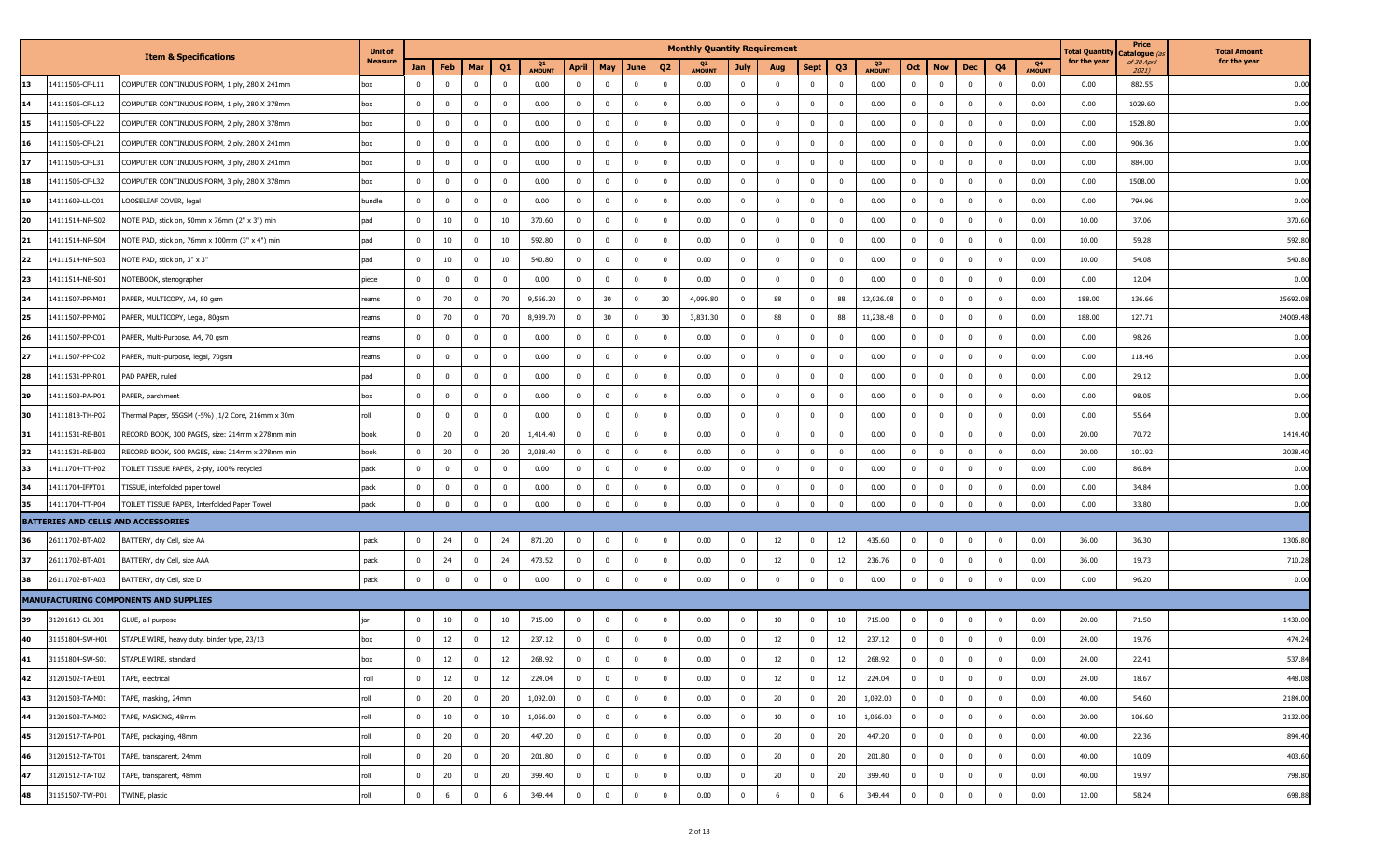| Catalogue <i>(a</i><br><b>Item &amp; Specifications</b><br><b>Measure</b><br>for the year<br>of 30 April<br>Q4<br>Q1<br>Feb<br>Q <sub>3</sub><br>Jan<br>Mar<br>Q1<br><b>April</b><br>May<br>June<br>Q <sub>2</sub><br>Sept<br>Oct<br><b>Nov</b><br>Dec<br>Q4<br>July<br>Aug<br><b>AMOUNT</b><br><b>AMOUNT</b><br>2021)<br><b>AMOUNT</b><br><b>AMOUNT</b><br>14111506-CF-L11<br>0.00<br>0.00<br>$\bf{0}$<br>0.00<br>0.00<br>882.55<br>13<br>COMPUTER CONTINUOUS FORM, 1 ply, 280 X 241mm<br>$\overline{0}$<br>$\overline{0}$<br>$\overline{0}$<br>$\mathbf{0}$<br>0.00<br>$\mathbf 0$<br>$\overline{\mathbf{0}}$<br>$^{\circ}$<br>$^{\circ}$<br>$\mathbf 0$<br>$\overline{\mathbf{0}}$<br>$\mathbf{0}$<br>$\mathbf 0$<br>0<br>$\mathbf 0$<br>$\mathbf 0$<br>box<br>14<br>14111506-CF-L12<br>$\mathbf{0}$<br>0.00<br>$\mathbf{0}$<br>0.00<br>$\mathbf{0}$<br>0.00<br>$\overline{\mathbf{0}}$<br>$\overline{0}$<br>0.00<br>0.00<br>1029.60<br>COMPUTER CONTINUOUS FORM, 1 ply, 280 X 378mm<br>box<br>$^{\circ}$<br>0<br>$\mathbf{0}$<br>$\overline{\mathbf{0}}$<br>$^{\circ}$<br>$\overline{\mathbf{0}}$<br>0<br>0<br>0<br>$\mathbf 0$<br>$^{\circ}$<br>15<br>14111506-CF-L22<br>0.00<br>0.00<br>$\overline{\mathbf{0}}$<br>$\mathbf{0}$<br>0.00<br>0.00<br>1528.80<br>COMPUTER CONTINUOUS FORM, 2 ply, 280 X 378mm<br>$\mathbf{0}$<br>$^{\circ}$<br>$^{\circ}$<br>$\overline{0}$<br>$\overline{\mathbf{0}}$<br>$\bf{0}$<br>$\mathbf 0$<br>$\overline{\mathbf{0}}$<br>$\mathbf{0}$<br>$\Omega$<br>$\mathbf 0$<br>$\overline{0}$<br>0.00<br>$\mathbf{0}$<br>$\Omega$<br>box<br>14111506-CF-L21<br>0.00<br>$\bf{0}$<br>0.00<br>$\overline{0}$<br>$\bf{0}$<br>0.00<br>0.00<br>906.36<br>COMPUTER CONTINUOUS FORM, 2 ply, 280 X 241mm<br>$\mathbf 0$<br>$\mathbf 0$<br>$\overline{0}$<br>$\overline{\mathbf{0}}$<br>$\overline{0}$<br>$\mathbf{0}$<br>$\overline{\mathbf{0}}$<br>0.00<br>$\mathbf{0}$<br>$\mathbf{0}$<br>$\overline{0}$<br>$\mathbf{0}$<br>$\overline{0}$<br>16<br>$\overline{0}$<br>box | for the year<br>0.00<br>0.00<br>0.00<br>0.00<br>0.00<br>0.00<br>0.00 |
|---------------------------------------------------------------------------------------------------------------------------------------------------------------------------------------------------------------------------------------------------------------------------------------------------------------------------------------------------------------------------------------------------------------------------------------------------------------------------------------------------------------------------------------------------------------------------------------------------------------------------------------------------------------------------------------------------------------------------------------------------------------------------------------------------------------------------------------------------------------------------------------------------------------------------------------------------------------------------------------------------------------------------------------------------------------------------------------------------------------------------------------------------------------------------------------------------------------------------------------------------------------------------------------------------------------------------------------------------------------------------------------------------------------------------------------------------------------------------------------------------------------------------------------------------------------------------------------------------------------------------------------------------------------------------------------------------------------------------------------------------------------------------------------------------------------------------------------------------------------------------------------------------------------------------------------------------------------------------------------------------|----------------------------------------------------------------------|
|                                                                                                                                                                                                                                                                                                                                                                                                                                                                                                                                                                                                                                                                                                                                                                                                                                                                                                                                                                                                                                                                                                                                                                                                                                                                                                                                                                                                                                                                                                                                                                                                                                                                                                                                                                                                                                                                                                                                                                                                   |                                                                      |
|                                                                                                                                                                                                                                                                                                                                                                                                                                                                                                                                                                                                                                                                                                                                                                                                                                                                                                                                                                                                                                                                                                                                                                                                                                                                                                                                                                                                                                                                                                                                                                                                                                                                                                                                                                                                                                                                                                                                                                                                   |                                                                      |
|                                                                                                                                                                                                                                                                                                                                                                                                                                                                                                                                                                                                                                                                                                                                                                                                                                                                                                                                                                                                                                                                                                                                                                                                                                                                                                                                                                                                                                                                                                                                                                                                                                                                                                                                                                                                                                                                                                                                                                                                   |                                                                      |
|                                                                                                                                                                                                                                                                                                                                                                                                                                                                                                                                                                                                                                                                                                                                                                                                                                                                                                                                                                                                                                                                                                                                                                                                                                                                                                                                                                                                                                                                                                                                                                                                                                                                                                                                                                                                                                                                                                                                                                                                   |                                                                      |
|                                                                                                                                                                                                                                                                                                                                                                                                                                                                                                                                                                                                                                                                                                                                                                                                                                                                                                                                                                                                                                                                                                                                                                                                                                                                                                                                                                                                                                                                                                                                                                                                                                                                                                                                                                                                                                                                                                                                                                                                   |                                                                      |
| 17<br>$\overline{0}$<br>0.00<br>884.00<br>14111506-CF-L31<br>$\overline{0}$<br>$\overline{0}$<br>0.00<br>$\overline{\mathbf{0}}$<br>$\mathbf 0$<br>$\overline{\mathbf{0}}$<br>0.00<br>$\mathbf 0$<br>$\mathbf{0}$<br>$\overline{\mathbf{0}}$<br>0.00<br>$\overline{\mathbf{0}}$<br>$\overline{0}$<br>0.00<br>COMPUTER CONTINUOUS FORM, 3 ply, 280 X 241mm<br>box<br>$^{\circ}$<br>$^{\circ}$<br>0<br>$\mathbf 0$<br>$^{\circ}$                                                                                                                                                                                                                                                                                                                                                                                                                                                                                                                                                                                                                                                                                                                                                                                                                                                                                                                                                                                                                                                                                                                                                                                                                                                                                                                                                                                                                                                                                                                                                                    |                                                                      |
| 18<br>14111506-CF-L32<br>$\mathbf 0$<br>0.00<br>0.00<br>$\mathbf{0}$<br>0.00<br>$\overline{0}$<br>$\mathbf{0}$<br>0.00<br>0.00<br>1508.00<br>COMPUTER CONTINUOUS FORM, 3 ply, 280 X 378mm<br>$\mathbf{0}$<br>$\mathbf{0}$<br>$\overline{0}$<br>$\overline{\mathbf{0}}$<br>$\mathbf 0$<br>$\mathbf 0$<br>$\overline{\mathbf{0}}$<br>$\mathbf{0}$<br>$\Omega$<br>$\overline{0}$<br>$\mathbf{0}$<br>$\Omega$<br>box                                                                                                                                                                                                                                                                                                                                                                                                                                                                                                                                                                                                                                                                                                                                                                                                                                                                                                                                                                                                                                                                                                                                                                                                                                                                                                                                                                                                                                                                                                                                                                                  |                                                                      |
| 0.00<br>0.00<br>$\overline{\mathbf{0}}$<br>0.00<br>0.00<br>794.96<br>19<br>14111609-LL-C01<br>$\overline{0}$<br>$\mathbf{0}$<br>$\overline{0}$<br>$\overline{0}$<br>$\overline{\mathbf{0}}$<br>$\mathbf{0}$<br>$\mathbf{0}$<br>$\overline{\mathbf{0}}$<br>0.00<br>$\mathbf 0$<br>$\mathbf{0}$<br>$\overline{0}$<br>$\mathbf{0}$<br>$\mathbf{0}$<br>$\overline{0}$<br>LOOSELEAF COVER, legal<br>bundle<br>$\mathbf 0$                                                                                                                                                                                                                                                                                                                                                                                                                                                                                                                                                                                                                                                                                                                                                                                                                                                                                                                                                                                                                                                                                                                                                                                                                                                                                                                                                                                                                                                                                                                                                                              |                                                                      |
| 20<br>10<br>370.60<br>0.00<br>14111514-NP-S02<br>$\mathbf{0}$<br>$\mathbf 0$<br>10<br>$\overline{\mathbf{0}}$<br>$\mathbf{0}$<br>0.00<br>$\mathbf 0$<br>$\mathbf{0}$<br>$\overline{\mathbf{0}}$<br>0.00<br>$\overline{0}$<br>$\overline{0}$<br>10.00<br>37.06<br>NOTE PAD, stick on, 50mm x 76mm (2" x 3") min<br>pad<br>$^{\circ}$<br>$\overline{\mathbf{0}}$<br>0<br>$\mathbf 0$<br>$^{\circ}$                                                                                                                                                                                                                                                                                                                                                                                                                                                                                                                                                                                                                                                                                                                                                                                                                                                                                                                                                                                                                                                                                                                                                                                                                                                                                                                                                                                                                                                                                                                                                                                                  | 370.60                                                               |
| 21<br>14111514-NP-S04<br>pad<br>10<br>$\overline{0}$<br>10<br>592.80<br>$\overline{0}$<br>$\mathbf{0}$<br>$\mathbf{0}$<br>$\overline{\mathbf{0}}$<br>0.00<br>$\mathbf{0}$<br>0.00<br>$\overline{0}$<br>$\mathbf{0}$<br>0.00<br>10.00<br>NOTE PAD, stick on, 76mm x 100mm (3" x 4") min<br>$\mathbf{0}$<br>$\mathbf 0$<br>$\Omega$<br>$\overline{0}$<br>$\mathbf{0}$<br>$\Omega$<br>59.28                                                                                                                                                                                                                                                                                                                                                                                                                                                                                                                                                                                                                                                                                                                                                                                                                                                                                                                                                                                                                                                                                                                                                                                                                                                                                                                                                                                                                                                                                                                                                                                                          | 592.80                                                               |
| 22<br>10<br>540.80<br>$\bf{0}$<br>0.00<br>$\overline{0}$<br>$\mathbf{0}$<br>0.00<br>10.00<br>54.08<br>14111514-NP-S03<br>NOTE PAD, stick on, 3" x 3"<br>$\overline{0}$<br>$\overline{\mathbf{0}}$<br>10<br>$\overline{\mathbf{0}}$<br>$\mathbf{0}$<br>$\overline{\mathbf{0}}$<br>0.00<br>$\mathbf 0$<br>$\mathbf{0}$<br>$\overline{0}$<br>$\mathbf{0}$<br>$\overline{0}$<br>$\mathbf 0$<br>pad                                                                                                                                                                                                                                                                                                                                                                                                                                                                                                                                                                                                                                                                                                                                                                                                                                                                                                                                                                                                                                                                                                                                                                                                                                                                                                                                                                                                                                                                                                                                                                                                    | 540.80                                                               |
| 23<br>$\overline{0}$<br>0.00<br>14111514-NB-S01<br>$\mathbf{0}$<br>$\mathbf 0$<br>$\overline{0}$<br>0.00<br>$\overline{\mathbf{0}}$<br>$\mathbf{0}$<br>$\mathbf{0}$<br>0.00<br>$\mathbf 0$<br>$\mathbf{0}$<br>$\overline{\mathbf{0}}$<br>0.00<br>$\mathbf{0}$<br>$\overline{0}$<br>0.00<br>12.04<br>NOTEBOOK, stenographer<br>$^{\circ}$<br>$\overline{\mathbf{0}}$<br>0<br>$^{\circ}$<br>piece                                                                                                                                                                                                                                                                                                                                                                                                                                                                                                                                                                                                                                                                                                                                                                                                                                                                                                                                                                                                                                                                                                                                                                                                                                                                                                                                                                                                                                                                                                                                                                                                   | 0.00                                                                 |
| 24<br>14111507-PP-M01<br>70<br>$\overline{0}$<br>70<br>9,566.20<br>30<br>$\mathbf{0}$<br>30<br>4,099.80<br>88<br>88<br>12,026.08<br>$\overline{0}$<br>$\mathbf{0}$<br>0.00<br>188.00<br>136.66<br>PAPER, MULTICOPY, A4, 80 gsm<br>$\mathbf{0}$<br>$\overline{\mathbf{0}}$<br>$\overline{0}$<br>$\mathbf 0$<br>$^{\circ}$<br>$\Omega$<br>reams                                                                                                                                                                                                                                                                                                                                                                                                                                                                                                                                                                                                                                                                                                                                                                                                                                                                                                                                                                                                                                                                                                                                                                                                                                                                                                                                                                                                                                                                                                                                                                                                                                                     | 25692.08                                                             |
| 25<br>70<br>8,939.70<br>30<br>30<br>3,831.30<br>11,238.48<br>$\overline{\mathbf{0}}$<br>0.00<br>188.00<br>127.71<br>14111507-PP-M02<br>PAPER, MULTICOPY, Legal, 80gsm<br>$\overline{0}$<br>$\overline{0}$<br>70<br>$\overline{\mathbf{0}}$<br>$\mathbf{0}$<br>88<br>$\mathbf{0}$<br>88<br>$\mathbf{0}$<br>$\overline{0}$<br>$\overline{0}$<br>$\mathbf 0$<br>eams                                                                                                                                                                                                                                                                                                                                                                                                                                                                                                                                                                                                                                                                                                                                                                                                                                                                                                                                                                                                                                                                                                                                                                                                                                                                                                                                                                                                                                                                                                                                                                                                                                 | 24009.48                                                             |
| 26<br>$\mathbf 0$<br>0.00<br>98.26<br>14111507-PP-C01<br>PAPER, Multi-Purpose, A4, 70 gsm<br>$\overline{0}$<br>$\Omega$<br>0.00<br>$\mathbf 0$<br>$\mathbf{0}$<br>$\mathbf{0}$<br>$\overline{0}$<br>0.00<br>$\mathbf 0$<br>0<br>$\overline{0}$<br>0.00<br>$\overline{0}$<br>$\mathbf 0$<br>0.00<br>reams<br>$^{\circ}$<br>0<br>$\Omega$                                                                                                                                                                                                                                                                                                                                                                                                                                                                                                                                                                                                                                                                                                                                                                                                                                                                                                                                                                                                                                                                                                                                                                                                                                                                                                                                                                                                                                                                                                                                                                                                                                                           | 0.00                                                                 |
| 27<br>14111507-PP-C02<br>$\overline{0}$<br>$\Omega$<br>0.00<br>$\overline{0}$<br>$\mathbf{0}$<br>$\mathbf{0}$<br>$\overline{\mathbf{0}}$<br>0.00<br>$\Omega$<br>$\mathbf{0}$<br>0.00<br>$\overline{0}$<br>$\mathbf{0}$<br>0.00<br>0.00<br>118.46<br>PAPER, multi-purpose, legal, 70gsm<br>reams<br>$^{\circ}$<br>$\overline{0}$<br>$\mathbf{0}$<br>$\overline{0}$<br>$\mathbf{0}$<br>$\Omega$                                                                                                                                                                                                                                                                                                                                                                                                                                                                                                                                                                                                                                                                                                                                                                                                                                                                                                                                                                                                                                                                                                                                                                                                                                                                                                                                                                                                                                                                                                                                                                                                     | 0.00                                                                 |
| 28<br>14111531-PP-R01<br>$\overline{0}$<br>0.00<br>$\bf{0}$<br>$\overline{0}$<br>0.00<br>$\overline{0}$<br>$\bf{0}$<br>0.00<br>0.00<br>29.12<br>PAD PAPER, ruled<br>$\overline{0}$<br>$\mathbf{0}$<br>$\overline{0}$<br>$\overline{\mathbf{0}}$<br>$\mathbf{0}$<br>$\overline{\mathbf{0}}$<br>0.00<br>$\overline{0}$<br>$\mathbf 0$<br>$\overline{0}$<br>$\mathbf{0}$<br>$\overline{0}$<br>pad                                                                                                                                                                                                                                                                                                                                                                                                                                                                                                                                                                                                                                                                                                                                                                                                                                                                                                                                                                                                                                                                                                                                                                                                                                                                                                                                                                                                                                                                                                                                                                                                    | 0.00                                                                 |
| 29<br>$\mathbf 0$<br>0.00<br>$\mathbf{0}$<br>0.00<br>$\mathbf 0$<br>0.00<br>$\mathbf 0$<br>0.00<br>98.05<br>14111503-PA-P01<br>PAPER, parchment<br>$\overline{0}$<br>$\mathbf 0$<br>$\mathbf 0$<br>$\mathbf{0}$<br>$\overline{\mathbf{0}}$<br>$\mathbf 0$<br>$\overline{0}$<br>$\mathbf 0$<br>$\overline{0}$<br>0.00<br>box<br>$^{\circ}$<br>0                                                                                                                                                                                                                                                                                                                                                                                                                                                                                                                                                                                                                                                                                                                                                                                                                                                                                                                                                                                                                                                                                                                                                                                                                                                                                                                                                                                                                                                                                                                                                                                                                                                    | 0.00                                                                 |
| 30<br>14111818-TH-P02<br>roll<br>$\overline{0}$<br>$\Omega$<br>$\overline{0}$<br>0.00<br>$\overline{0}$<br>$\Omega$<br>$\mathbf{0}$<br>$\overline{0}$<br>0.00<br>$\Omega$<br>$\mathbf{0}$<br>0.00<br>$\overline{0}$<br>$\mathbf{0}$<br>0.00<br>0.00<br>55.64<br>Thermal Paper, 55GSM (-5%) ,1/2 Core, 216mm x 30m<br>$^{\circ}$<br>$\mathbf{0}$<br>$\Omega$<br>$^{\circ}$<br>$\Omega$                                                                                                                                                                                                                                                                                                                                                                                                                                                                                                                                                                                                                                                                                                                                                                                                                                                                                                                                                                                                                                                                                                                                                                                                                                                                                                                                                                                                                                                                                                                                                                                                             | 0.00                                                                 |
| 31<br>20<br>20<br>1,414.40<br>$\bf{0}$<br>$\overline{\mathbf{0}}$<br>0.00<br>$\overline{0}$<br>$\bf{0}$<br>0.00<br>20.00<br>14111531-RE-B01<br>RECORD BOOK, 300 PAGES, size: 214mm x 278mm min<br>$\overline{0}$<br>$\overline{0}$<br>$\overline{\mathbf{0}}$<br>$\Omega$<br>$\overline{\mathbf{0}}$<br>0.00<br>$\mathbf{0}$<br>$\mathbf 0$<br>$\overline{0}$<br>$\mathbf{0}$<br>$\mathbf 0$<br>70.72<br>book                                                                                                                                                                                                                                                                                                                                                                                                                                                                                                                                                                                                                                                                                                                                                                                                                                                                                                                                                                                                                                                                                                                                                                                                                                                                                                                                                                                                                                                                                                                                                                                     | 1414.40                                                              |
| 32<br>20<br>2,038.40<br>0.00<br>0.00<br>$\mathbf{0}$<br>0.00<br>14111531-RE-B02<br>RECORD BOOK, 500 PAGES, size: 214mm x 278mm min<br>book<br>$\mathbf 0$<br>$\overline{0}$<br>20<br>$\overline{\mathbf{0}}$<br>$\mathbf 0$<br>$\Omega$<br>$\Omega$<br>$\mathbf{0}$<br>$\Omega$<br>$\overline{\mathbf{0}}$<br>20.00<br>101.92<br>$\Omega$<br>$\Omega$<br>$\Omega$                                                                                                                                                                                                                                                                                                                                                                                                                                                                                                                                                                                                                                                                                                                                                                                                                                                                                                                                                                                                                                                                                                                                                                                                                                                                                                                                                                                                                                                                                                                                                                                                                                 | 2038.40                                                              |
| 33<br>14111704-TT-P02<br>TOILET TISSUE PAPER, 2-ply, 100% recycled<br>pack<br>$\mathbf{0}$<br>$\overline{0}$<br>$\overline{0}$<br>0.00<br>$\overline{\mathbf{0}}$<br>$\Omega$<br>$\mathbf 0$<br>$\overline{\mathbf{0}}$<br>0.00<br>$^{\circ}$<br>$\mathbf{0}$<br>$\overline{0}$<br>0.00<br>$\mathbf{0}$<br>$\overline{\mathbf{0}}$<br>$\mathbf 0$<br>0.00<br>0.00<br>86.84<br>$^{\circ}$<br>$^{\circ}$<br>$^{\circ}$                                                                                                                                                                                                                                                                                                                                                                                                                                                                                                                                                                                                                                                                                                                                                                                                                                                                                                                                                                                                                                                                                                                                                                                                                                                                                                                                                                                                                                                                                                                                                                              | 0.00                                                                 |
| 34<br>0.00<br>$\mathbf{0}$<br>$\mathbf{0}$<br>$\overline{0}$<br>0.00<br>$\overline{\mathbf{0}}$<br>$\mathbf 0$<br>0.00<br>$\mathbf{0}$<br>$\overline{\mathbf{0}}$<br>0.00<br>$\overline{0}$<br>$\overline{0}$<br>0.00<br>34.84<br>14111704-IFPT01<br>TISSUE, interfolded paper towel<br>pack<br>$^{\circ}$<br>$^{\circ}$<br>$\mathbf{0}$<br>0<br>0<br>$\mathbf 0$<br>$^{\circ}$                                                                                                                                                                                                                                                                                                                                                                                                                                                                                                                                                                                                                                                                                                                                                                                                                                                                                                                                                                                                                                                                                                                                                                                                                                                                                                                                                                                                                                                                                                                                                                                                                   | 0.00                                                                 |
| $\mathbf 0$<br>0.00<br>0.00<br>35<br>$\mathbf 0$<br>$\Omega$<br>$\overline{0}$<br>$\mathbf{0}$<br>$\overline{0}$<br>$\mathbf 0$<br>$\mathbf{0}$<br>$\mathbf 0$<br>$\mathbf 0$<br>0.00<br>$\overline{0}$<br>0.00<br>0.00<br>14111704-TT-P04<br>TOILET TISSUE PAPER, Interfolded Paper Towel<br>pack<br>$\Omega$<br>$\Omega$<br>$\mathbf 0$<br>$\Omega$<br>33.80<br>$\Omega$                                                                                                                                                                                                                                                                                                                                                                                                                                                                                                                                                                                                                                                                                                                                                                                                                                                                                                                                                                                                                                                                                                                                                                                                                                                                                                                                                                                                                                                                                                                                                                                                                        | 0.00                                                                 |
| <b>BATTERIES AND CELLS AND ACCESSORIES</b>                                                                                                                                                                                                                                                                                                                                                                                                                                                                                                                                                                                                                                                                                                                                                                                                                                                                                                                                                                                                                                                                                                                                                                                                                                                                                                                                                                                                                                                                                                                                                                                                                                                                                                                                                                                                                                                                                                                                                        |                                                                      |
| 12<br>36<br>26111702-BT-A02<br>$\overline{0}$<br>24<br>24<br>871.20<br>$\overline{0}$<br>$\mathbf{0}$<br>$\overline{0}$<br>0.00<br>12<br>$\mathbf{0}$<br>435.60<br>$\overline{0}$<br>$\mathbf 0$<br>0.00<br>36.00<br>36.30<br>BATTERY, dry Cell, size AA<br>pack<br>$\overline{0}$<br>$\overline{0}$<br>$\overline{\mathbf{0}}$<br>$\Omega$<br>$\overline{0}$                                                                                                                                                                                                                                                                                                                                                                                                                                                                                                                                                                                                                                                                                                                                                                                                                                                                                                                                                                                                                                                                                                                                                                                                                                                                                                                                                                                                                                                                                                                                                                                                                                     | 1306.80                                                              |
| 37<br>24<br>473.52<br>$\mathbf{0}$<br>12<br>$\overline{\mathbf{0}}$<br>$\mathbf 0$<br>0.00<br>36.00<br>26111702-BT-A01<br>BATTERY, dry Cell, size AAA<br>pack<br>$\mathbf 0$<br>$\bf{0}$<br>24<br>$\overline{\mathbf{0}}$<br>$\mathbf{0}$<br>$\overline{\mathbf{0}}$<br>0.00<br>$\mathbf{0}$<br>$\mathbf 0$<br>12<br>236.76<br>$\mathbf{0}$<br>$\overline{0}$<br>19.73                                                                                                                                                                                                                                                                                                                                                                                                                                                                                                                                                                                                                                                                                                                                                                                                                                                                                                                                                                                                                                                                                                                                                                                                                                                                                                                                                                                                                                                                                                                                                                                                                            | 710.28                                                               |
| 38<br>$\mathbf 0$<br>$\mathbf 0$<br>0.00<br>$\mathbf 0$<br>$\mathbf 0$<br>$\overline{\mathbf{0}}$<br>0.00<br>$\mathbf 0$<br>$\overline{0}$<br>0.00<br>$\overline{\mathbf{0}}$<br>0.00<br>0.00<br>96.20<br>26111702-BT-A03<br>BATTERY, dry Cell, size D<br>pack<br>$\mathbf 0$<br>$\overline{0}$<br>$\mathbf 0$<br>$\mathbf 0$<br>0<br>$\overline{0}$<br>$\overline{0}$<br>$^{\circ}$                                                                                                                                                                                                                                                                                                                                                                                                                                                                                                                                                                                                                                                                                                                                                                                                                                                                                                                                                                                                                                                                                                                                                                                                                                                                                                                                                                                                                                                                                                                                                                                                              | 0.00                                                                 |
| <b>MANUFACTURING COMPONENTS AND SUPPLIES</b>                                                                                                                                                                                                                                                                                                                                                                                                                                                                                                                                                                                                                                                                                                                                                                                                                                                                                                                                                                                                                                                                                                                                                                                                                                                                                                                                                                                                                                                                                                                                                                                                                                                                                                                                                                                                                                                                                                                                                      |                                                                      |
| 715.00<br>0.00<br>10<br>10<br>715.00<br>0.00<br>20.00<br>71.50<br>39<br>31201610-GL-J01<br>GLUE, all purpose<br>$\mathbf{0}$<br>10<br>10<br>$\mathbf 0$<br>$\mathbf{0}$<br>$\overline{\mathbf{0}}$<br>$\mathbf 0$<br>$\mathbf{0}$<br>$\overline{0}$<br>0<br>$^{\circ}$<br>0<br>$^{\circ}$<br>$^{\circ}$                                                                                                                                                                                                                                                                                                                                                                                                                                                                                                                                                                                                                                                                                                                                                                                                                                                                                                                                                                                                                                                                                                                                                                                                                                                                                                                                                                                                                                                                                                                                                                                                                                                                                           | 1430.00                                                              |
| 40<br>STAPLE WIRE, heavy duty, binder type, 23/13<br>12<br>$\overline{0}$<br>12<br>237.12<br>$\overline{0}$<br>$\mathbf{0}$<br>0.00<br>12<br>$\mathbf{0}$<br>12<br>237.12<br>$\overline{\mathbf{0}}$<br>$\mathbf 0$<br>0.00<br>24.00<br>31151804-SW-H01<br>$^{\circ}$<br>$\overline{\mathbf{0}}$<br>$\overline{0}$<br>0<br>$\mathbf{0}$<br>$\overline{0}$<br>19.76<br>box                                                                                                                                                                                                                                                                                                                                                                                                                                                                                                                                                                                                                                                                                                                                                                                                                                                                                                                                                                                                                                                                                                                                                                                                                                                                                                                                                                                                                                                                                                                                                                                                                         | 474.24                                                               |
| 12<br>41<br>12<br>12<br>268.92<br>0<br>$\mathbf 0$<br>$\mathbf{0}$<br>$\pmb{0}$<br>31151804-SW-S01<br>STAPLE WIRE, standard<br>0.00<br>0<br>12<br>268.92<br>0.00<br>24.00<br>22.41                                                                                                                                                                                                                                                                                                                                                                                                                                                                                                                                                                                                                                                                                                                                                                                                                                                                                                                                                                                                                                                                                                                                                                                                                                                                                                                                                                                                                                                                                                                                                                                                                                                                                                                                                                                                                | 537.84                                                               |
| 42<br>$\mathbf 0$<br>12<br>12<br>224.04<br>12<br>224.04<br>$\mathbf 0$<br>0.00<br>18.67<br>31201502-TA-E01<br>TAPE, electrical<br>roll<br>$\overline{0}$<br>$\overline{0}$<br>$\overline{0}$<br>$\mathbf{0}$<br>$\overline{0}$<br>0.00<br>$\mathbf{0}$<br>12<br>$\mathbf{0}$<br>$\overline{0}$<br>$\overline{0}$<br>24.00<br>0                                                                                                                                                                                                                                                                                                                                                                                                                                                                                                                                                                                                                                                                                                                                                                                                                                                                                                                                                                                                                                                                                                                                                                                                                                                                                                                                                                                                                                                                                                                                                                                                                                                                    | 448.08                                                               |
| 43<br>$\mathbf 0$<br>20<br>20<br>$\mathbf 0$<br>$\mathbf 0$<br>0.00<br>20<br>20<br>$\mathbf 0$<br>0.00<br>31201503-TA-M01<br>TAPE, masking, 24mm<br>roll<br>$\overline{0}$<br>1,092.00<br>$\overline{0}$<br>$\overline{0}$<br>$\overline{0}$<br>$\mathbf{0}$<br>1,092.00<br>$\overline{0}$<br>$\overline{\mathbf{0}}$<br>$\overline{\mathbf{0}}$<br>40.00<br>54.60                                                                                                                                                                                                                                                                                                                                                                                                                                                                                                                                                                                                                                                                                                                                                                                                                                                                                                                                                                                                                                                                                                                                                                                                                                                                                                                                                                                                                                                                                                                                                                                                                                | 2184.00                                                              |
| 44<br>roll<br>$\overline{0}$<br>31201503-TA-M02<br>TAPE, MASKING, 48mm<br>$\mathbf 0$<br>10<br>$\overline{0}$<br>10<br>1,066.00<br>$\overline{0}$<br>$\overline{0}$<br>$\overline{\mathbf{0}}$<br>0.00<br>$\bf{0}$<br>10<br>$\overline{0}$<br>10<br>1,066.00<br>$\overline{\mathbf{0}}$<br>$\mathbf{0}$<br>$\bf{0}$<br>0.00<br>20.00<br>106.60<br>$\mathbf{0}$                                                                                                                                                                                                                                                                                                                                                                                                                                                                                                                                                                                                                                                                                                                                                                                                                                                                                                                                                                                                                                                                                                                                                                                                                                                                                                                                                                                                                                                                                                                                                                                                                                    | 2132.00                                                              |
| 45<br>$\mathbf 0$<br>20<br>20<br>20<br>0.00<br>31201517-TA-P01<br>TAPE, packaging, 48mm<br>447.20<br>$\overline{\mathbf{0}}$<br>$\bf{0}$<br>$\bf{0}$<br>$\overline{\mathbf{0}}$<br>0.00<br>$\bf{0}$<br>20<br>447.20<br>$\mathbf{0}$<br>$\overline{\mathbf{0}}$<br>$\mathbf 0$<br>40.00<br>22.36<br>roll<br>$\mathbf 0$<br>0<br>$\overline{0}$                                                                                                                                                                                                                                                                                                                                                                                                                                                                                                                                                                                                                                                                                                                                                                                                                                                                                                                                                                                                                                                                                                                                                                                                                                                                                                                                                                                                                                                                                                                                                                                                                                                     | 894.40                                                               |
| 46<br>$\mathbf 0$<br>20<br>20<br>$\mathbf 0$<br>0.00<br>20<br>$\overline{0}$<br>20<br>$\mathbf 0$<br>31201512-TA-T01<br>TAPE, transparent, 24mm<br>roll<br>$\overline{0}$<br>201.80<br>$\overline{0}$<br>$\mathbf{0}$<br>$\bf{0}$<br>$\overline{0}$<br>201.80<br>$\overline{0}$<br>$\overline{\mathbf{0}}$<br>$\mathbf 0$<br>0.00<br>40.00<br>10.09                                                                                                                                                                                                                                                                                                                                                                                                                                                                                                                                                                                                                                                                                                                                                                                                                                                                                                                                                                                                                                                                                                                                                                                                                                                                                                                                                                                                                                                                                                                                                                                                                                               | 403.60                                                               |
| 47<br>roll<br>20<br>$\overline{0}$<br>31201512-TA-T02<br>TAPE, transparent, 48mm<br>$\overline{0}$<br>$\overline{0}$<br>20<br>399.40<br>$\bf{0}$<br>$\mathbf 0$<br>$\bf{0}$<br>0.00<br>20<br>$\overline{0}$<br>20<br>399.40<br>$\overline{\mathbf{0}}$<br>$\bf{0}$<br>0.00<br>40.00<br>19.97<br>$\overline{0}$<br>$\overline{0}$<br>$\mathbf{0}$                                                                                                                                                                                                                                                                                                                                                                                                                                                                                                                                                                                                                                                                                                                                                                                                                                                                                                                                                                                                                                                                                                                                                                                                                                                                                                                                                                                                                                                                                                                                                                                                                                                  | 798.80                                                               |
| 48<br>$\mathbf 0$<br>349.44<br>$\overline{0}$<br>0.00<br>0.00<br>31151507-TW-P01<br>TWINE, plastic<br>roll<br>$\mathbf 0$<br>$\mathbf 0$<br>$\overline{0}$<br>$\bf{0}$<br>6<br>349.44<br>$\mathbf{0}$<br>$\overline{0}$<br>$\overline{0}$<br>12.00<br>58.24<br>6<br>6<br>$\Omega$<br>0<br>6<br>$\overline{0}$                                                                                                                                                                                                                                                                                                                                                                                                                                                                                                                                                                                                                                                                                                                                                                                                                                                                                                                                                                                                                                                                                                                                                                                                                                                                                                                                                                                                                                                                                                                                                                                                                                                                                     | 698.88                                                               |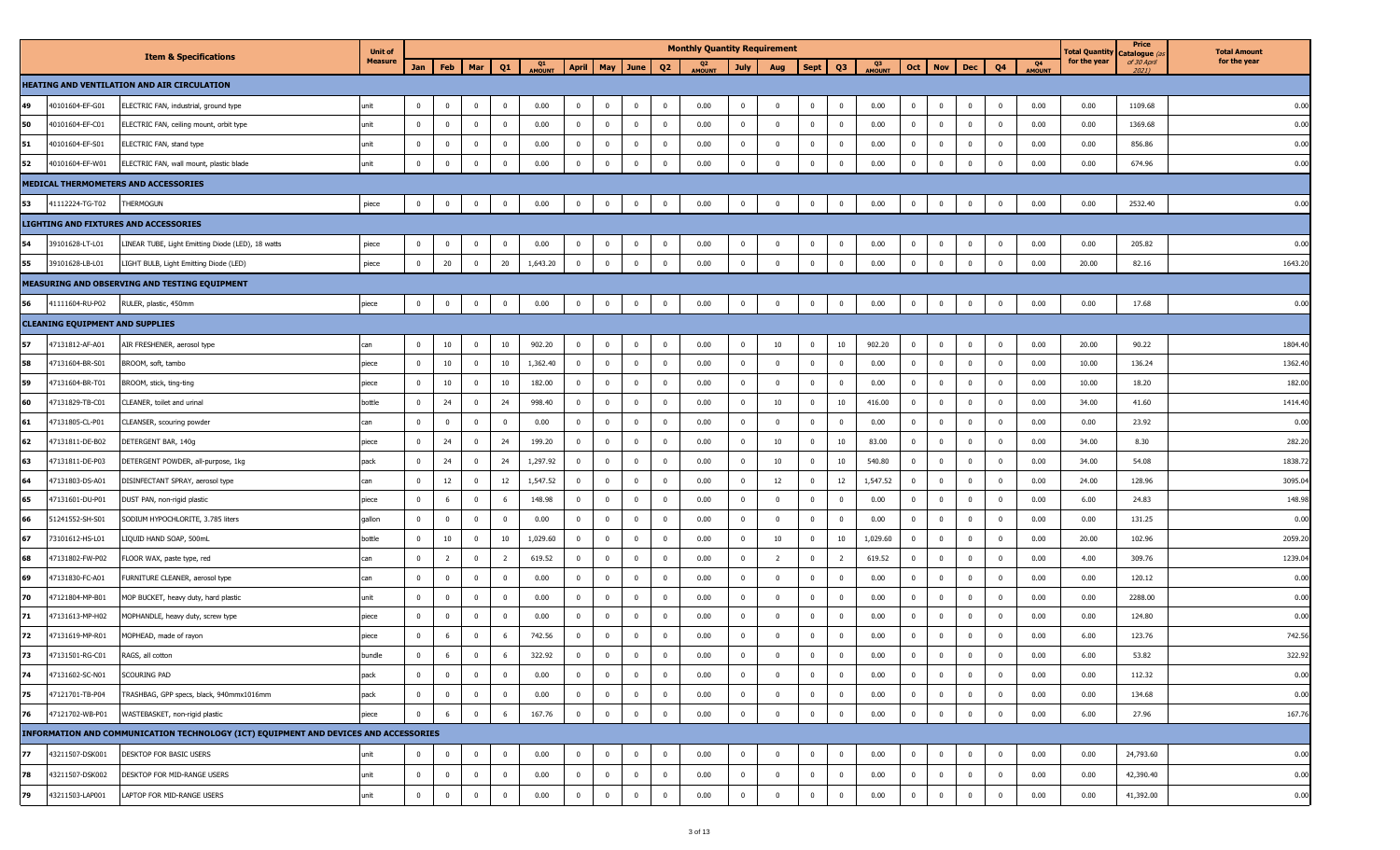| <b>Measure</b><br>for the year<br>of 30 April<br>for the year<br>Q1<br>AMOUNT<br>Q <sub>2</sub><br>AMOUNT<br>Q3<br>AMOUNT<br>Q4<br>AMOUNT<br>May June<br>Q3<br>Jan<br>Feb<br>Mar<br>Q1<br><b>April</b><br>Q <sub>2</sub><br>Oct<br><b>Nov</b><br>July<br><b>Sept</b><br>Dec<br>Q4<br>Aug<br>$2021$ )<br>HEATING AND VENTILATION AND AIR CIRCULATION<br>49<br>40101604-EF-G01<br>ELECTRIC FAN, industrial, ground type<br>$\mathbf 0$<br>$\overline{\mathbf{0}}$<br>0.00<br>$\bf{0}$<br>$\mathbf 0$<br>$\bf{0}$<br>0.00<br>$\bf{0}$<br>0.00<br>$\mathbf 0$<br>0.00<br>0.00<br>1109.68<br>unit<br>$\overline{0}$<br>$\mathbf 0$<br>$\mathbf{0}$<br>$\overline{0}$<br>$\bf{0}$<br>$\mathbf 0$<br>$\overline{0}$<br>$\overline{0}$<br>$\mathbf{0}$<br>50<br>$\mathbf{0}$<br>$\overline{0}$<br>$\overline{0}$<br>0.00<br>$\overline{0}$<br>$\overline{0}$<br>0.00<br>40101604-EF-C01<br>unit<br>$\overline{0}$<br>$\mathbf 0$<br>$\mathbf 0$<br>0.00<br>$\overline{0}$<br>$\overline{0}$<br>$\bf{0}$<br>$\mathbf 0$<br>$\overline{0}$<br>0.00<br>$\overline{0}$<br>$\mathbf 0$<br>$\overline{0}$<br>0.00<br>1369.68<br>ELECTRIC FAN, ceiling mount, orbit type<br>51<br>$\overline{0}$<br>$\overline{\mathbf{0}}$<br>$\overline{0}$<br>$\overline{0}$<br>0.00<br>40101604-EF-S01<br>ELECTRIC FAN, stand type<br>$\mathbf{0}$<br>$\mathbf 0$<br>0.00<br>$\bf{0}$<br>$\mathbf 0$<br>0.00<br>$\overline{0}$<br>$\mathbf{0}$<br>$\mathbf{0}$<br>$\mathbf{0}$<br>0.00<br>$\mathbf{0}$<br>$\overline{0}$<br>$\mathbf 0$<br>$\mathbf 0$<br>0.00<br>856.86<br>unit<br>0.00<br>52<br>$\mathbf 0$<br>$\mathbf 0$<br>$\mathbf 0$<br>$\bf{0}$<br>$\overline{\mathbf{0}}$<br>$\overline{0}$<br>0.00<br>$\mathbf 0$<br>0.00<br>$\mathbf 0$<br>$\overline{0}$<br>0.00<br>0.00<br>674.96<br>40101604-EF-W01<br>ELECTRIC FAN, wall mount, plastic blade<br>unit<br>$\Omega$<br>$\overline{0}$<br>$\overline{0}$<br>$\mathbf 0$<br>$\mathbf{0}$<br>$\mathbf{0}$<br>$\mathbf 0$<br>MEDICAL THERMOMETERS AND ACCESSORIES<br>53<br>THERMOGUN<br>piece<br>$\overline{0}$<br>$\bf{0}$<br>$\overline{\mathbf{0}}$<br>$\mathbf 0$<br>0.00<br>$\overline{0}$<br>$\bf{0}$<br>$\overline{0}$<br>$\overline{0}$<br>0.00<br>$\mathbf 0$<br>$\bf{0}$<br>$\mathbf{0}$<br>0.00<br>$\overline{0}$<br>$\overline{0}$<br>$\bf{0}$<br>0.00<br>0.00<br>2532.40<br>41112224-TG-T02<br>$\overline{0}$<br>$\mathbf{0}$<br>LIGHTING AND FIXTURES AND ACCESSORIES<br>54<br>39101628-LT-L01<br>piece<br>$\mathbf 0$<br>0.00<br>$\bf{0}$<br>0.00<br>0.00<br>0.00<br>0.00<br>205.82<br>LINEAR TUBE, Light Emitting Diode (LED), 18 watts<br>$\mathbf{0}$<br>$\mathbf 0$<br>$\mathbf 0$<br>$\mathbf{0}$<br>$\bf{0}$<br>$\mathbf{0}$<br>$\overline{0}$<br>$\mathbf{0}$<br>$\bf{0}$<br>$\mathbf{0}$<br>$\overline{0}$<br>$\overline{0}$<br>$\mathbf{0}$<br>$\overline{0}$<br>55<br>20<br>20<br>1,643.20<br>$\mathbf 0$<br>0.00<br>0.00<br>0.00<br>LIGHT BULB, Light Emitting Diode (LED)<br>$\mathbf 0$<br>$\mathbf 0$<br>$\bf{0}$<br>$\overline{0}$<br>$\mathbf 0$<br>$\bf{0}$<br>$\mathbf 0$<br>$\mathbf 0$<br>20.00<br>82.16<br>39101628-LB-L01<br>piece<br>$\overline{0}$<br>$\Omega$<br>$\mathbf{0}$<br>$\mathbf{0}$<br>$\mathbf 0$<br>MEASURING AND OBSERVING AND TESTING EQUIPMENT<br>56<br>$\mathbf 0$<br>$\overline{\mathbf{0}}$<br>0.00<br>$\overline{0}$<br>$\overline{\mathbf{0}}$<br>$\overline{0}$<br>0.00<br>$\overline{\mathbf{0}}$<br>0.00<br>41111604-RU-P02<br>RULER, plastic, 450mm<br>$\overline{0}$<br>$\mathbf 0$<br>$\bf{0}$<br>$\bf{0}$<br>$\bf{0}$<br>$\mathbf{0}$<br>$\overline{0}$<br>0.00<br>$\overline{0}$<br>$\bf{0}$<br>$\overline{0}$<br>0.00<br>17.68<br>piece<br><b>CLEANING EQUIPMENT AND SUPPLIES</b><br>57<br>$10\,$<br>10<br>$\mathbf 0$<br>$\overline{0}$<br>$\bf{0}$<br>0.00<br>10<br>10<br>902.20<br>$\overline{0}$<br>0.00<br>20.00<br>90.22<br>47131812-AF-A01<br>AIR FRESHENER, aerosol type<br>can<br>$\mathbf{0}$<br>902.20<br>$\bf{0}$<br>$\mathbf 0$<br>$\overline{0}$<br>$\mathbf{0}$<br>$\mathbf{0}$<br>$^{\circ}$<br>$\mathbf 0$<br>58<br>10<br>$\overline{\mathbf{0}}$<br>10<br>1,362.40<br>$\overline{0}$<br>$\bf{0}$<br>$\overline{\mathbf{0}}$<br>0.00<br>$\bf{0}$<br>0.00<br>$\overline{0}$<br>$\overline{0}$<br>0.00<br>10.00<br>136.24<br>47131604-BR-S01<br>BROOM, soft, tambo<br>$\mathbf{0}$<br>$\overline{0}$<br>$\overline{0}$<br>$\mathbf 0$<br>$\mathbf{0}$<br>$\mathbf{0}$<br>$\overline{0}$<br>piece<br>59<br>10<br>$\mathbf 0$<br>0.00<br>0.00<br>47131604-BR-T01<br>$\overline{0}$<br>10<br>182.00<br>$\overline{0}$<br>$\bf{0}$<br>$\overline{0}$<br>$\overline{0}$<br>$\overline{0}$<br>0.00<br>$\overline{0}$<br>$\overline{0}$<br>10.00<br>18.20<br>BROOM, stick, ting-ting<br>$\Omega$<br>$\Omega$<br>$\Omega$<br>$\mathbf{0}$<br>$\mathbf 0$<br>piece<br>60<br>24<br>$\overline{0}$<br>$\mathbf 0$<br>0.00<br>10<br>$\mathbf 0$<br>$\overline{0}$<br>$\overline{\mathbf{0}}$<br>24<br>$\bf{0}$<br>$\overline{0}$<br>$\overline{0}$<br>10<br>$\mathbf{0}$<br>416.00<br>$\overline{0}$<br>$\mathbf{0}$<br>0.00<br>34.00<br>41.60<br>47131829-TB-C01<br>CLEANER, toilet and urinal<br>bottle<br>998.40<br>$\mathbf 0$<br>61<br>$\mathbf 0$<br>$\mathbf 0$<br>0.00<br>$\overline{0}$<br>$\bf{0}$<br>$\mathbf 0$<br>$\overline{0}$<br>0.00<br>$\bf{0}$<br>0.00<br>$\overline{0}$<br>0.00<br>0.00<br>23.92<br>47131805-CL-P01<br>CLEANSER, scouring powder<br>$\mathbf{0}$<br>$\overline{0}$<br>$\overline{0}$<br>$\mathbf 0$<br>$\mathbf{0}$<br>$\mathbf{0}$<br>$\mathbf 0$<br>$\overline{0}$<br>can<br>62<br>24<br>199.20<br>$\overline{0}$<br>$\mathbf 0$<br>$\overline{0}$<br>0.00<br>10<br>83.00<br>$\mathbf 0$<br>0.00<br>34.00<br>8.30<br>47131811-DE-B02<br>$\Omega$<br>$\mathbf 0$<br>24<br>$\mathbf 0$<br>$\overline{0}$<br>10<br>$\bf{0}$<br>$\overline{0}$<br>DETERGENT BAR, 140g<br>$^{\circ}$<br>$\mathbf 0$<br>piece<br>63<br>$\overline{0}$<br>24<br>$\overline{\mathbf{0}}$<br>24<br>1,297.92<br>$\overline{0}$<br>$\mathbf 0$<br>$\overline{0}$<br>0.00<br>10<br>$\overline{0}$<br>10<br>$\overline{0}$<br>0.00<br>34.00<br>$\overline{0}$<br>$\overline{0}$<br>540.80<br>$\overline{0}$<br>$\mathbf{0}$<br>$\overline{0}$<br>54.08<br>47131811-DE-P03<br>DETERGENT POWDER, all-purpose, 1kg<br>pack<br>64<br>12<br>$\mathbf 0$<br>12<br>1,547.52<br>$\overline{0}$<br>$\bf{0}$<br>$\overline{\mathbf{0}}$<br>$\overline{0}$<br>0.00<br>12<br>$\overline{0}$<br>12<br>1,547.52<br>$\overline{0}$<br>$\overline{0}$<br>0.00<br>24.00<br>128.96<br>47131803-DS-A01<br>DISINFECTANT SPRAY, aerosol type<br>can<br>$\mathbf{0}$<br>$\overline{0}$<br>$^{\circ}$<br>$\overline{0}$<br>65<br>148.98<br>$\overline{0}$<br>0.00<br>$\overline{0}$<br>0.00<br>$\overline{0}$<br>0.00<br>6.00<br>24.83<br>47131601-DU-P01<br>$\Omega$<br>6<br>$\mathbf 0$<br>$\mathbf 0$<br>$\mathbf 0$<br>$\overline{0}$<br>$\overline{0}$<br>$\overline{0}$<br>DUST PAN, non-rigid plastic<br>-6<br>$\Omega$<br>$\Omega$<br>$\mathbf{0}$<br>$\mathbf 0$<br>piece<br>$\overline{0}$<br>66<br>$\mathbf 0$<br>$\mathbf{0}$<br>$\overline{\mathbf{0}}$<br>$\mathbf 0$<br>$\mathbf 0$<br>$\overline{0}$<br>0.00<br>$\overline{0}$<br>$\overline{0}$<br>0.00<br>0.00<br>$\mathbf 0$<br>$\overline{0}$<br>$\mathbf 0$<br>$\overline{0}$<br>0.00<br>$\overline{0}$<br>$\mathbf{0}$<br>0.00<br>131.25<br>51241552-SH-S01<br>SODIUM HYPOCHLORITE, 3.785 liters<br>gallon<br>$\mathbf 0$<br>67<br>10<br>$\mathbf 0$<br>10<br>1,029.60<br>$\overline{0}$<br>$\bf{0}$<br>$\overline{\mathbf{0}}$<br>$\overline{0}$<br>0.00<br>10<br>$\overline{0}$<br>10<br>1,029.60<br>$\overline{0}$<br>$\overline{0}$<br>0.00<br>20.00<br>102.96<br>73101612-HS-L01<br>LIQUID HAND SOAP, 500mL<br>bottle<br>$\mathbf{0}$<br>$\overline{0}$<br>$^{\circ}$<br>$\mathbf 0$<br>68<br>$\overline{2}$<br>619.52<br>$\overline{0}$<br>$\mathbf 0$<br>$\overline{0}$<br>0.00<br>$\overline{0}$<br>$\mathbf 0$<br>0.00<br>4.00<br>47131802-FW-P02<br>$\Omega$<br>$\mathbf 0$<br>$\overline{2}$<br>$\mathbf{0}$<br>$\mathbf 0$<br>619.52<br>$\overline{0}$<br>309.76<br>FLOOR WAX, paste type, red<br>$\overline{2}$<br>2<br>$^{\circ}$<br>$\mathbf 0$<br>can<br>69<br>$\mathbf{0}$<br>$\overline{\mathbf{0}}$<br>$\mathbf 0$<br>$\overline{0}$<br>$\mathbf 0$<br>$\overline{0}$<br>0.00<br>$\overline{0}$<br>0.00<br>$\overline{0}$<br>0.00<br>0.00<br>47131830-FC-A01<br>$\overline{0}$<br>0.00<br>$\mathbf{0}$<br>$\overline{0}$<br>$\mathbf 0$<br>$\overline{0}$<br>$\overline{0}$<br>$\mathbf{0}$<br>$\overline{0}$<br>120.12<br>FURNITURE CLEANER, aerosol type<br>can<br>70<br>47121804-MP-B01<br>$\mathbf 0$<br>$\mathbf 0$<br>0.00<br>$\overline{0}$<br>$\bf{0}$<br>$\overline{\mathbf{0}}$<br>$\overline{0}$<br>0.00<br>$\bf{0}$<br>0.00<br>$\overline{0}$<br>$\overline{0}$<br>0.00<br>0.00<br>2288.00<br>MOP BUCKET, heavy duty, hard plastic<br>unit<br>$\mathbf{0}$<br>$\Omega$<br>$\overline{0}$<br>$\mathbf 0$<br>$\mathbf{0}$<br>$^{\circ}$<br>$\mathbf 0$<br>71<br>0.00<br>$\overline{0}$<br>0.00<br>$\mathbf 0$<br>0.00<br>0.00<br>0.00<br>47131613-MP-H02<br>$\mathbf 0$<br>$\mathbf 0$<br>$\Omega$<br>$\mathbf 0$<br>$\bf{0}$<br>$\overline{0}$<br>$\overline{0}$<br>$\overline{0}$<br>$\mathbf 0$<br>124.80<br>MOPHANDLE, heavy duty, screw type<br>$\Omega$<br>$\Omega$<br>$\Omega$<br>$\mathbf{0}$<br>$\mathbf 0$<br>piece<br>72<br>6<br>$\mathbf{0}$<br>0.00<br>$\mathbf 0$<br>0.00<br>0.00<br>47131619-MP-R01<br>MOPHEAD, made of rayon<br>$\Omega$<br>$\overline{0}$<br>6<br>742.56<br>$\mathbf{0}$<br>$\overline{\mathbf{0}}$<br>$\overline{0}$<br>$\mathbf 0$<br>$\mathbf 0$<br>$\overline{0}$<br>6.00<br>123.76<br>$\Omega$<br>$\mathbf{0}$<br>$\mathbf{0}$<br>$\Omega$<br>piece<br>73<br>$\overline{0}$<br>$\mathbf 0$<br>$\overline{0}$<br>$\overline{0}$<br>0.00<br>$\mathbf 0$<br>0.00<br>47131501-RG-C01<br>RAGS, all cotton<br>bundle<br>6<br>6<br>322.92<br>$\overline{0}$<br>$\bf{0}$<br>$\overline{0}$<br>$\overline{0}$<br>0.00<br>$\mathbf{0}$<br>$\overline{0}$<br>$\mathbf{0}$<br>$\mathbf{0}$<br>6.00<br>53.82<br>$\Omega$<br>74<br>47131602-SC-N01<br>SCOURING PAD<br>0.00<br>$\overline{0}$<br>$\overline{0}$<br>0.00<br>0.00<br>$\overline{0}$<br>0.00<br>0.00<br>$\overline{0}$<br>$\mathbf{0}$<br>$\overline{0}$<br>$\mathbf 0$<br>$\mathbf 0$<br>$\bf{0}$<br>$\mathbf 0$<br>$\Omega$<br>$\mathbf{0}$<br>$\overline{0}$<br>$\overline{0}$<br>$\mathbf 0$<br>$\overline{0}$<br>112.32<br>pack<br>75<br>$\mathbf 0$<br>$\bf{0}$<br>$\overline{\mathbf{0}}$<br>$\mathbf 0$<br>0.00<br>$\overline{0}$<br>$\overline{0}$<br>$\overline{0}$<br>0.00<br>$\bf{0}$<br>0.00<br>$\mathbf 0$<br>0.00<br>134.68<br>47121701-TB-P04<br>TRASHBAG, GPP specs, black, 940mmx1016mm<br>pack<br>$\mathbf{0}$<br>$\overline{0}$<br>$\mathbf 0$<br>$\overline{0}$<br>$\overline{0}$<br>$\mathbf 0$<br>$\overline{0}$<br>0.00<br>76<br>167.76<br>$\mathbf 0$<br>47121702-WB-P01<br>WASTEBASKET, non-rigid plastic<br>$\mathbf 0$<br>6<br>$\overline{0}$<br>-6<br>$\mathbf 0$<br>$\overline{0}$<br>$\overline{0}$<br>0.00<br>$\overline{0}$<br>$\mathbf 0$<br>$\mathbf{0}$<br>$\overline{0}$<br>0.00<br>$\overline{0}$<br>$\overline{0}$<br>$\mathbf 0$<br>$\overline{0}$<br>0.00<br>6.00<br>27.96<br>piece<br>INFORMATION AND COMMUNICATION TECHNOLOGY (ICT) EQUIPMENT AND DEVICES AND ACCESSORIES<br>77<br>0.00<br>43211507-DSK001<br><b>DESKTOP FOR BASIC USERS</b><br>unit<br>$\mathbf 0$<br>$\overline{\mathbf{0}}$<br>0.00<br>$\mathbf 0$<br>0.00<br>$\mathbf 0$<br>0.00<br>$\mathbf 0$<br>0.00<br>24,793.60<br>$\overline{0}$<br>$\overline{0}$<br>$\mathbf{0}$<br>$\bf{0}$<br>$\mathbf{0}$<br>0<br>$\mathbf 0$<br>$\mathbf{0}$<br>$\overline{0}$<br>$\mathbf 0$<br>$\bf{0}$<br>78<br>$\overline{0}$<br>$\overline{0}$<br>$\overline{0}$<br>$\overline{\mathbf{0}}$<br>0.00<br>43211507-DSK002<br>DESKTOP FOR MID-RANGE USERS<br>$\mathbf{0}$<br>$\overline{0}$<br>$\mathbf 0$<br>0.00<br>0.00<br>$\overline{0}$<br>$\mathbf{0}$<br>$\overline{0}$<br>0.00<br>$\overline{0}$<br>$\overline{0}$<br>0.00<br>42,390.40<br>unit<br>$\mathbf{0}$<br>$\mathbf{0}$<br>$\mathbf 0$<br>$\mathbf 0$<br>79<br>$\mathbf 0$<br>$\mathbf 0$<br>$\overline{\mathbf{0}}$<br>$\mathbf 0$<br>0.00<br>$\overline{0}$<br>$\mathbf 0$<br>$\overline{0}$<br>0.00<br>$\overline{\mathbf{0}}$<br>0.00<br>43211503-LAP001<br>LAPTOP FOR MID-RANGE USERS<br>unit<br>$\bf{0}$<br>$\overline{0}$<br>$\overline{0}$<br>$\mathbf{0}$<br>$\overline{0}$<br>0.00<br>$\overline{0}$<br>$\mathbf{0}$<br>$\overline{0}$<br>0.00<br>41,392.00 |  |                                  | <b>Unit of</b> |  |  |  |  |  | <b>Monthly Quantity Requirement</b> |  |  |  |  | <b>Total Quantity</b> | Price<br>Catalogue (a | <b>Total Amount</b> |
|------------------------------------------------------------------------------------------------------------------------------------------------------------------------------------------------------------------------------------------------------------------------------------------------------------------------------------------------------------------------------------------------------------------------------------------------------------------------------------------------------------------------------------------------------------------------------------------------------------------------------------------------------------------------------------------------------------------------------------------------------------------------------------------------------------------------------------------------------------------------------------------------------------------------------------------------------------------------------------------------------------------------------------------------------------------------------------------------------------------------------------------------------------------------------------------------------------------------------------------------------------------------------------------------------------------------------------------------------------------------------------------------------------------------------------------------------------------------------------------------------------------------------------------------------------------------------------------------------------------------------------------------------------------------------------------------------------------------------------------------------------------------------------------------------------------------------------------------------------------------------------------------------------------------------------------------------------------------------------------------------------------------------------------------------------------------------------------------------------------------------------------------------------------------------------------------------------------------------------------------------------------------------------------------------------------------------------------------------------------------------------------------------------------------------------------------------------------------------------------------------------------------------------------------------------------------------------------------------------------------------------------------------------------------------------------------------------------------------------------------------------------------------------------------------------------------------------------------------------------------------------------------------------------------------------------------------------------------------------------------------------------------------------------------------------------------------------------------------------------------------------------------------------------------------------------------------------------------------------------------------------------------------------------------------------------------------------------------------------------------------------------------------------------------------------------------------------------------------------------------------------------------------------------------------------------------------------------------------------------------------------------------------------------------------------------------------------------------------------------------------------------------------------------------------------------------------------------------------------------------------------------------------------------------------------------------------------------------------------------------------------------------------------------------------------------------------------------------------------------------------------------------------------------------------------------------------------------------------------------------------------------------------------------------------------------------------------------------------------------------------------------------------------------------------------------------------------------------------------------------------------------------------------------------------------------------------------------------------------------------------------------------------------------------------------------------------------------------------------------------------------------------------------------------------------------------------------------------------------------------------------------------------------------------------------------------------------------------------------------------------------------------------------------------------------------------------------------------------------------------------------------------------------------------------------------------------------------------------------------------------------------------------------------------------------------------------------------------------------------------------------------------------------------------------------------------------------------------------------------------------------------------------------------------------------------------------------------------------------------------------------------------------------------------------------------------------------------------------------------------------------------------------------------------------------------------------------------------------------------------------------------------------------------------------------------------------------------------------------------------------------------------------------------------------------------------------------------------------------------------------------------------------------------------------------------------------------------------------------------------------------------------------------------------------------------------------------------------------------------------------------------------------------------------------------------------------------------------------------------------------------------------------------------------------------------------------------------------------------------------------------------------------------------------------------------------------------------------------------------------------------------------------------------------------------------------------------------------------------------------------------------------------------------------------------------------------------------------------------------------------------------------------------------------------------------------------------------------------------------------------------------------------------------------------------------------------------------------------------------------------------------------------------------------------------------------------------------------------------------------------------------------------------------------------------------------------------------------------------------------------------------------------------------------------------------------------------------------------------------------------------------------------------------------------------------------------------------------------------------------------------------------------------------------------------------------------------------------------------------------------------------------------------------------------------------------------------------------------------------------------------------------------------------------------------------------------------------------------------------------------------------------------------------------------------------------------------------------------------------------------------------------------------------------------------------------------------------------------------------------------------------------------------------------------------------------------------------------------------------------------------------------------------------------------------------------------------------------------------------------------------------------------------------------------------------------------------------------------------------------------------------------------------------------------------------------------------------------------------------------------------------------------------------------------------------------------------------------------------------------------------------------------------------------------------------------------------------------------------------------------------------------------------------------------------------------------------------------------------------------------------------------------------------------------------------------------------------------------------------------------------------------------------------------------------------------------------------------------------------------------------------------------------------------------------------------------------------------------------------------------------------------------------------------------------------------------------------------------------------------------------------------------------------------------------------------------------------------------------------------------------------------------------------------------------------------------------------------------------------------------------------------------------------------------------------------------------------------------------------------------------------------------------------------------------------------------------------------------------------------------------------------------------------------------------------------------------------------------------------------------------------------------------------------------------------------------------------------------------------------------------------------------------------------------------------------------------------------------------------------------------------------------------------------------------------------------------------------------------------------------------------------------------------------------------------------------------------------------------------------------------------------------------------------------------------------------------------------------------------------------------------------------------------------------------------------------------------------------------------------------------------------------------------------------------------------------------------------------------------------------------------------------------------------------------------------------------------------------------------------------------------------------------------------------------------------------------------------------------------------------------------------------------------------------------------------------------------------------------------------------------------------------------------------------------------------------------------------------------------------------------------------------------------------------------------------------------------------------------------------------------------------------------------------------------------------------------------------------------------------------------------------------------------------------------------------------------------------------------------------------------------------------------------------------------------------------------------------------------------------------------------------------------------------------------------------------------------------------------------------------------------------------------------------------------------------------------------------------------------------------------------|--|----------------------------------|----------------|--|--|--|--|--|-------------------------------------|--|--|--|--|-----------------------|-----------------------|---------------------|
|                                                                                                                                                                                                                                                                                                                                                                                                                                                                                                                                                                                                                                                                                                                                                                                                                                                                                                                                                                                                                                                                                                                                                                                                                                                                                                                                                                                                                                                                                                                                                                                                                                                                                                                                                                                                                                                                                                                                                                                                                                                                                                                                                                                                                                                                                                                                                                                                                                                                                                                                                                                                                                                                                                                                                                                                                                                                                                                                                                                                                                                                                                                                                                                                                                                                                                                                                                                                                                                                                                                                                                                                                                                                                                                                                                                                                                                                                                                                                                                                                                                                                                                                                                                                                                                                                                                                                                                                                                                                                                                                                                                                                                                                                                                                                                                                                                                                                                                                                                                                                                                                                                                                                                                                                                                                                                                                                                                                                                                                                                                                                                                                                                                                                                                                                                                                                                                                                                                                                                                                                                                                                                                                                                                                                                                                                                                                                                                                                                                                                                                                                                                                                                                                                                                                                                                                                                                                                                                                                                                                                                                                                                                                                                                                                                                                                                                                                                                                                                                                                                                                                                                                                                                                                                                                                                                                                                                                                                                                                                                                                                                                                                                                                                                                                                                                                                                                                                                                                                                                                                                                                                                                                                                                                                                                                                                                                                                                                                                                                                                                                                                                                                                                                                                                                                                                                                                                                                                                                                                                                                                                                                                                                                                                                                                                                                                                                                                                                                                                                                                                                                                                                                                                                                                                                                                                                                                                                                                                                                                                                                                                                                                                                                                                                                                                                                                                                                                                                                                                                                                                                                                                                                                                                                                                                                                                                                                                                                                                                                                                                                                                                                                                                                                                                                                                                                                                                                                                                                                                                                                                                                                                                                                                                                                                                                                                                                                                                                                                                                                                                                                  |  | <b>Item &amp; Specifications</b> |                |  |  |  |  |  |                                     |  |  |  |  |                       |                       |                     |
|                                                                                                                                                                                                                                                                                                                                                                                                                                                                                                                                                                                                                                                                                                                                                                                                                                                                                                                                                                                                                                                                                                                                                                                                                                                                                                                                                                                                                                                                                                                                                                                                                                                                                                                                                                                                                                                                                                                                                                                                                                                                                                                                                                                                                                                                                                                                                                                                                                                                                                                                                                                                                                                                                                                                                                                                                                                                                                                                                                                                                                                                                                                                                                                                                                                                                                                                                                                                                                                                                                                                                                                                                                                                                                                                                                                                                                                                                                                                                                                                                                                                                                                                                                                                                                                                                                                                                                                                                                                                                                                                                                                                                                                                                                                                                                                                                                                                                                                                                                                                                                                                                                                                                                                                                                                                                                                                                                                                                                                                                                                                                                                                                                                                                                                                                                                                                                                                                                                                                                                                                                                                                                                                                                                                                                                                                                                                                                                                                                                                                                                                                                                                                                                                                                                                                                                                                                                                                                                                                                                                                                                                                                                                                                                                                                                                                                                                                                                                                                                                                                                                                                                                                                                                                                                                                                                                                                                                                                                                                                                                                                                                                                                                                                                                                                                                                                                                                                                                                                                                                                                                                                                                                                                                                                                                                                                                                                                                                                                                                                                                                                                                                                                                                                                                                                                                                                                                                                                                                                                                                                                                                                                                                                                                                                                                                                                                                                                                                                                                                                                                                                                                                                                                                                                                                                                                                                                                                                                                                                                                                                                                                                                                                                                                                                                                                                                                                                                                                                                                                                                                                                                                                                                                                                                                                                                                                                                                                                                                                                                                                                                                                                                                                                                                                                                                                                                                                                                                                                                                                                                                                                                                                                                                                                                                                                                                                                                                                                                                                                                                                                                  |  |                                  |                |  |  |  |  |  |                                     |  |  |  |  |                       |                       |                     |
|                                                                                                                                                                                                                                                                                                                                                                                                                                                                                                                                                                                                                                                                                                                                                                                                                                                                                                                                                                                                                                                                                                                                                                                                                                                                                                                                                                                                                                                                                                                                                                                                                                                                                                                                                                                                                                                                                                                                                                                                                                                                                                                                                                                                                                                                                                                                                                                                                                                                                                                                                                                                                                                                                                                                                                                                                                                                                                                                                                                                                                                                                                                                                                                                                                                                                                                                                                                                                                                                                                                                                                                                                                                                                                                                                                                                                                                                                                                                                                                                                                                                                                                                                                                                                                                                                                                                                                                                                                                                                                                                                                                                                                                                                                                                                                                                                                                                                                                                                                                                                                                                                                                                                                                                                                                                                                                                                                                                                                                                                                                                                                                                                                                                                                                                                                                                                                                                                                                                                                                                                                                                                                                                                                                                                                                                                                                                                                                                                                                                                                                                                                                                                                                                                                                                                                                                                                                                                                                                                                                                                                                                                                                                                                                                                                                                                                                                                                                                                                                                                                                                                                                                                                                                                                                                                                                                                                                                                                                                                                                                                                                                                                                                                                                                                                                                                                                                                                                                                                                                                                                                                                                                                                                                                                                                                                                                                                                                                                                                                                                                                                                                                                                                                                                                                                                                                                                                                                                                                                                                                                                                                                                                                                                                                                                                                                                                                                                                                                                                                                                                                                                                                                                                                                                                                                                                                                                                                                                                                                                                                                                                                                                                                                                                                                                                                                                                                                                                                                                                                                                                                                                                                                                                                                                                                                                                                                                                                                                                                                                                                                                                                                                                                                                                                                                                                                                                                                                                                                                                                                                                                                                                                                                                                                                                                                                                                                                                                                                                                                                                                                                  |  |                                  |                |  |  |  |  |  |                                     |  |  |  |  |                       |                       | 0.00                |
|                                                                                                                                                                                                                                                                                                                                                                                                                                                                                                                                                                                                                                                                                                                                                                                                                                                                                                                                                                                                                                                                                                                                                                                                                                                                                                                                                                                                                                                                                                                                                                                                                                                                                                                                                                                                                                                                                                                                                                                                                                                                                                                                                                                                                                                                                                                                                                                                                                                                                                                                                                                                                                                                                                                                                                                                                                                                                                                                                                                                                                                                                                                                                                                                                                                                                                                                                                                                                                                                                                                                                                                                                                                                                                                                                                                                                                                                                                                                                                                                                                                                                                                                                                                                                                                                                                                                                                                                                                                                                                                                                                                                                                                                                                                                                                                                                                                                                                                                                                                                                                                                                                                                                                                                                                                                                                                                                                                                                                                                                                                                                                                                                                                                                                                                                                                                                                                                                                                                                                                                                                                                                                                                                                                                                                                                                                                                                                                                                                                                                                                                                                                                                                                                                                                                                                                                                                                                                                                                                                                                                                                                                                                                                                                                                                                                                                                                                                                                                                                                                                                                                                                                                                                                                                                                                                                                                                                                                                                                                                                                                                                                                                                                                                                                                                                                                                                                                                                                                                                                                                                                                                                                                                                                                                                                                                                                                                                                                                                                                                                                                                                                                                                                                                                                                                                                                                                                                                                                                                                                                                                                                                                                                                                                                                                                                                                                                                                                                                                                                                                                                                                                                                                                                                                                                                                                                                                                                                                                                                                                                                                                                                                                                                                                                                                                                                                                                                                                                                                                                                                                                                                                                                                                                                                                                                                                                                                                                                                                                                                                                                                                                                                                                                                                                                                                                                                                                                                                                                                                                                                                                                                                                                                                                                                                                                                                                                                                                                                                                                                                                                                  |  |                                  |                |  |  |  |  |  |                                     |  |  |  |  |                       |                       | 0.00                |
|                                                                                                                                                                                                                                                                                                                                                                                                                                                                                                                                                                                                                                                                                                                                                                                                                                                                                                                                                                                                                                                                                                                                                                                                                                                                                                                                                                                                                                                                                                                                                                                                                                                                                                                                                                                                                                                                                                                                                                                                                                                                                                                                                                                                                                                                                                                                                                                                                                                                                                                                                                                                                                                                                                                                                                                                                                                                                                                                                                                                                                                                                                                                                                                                                                                                                                                                                                                                                                                                                                                                                                                                                                                                                                                                                                                                                                                                                                                                                                                                                                                                                                                                                                                                                                                                                                                                                                                                                                                                                                                                                                                                                                                                                                                                                                                                                                                                                                                                                                                                                                                                                                                                                                                                                                                                                                                                                                                                                                                                                                                                                                                                                                                                                                                                                                                                                                                                                                                                                                                                                                                                                                                                                                                                                                                                                                                                                                                                                                                                                                                                                                                                                                                                                                                                                                                                                                                                                                                                                                                                                                                                                                                                                                                                                                                                                                                                                                                                                                                                                                                                                                                                                                                                                                                                                                                                                                                                                                                                                                                                                                                                                                                                                                                                                                                                                                                                                                                                                                                                                                                                                                                                                                                                                                                                                                                                                                                                                                                                                                                                                                                                                                                                                                                                                                                                                                                                                                                                                                                                                                                                                                                                                                                                                                                                                                                                                                                                                                                                                                                                                                                                                                                                                                                                                                                                                                                                                                                                                                                                                                                                                                                                                                                                                                                                                                                                                                                                                                                                                                                                                                                                                                                                                                                                                                                                                                                                                                                                                                                                                                                                                                                                                                                                                                                                                                                                                                                                                                                                                                                                                                                                                                                                                                                                                                                                                                                                                                                                                                                                                                                  |  |                                  |                |  |  |  |  |  |                                     |  |  |  |  |                       |                       | 0.00                |
|                                                                                                                                                                                                                                                                                                                                                                                                                                                                                                                                                                                                                                                                                                                                                                                                                                                                                                                                                                                                                                                                                                                                                                                                                                                                                                                                                                                                                                                                                                                                                                                                                                                                                                                                                                                                                                                                                                                                                                                                                                                                                                                                                                                                                                                                                                                                                                                                                                                                                                                                                                                                                                                                                                                                                                                                                                                                                                                                                                                                                                                                                                                                                                                                                                                                                                                                                                                                                                                                                                                                                                                                                                                                                                                                                                                                                                                                                                                                                                                                                                                                                                                                                                                                                                                                                                                                                                                                                                                                                                                                                                                                                                                                                                                                                                                                                                                                                                                                                                                                                                                                                                                                                                                                                                                                                                                                                                                                                                                                                                                                                                                                                                                                                                                                                                                                                                                                                                                                                                                                                                                                                                                                                                                                                                                                                                                                                                                                                                                                                                                                                                                                                                                                                                                                                                                                                                                                                                                                                                                                                                                                                                                                                                                                                                                                                                                                                                                                                                                                                                                                                                                                                                                                                                                                                                                                                                                                                                                                                                                                                                                                                                                                                                                                                                                                                                                                                                                                                                                                                                                                                                                                                                                                                                                                                                                                                                                                                                                                                                                                                                                                                                                                                                                                                                                                                                                                                                                                                                                                                                                                                                                                                                                                                                                                                                                                                                                                                                                                                                                                                                                                                                                                                                                                                                                                                                                                                                                                                                                                                                                                                                                                                                                                                                                                                                                                                                                                                                                                                                                                                                                                                                                                                                                                                                                                                                                                                                                                                                                                                                                                                                                                                                                                                                                                                                                                                                                                                                                                                                                                                                                                                                                                                                                                                                                                                                                                                                                                                                                                                                                  |  |                                  |                |  |  |  |  |  |                                     |  |  |  |  |                       |                       | 0.00                |
|                                                                                                                                                                                                                                                                                                                                                                                                                                                                                                                                                                                                                                                                                                                                                                                                                                                                                                                                                                                                                                                                                                                                                                                                                                                                                                                                                                                                                                                                                                                                                                                                                                                                                                                                                                                                                                                                                                                                                                                                                                                                                                                                                                                                                                                                                                                                                                                                                                                                                                                                                                                                                                                                                                                                                                                                                                                                                                                                                                                                                                                                                                                                                                                                                                                                                                                                                                                                                                                                                                                                                                                                                                                                                                                                                                                                                                                                                                                                                                                                                                                                                                                                                                                                                                                                                                                                                                                                                                                                                                                                                                                                                                                                                                                                                                                                                                                                                                                                                                                                                                                                                                                                                                                                                                                                                                                                                                                                                                                                                                                                                                                                                                                                                                                                                                                                                                                                                                                                                                                                                                                                                                                                                                                                                                                                                                                                                                                                                                                                                                                                                                                                                                                                                                                                                                                                                                                                                                                                                                                                                                                                                                                                                                                                                                                                                                                                                                                                                                                                                                                                                                                                                                                                                                                                                                                                                                                                                                                                                                                                                                                                                                                                                                                                                                                                                                                                                                                                                                                                                                                                                                                                                                                                                                                                                                                                                                                                                                                                                                                                                                                                                                                                                                                                                                                                                                                                                                                                                                                                                                                                                                                                                                                                                                                                                                                                                                                                                                                                                                                                                                                                                                                                                                                                                                                                                                                                                                                                                                                                                                                                                                                                                                                                                                                                                                                                                                                                                                                                                                                                                                                                                                                                                                                                                                                                                                                                                                                                                                                                                                                                                                                                                                                                                                                                                                                                                                                                                                                                                                                                                                                                                                                                                                                                                                                                                                                                                                                                                                                                                                                  |  |                                  |                |  |  |  |  |  |                                     |  |  |  |  |                       |                       |                     |
|                                                                                                                                                                                                                                                                                                                                                                                                                                                                                                                                                                                                                                                                                                                                                                                                                                                                                                                                                                                                                                                                                                                                                                                                                                                                                                                                                                                                                                                                                                                                                                                                                                                                                                                                                                                                                                                                                                                                                                                                                                                                                                                                                                                                                                                                                                                                                                                                                                                                                                                                                                                                                                                                                                                                                                                                                                                                                                                                                                                                                                                                                                                                                                                                                                                                                                                                                                                                                                                                                                                                                                                                                                                                                                                                                                                                                                                                                                                                                                                                                                                                                                                                                                                                                                                                                                                                                                                                                                                                                                                                                                                                                                                                                                                                                                                                                                                                                                                                                                                                                                                                                                                                                                                                                                                                                                                                                                                                                                                                                                                                                                                                                                                                                                                                                                                                                                                                                                                                                                                                                                                                                                                                                                                                                                                                                                                                                                                                                                                                                                                                                                                                                                                                                                                                                                                                                                                                                                                                                                                                                                                                                                                                                                                                                                                                                                                                                                                                                                                                                                                                                                                                                                                                                                                                                                                                                                                                                                                                                                                                                                                                                                                                                                                                                                                                                                                                                                                                                                                                                                                                                                                                                                                                                                                                                                                                                                                                                                                                                                                                                                                                                                                                                                                                                                                                                                                                                                                                                                                                                                                                                                                                                                                                                                                                                                                                                                                                                                                                                                                                                                                                                                                                                                                                                                                                                                                                                                                                                                                                                                                                                                                                                                                                                                                                                                                                                                                                                                                                                                                                                                                                                                                                                                                                                                                                                                                                                                                                                                                                                                                                                                                                                                                                                                                                                                                                                                                                                                                                                                                                                                                                                                                                                                                                                                                                                                                                                                                                                                                                                                                  |  |                                  |                |  |  |  |  |  |                                     |  |  |  |  |                       |                       | 0.00                |
|                                                                                                                                                                                                                                                                                                                                                                                                                                                                                                                                                                                                                                                                                                                                                                                                                                                                                                                                                                                                                                                                                                                                                                                                                                                                                                                                                                                                                                                                                                                                                                                                                                                                                                                                                                                                                                                                                                                                                                                                                                                                                                                                                                                                                                                                                                                                                                                                                                                                                                                                                                                                                                                                                                                                                                                                                                                                                                                                                                                                                                                                                                                                                                                                                                                                                                                                                                                                                                                                                                                                                                                                                                                                                                                                                                                                                                                                                                                                                                                                                                                                                                                                                                                                                                                                                                                                                                                                                                                                                                                                                                                                                                                                                                                                                                                                                                                                                                                                                                                                                                                                                                                                                                                                                                                                                                                                                                                                                                                                                                                                                                                                                                                                                                                                                                                                                                                                                                                                                                                                                                                                                                                                                                                                                                                                                                                                                                                                                                                                                                                                                                                                                                                                                                                                                                                                                                                                                                                                                                                                                                                                                                                                                                                                                                                                                                                                                                                                                                                                                                                                                                                                                                                                                                                                                                                                                                                                                                                                                                                                                                                                                                                                                                                                                                                                                                                                                                                                                                                                                                                                                                                                                                                                                                                                                                                                                                                                                                                                                                                                                                                                                                                                                                                                                                                                                                                                                                                                                                                                                                                                                                                                                                                                                                                                                                                                                                                                                                                                                                                                                                                                                                                                                                                                                                                                                                                                                                                                                                                                                                                                                                                                                                                                                                                                                                                                                                                                                                                                                                                                                                                                                                                                                                                                                                                                                                                                                                                                                                                                                                                                                                                                                                                                                                                                                                                                                                                                                                                                                                                                                                                                                                                                                                                                                                                                                                                                                                                                                                                                                                                  |  |                                  |                |  |  |  |  |  |                                     |  |  |  |  |                       |                       |                     |
|                                                                                                                                                                                                                                                                                                                                                                                                                                                                                                                                                                                                                                                                                                                                                                                                                                                                                                                                                                                                                                                                                                                                                                                                                                                                                                                                                                                                                                                                                                                                                                                                                                                                                                                                                                                                                                                                                                                                                                                                                                                                                                                                                                                                                                                                                                                                                                                                                                                                                                                                                                                                                                                                                                                                                                                                                                                                                                                                                                                                                                                                                                                                                                                                                                                                                                                                                                                                                                                                                                                                                                                                                                                                                                                                                                                                                                                                                                                                                                                                                                                                                                                                                                                                                                                                                                                                                                                                                                                                                                                                                                                                                                                                                                                                                                                                                                                                                                                                                                                                                                                                                                                                                                                                                                                                                                                                                                                                                                                                                                                                                                                                                                                                                                                                                                                                                                                                                                                                                                                                                                                                                                                                                                                                                                                                                                                                                                                                                                                                                                                                                                                                                                                                                                                                                                                                                                                                                                                                                                                                                                                                                                                                                                                                                                                                                                                                                                                                                                                                                                                                                                                                                                                                                                                                                                                                                                                                                                                                                                                                                                                                                                                                                                                                                                                                                                                                                                                                                                                                                                                                                                                                                                                                                                                                                                                                                                                                                                                                                                                                                                                                                                                                                                                                                                                                                                                                                                                                                                                                                                                                                                                                                                                                                                                                                                                                                                                                                                                                                                                                                                                                                                                                                                                                                                                                                                                                                                                                                                                                                                                                                                                                                                                                                                                                                                                                                                                                                                                                                                                                                                                                                                                                                                                                                                                                                                                                                                                                                                                                                                                                                                                                                                                                                                                                                                                                                                                                                                                                                                                                                                                                                                                                                                                                                                                                                                                                                                                                                                                                                                                  |  |                                  |                |  |  |  |  |  |                                     |  |  |  |  |                       |                       | 0.00                |
|                                                                                                                                                                                                                                                                                                                                                                                                                                                                                                                                                                                                                                                                                                                                                                                                                                                                                                                                                                                                                                                                                                                                                                                                                                                                                                                                                                                                                                                                                                                                                                                                                                                                                                                                                                                                                                                                                                                                                                                                                                                                                                                                                                                                                                                                                                                                                                                                                                                                                                                                                                                                                                                                                                                                                                                                                                                                                                                                                                                                                                                                                                                                                                                                                                                                                                                                                                                                                                                                                                                                                                                                                                                                                                                                                                                                                                                                                                                                                                                                                                                                                                                                                                                                                                                                                                                                                                                                                                                                                                                                                                                                                                                                                                                                                                                                                                                                                                                                                                                                                                                                                                                                                                                                                                                                                                                                                                                                                                                                                                                                                                                                                                                                                                                                                                                                                                                                                                                                                                                                                                                                                                                                                                                                                                                                                                                                                                                                                                                                                                                                                                                                                                                                                                                                                                                                                                                                                                                                                                                                                                                                                                                                                                                                                                                                                                                                                                                                                                                                                                                                                                                                                                                                                                                                                                                                                                                                                                                                                                                                                                                                                                                                                                                                                                                                                                                                                                                                                                                                                                                                                                                                                                                                                                                                                                                                                                                                                                                                                                                                                                                                                                                                                                                                                                                                                                                                                                                                                                                                                                                                                                                                                                                                                                                                                                                                                                                                                                                                                                                                                                                                                                                                                                                                                                                                                                                                                                                                                                                                                                                                                                                                                                                                                                                                                                                                                                                                                                                                                                                                                                                                                                                                                                                                                                                                                                                                                                                                                                                                                                                                                                                                                                                                                                                                                                                                                                                                                                                                                                                                                                                                                                                                                                                                                                                                                                                                                                                                                                                                                                                  |  |                                  |                |  |  |  |  |  |                                     |  |  |  |  |                       |                       | 1643.20             |
|                                                                                                                                                                                                                                                                                                                                                                                                                                                                                                                                                                                                                                                                                                                                                                                                                                                                                                                                                                                                                                                                                                                                                                                                                                                                                                                                                                                                                                                                                                                                                                                                                                                                                                                                                                                                                                                                                                                                                                                                                                                                                                                                                                                                                                                                                                                                                                                                                                                                                                                                                                                                                                                                                                                                                                                                                                                                                                                                                                                                                                                                                                                                                                                                                                                                                                                                                                                                                                                                                                                                                                                                                                                                                                                                                                                                                                                                                                                                                                                                                                                                                                                                                                                                                                                                                                                                                                                                                                                                                                                                                                                                                                                                                                                                                                                                                                                                                                                                                                                                                                                                                                                                                                                                                                                                                                                                                                                                                                                                                                                                                                                                                                                                                                                                                                                                                                                                                                                                                                                                                                                                                                                                                                                                                                                                                                                                                                                                                                                                                                                                                                                                                                                                                                                                                                                                                                                                                                                                                                                                                                                                                                                                                                                                                                                                                                                                                                                                                                                                                                                                                                                                                                                                                                                                                                                                                                                                                                                                                                                                                                                                                                                                                                                                                                                                                                                                                                                                                                                                                                                                                                                                                                                                                                                                                                                                                                                                                                                                                                                                                                                                                                                                                                                                                                                                                                                                                                                                                                                                                                                                                                                                                                                                                                                                                                                                                                                                                                                                                                                                                                                                                                                                                                                                                                                                                                                                                                                                                                                                                                                                                                                                                                                                                                                                                                                                                                                                                                                                                                                                                                                                                                                                                                                                                                                                                                                                                                                                                                                                                                                                                                                                                                                                                                                                                                                                                                                                                                                                                                                                                                                                                                                                                                                                                                                                                                                                                                                                                                                                                                                  |  |                                  |                |  |  |  |  |  |                                     |  |  |  |  |                       |                       |                     |
|                                                                                                                                                                                                                                                                                                                                                                                                                                                                                                                                                                                                                                                                                                                                                                                                                                                                                                                                                                                                                                                                                                                                                                                                                                                                                                                                                                                                                                                                                                                                                                                                                                                                                                                                                                                                                                                                                                                                                                                                                                                                                                                                                                                                                                                                                                                                                                                                                                                                                                                                                                                                                                                                                                                                                                                                                                                                                                                                                                                                                                                                                                                                                                                                                                                                                                                                                                                                                                                                                                                                                                                                                                                                                                                                                                                                                                                                                                                                                                                                                                                                                                                                                                                                                                                                                                                                                                                                                                                                                                                                                                                                                                                                                                                                                                                                                                                                                                                                                                                                                                                                                                                                                                                                                                                                                                                                                                                                                                                                                                                                                                                                                                                                                                                                                                                                                                                                                                                                                                                                                                                                                                                                                                                                                                                                                                                                                                                                                                                                                                                                                                                                                                                                                                                                                                                                                                                                                                                                                                                                                                                                                                                                                                                                                                                                                                                                                                                                                                                                                                                                                                                                                                                                                                                                                                                                                                                                                                                                                                                                                                                                                                                                                                                                                                                                                                                                                                                                                                                                                                                                                                                                                                                                                                                                                                                                                                                                                                                                                                                                                                                                                                                                                                                                                                                                                                                                                                                                                                                                                                                                                                                                                                                                                                                                                                                                                                                                                                                                                                                                                                                                                                                                                                                                                                                                                                                                                                                                                                                                                                                                                                                                                                                                                                                                                                                                                                                                                                                                                                                                                                                                                                                                                                                                                                                                                                                                                                                                                                                                                                                                                                                                                                                                                                                                                                                                                                                                                                                                                                                                                                                                                                                                                                                                                                                                                                                                                                                                                                                                                                                  |  |                                  |                |  |  |  |  |  |                                     |  |  |  |  |                       |                       | 0.00                |
|                                                                                                                                                                                                                                                                                                                                                                                                                                                                                                                                                                                                                                                                                                                                                                                                                                                                                                                                                                                                                                                                                                                                                                                                                                                                                                                                                                                                                                                                                                                                                                                                                                                                                                                                                                                                                                                                                                                                                                                                                                                                                                                                                                                                                                                                                                                                                                                                                                                                                                                                                                                                                                                                                                                                                                                                                                                                                                                                                                                                                                                                                                                                                                                                                                                                                                                                                                                                                                                                                                                                                                                                                                                                                                                                                                                                                                                                                                                                                                                                                                                                                                                                                                                                                                                                                                                                                                                                                                                                                                                                                                                                                                                                                                                                                                                                                                                                                                                                                                                                                                                                                                                                                                                                                                                                                                                                                                                                                                                                                                                                                                                                                                                                                                                                                                                                                                                                                                                                                                                                                                                                                                                                                                                                                                                                                                                                                                                                                                                                                                                                                                                                                                                                                                                                                                                                                                                                                                                                                                                                                                                                                                                                                                                                                                                                                                                                                                                                                                                                                                                                                                                                                                                                                                                                                                                                                                                                                                                                                                                                                                                                                                                                                                                                                                                                                                                                                                                                                                                                                                                                                                                                                                                                                                                                                                                                                                                                                                                                                                                                                                                                                                                                                                                                                                                                                                                                                                                                                                                                                                                                                                                                                                                                                                                                                                                                                                                                                                                                                                                                                                                                                                                                                                                                                                                                                                                                                                                                                                                                                                                                                                                                                                                                                                                                                                                                                                                                                                                                                                                                                                                                                                                                                                                                                                                                                                                                                                                                                                                                                                                                                                                                                                                                                                                                                                                                                                                                                                                                                                                                                                                                                                                                                                                                                                                                                                                                                                                                                                                                                                                  |  |                                  |                |  |  |  |  |  |                                     |  |  |  |  |                       |                       |                     |
|                                                                                                                                                                                                                                                                                                                                                                                                                                                                                                                                                                                                                                                                                                                                                                                                                                                                                                                                                                                                                                                                                                                                                                                                                                                                                                                                                                                                                                                                                                                                                                                                                                                                                                                                                                                                                                                                                                                                                                                                                                                                                                                                                                                                                                                                                                                                                                                                                                                                                                                                                                                                                                                                                                                                                                                                                                                                                                                                                                                                                                                                                                                                                                                                                                                                                                                                                                                                                                                                                                                                                                                                                                                                                                                                                                                                                                                                                                                                                                                                                                                                                                                                                                                                                                                                                                                                                                                                                                                                                                                                                                                                                                                                                                                                                                                                                                                                                                                                                                                                                                                                                                                                                                                                                                                                                                                                                                                                                                                                                                                                                                                                                                                                                                                                                                                                                                                                                                                                                                                                                                                                                                                                                                                                                                                                                                                                                                                                                                                                                                                                                                                                                                                                                                                                                                                                                                                                                                                                                                                                                                                                                                                                                                                                                                                                                                                                                                                                                                                                                                                                                                                                                                                                                                                                                                                                                                                                                                                                                                                                                                                                                                                                                                                                                                                                                                                                                                                                                                                                                                                                                                                                                                                                                                                                                                                                                                                                                                                                                                                                                                                                                                                                                                                                                                                                                                                                                                                                                                                                                                                                                                                                                                                                                                                                                                                                                                                                                                                                                                                                                                                                                                                                                                                                                                                                                                                                                                                                                                                                                                                                                                                                                                                                                                                                                                                                                                                                                                                                                                                                                                                                                                                                                                                                                                                                                                                                                                                                                                                                                                                                                                                                                                                                                                                                                                                                                                                                                                                                                                                                                                                                                                                                                                                                                                                                                                                                                                                                                                                                                                                  |  |                                  |                |  |  |  |  |  |                                     |  |  |  |  |                       |                       | 1804.40             |
|                                                                                                                                                                                                                                                                                                                                                                                                                                                                                                                                                                                                                                                                                                                                                                                                                                                                                                                                                                                                                                                                                                                                                                                                                                                                                                                                                                                                                                                                                                                                                                                                                                                                                                                                                                                                                                                                                                                                                                                                                                                                                                                                                                                                                                                                                                                                                                                                                                                                                                                                                                                                                                                                                                                                                                                                                                                                                                                                                                                                                                                                                                                                                                                                                                                                                                                                                                                                                                                                                                                                                                                                                                                                                                                                                                                                                                                                                                                                                                                                                                                                                                                                                                                                                                                                                                                                                                                                                                                                                                                                                                                                                                                                                                                                                                                                                                                                                                                                                                                                                                                                                                                                                                                                                                                                                                                                                                                                                                                                                                                                                                                                                                                                                                                                                                                                                                                                                                                                                                                                                                                                                                                                                                                                                                                                                                                                                                                                                                                                                                                                                                                                                                                                                                                                                                                                                                                                                                                                                                                                                                                                                                                                                                                                                                                                                                                                                                                                                                                                                                                                                                                                                                                                                                                                                                                                                                                                                                                                                                                                                                                                                                                                                                                                                                                                                                                                                                                                                                                                                                                                                                                                                                                                                                                                                                                                                                                                                                                                                                                                                                                                                                                                                                                                                                                                                                                                                                                                                                                                                                                                                                                                                                                                                                                                                                                                                                                                                                                                                                                                                                                                                                                                                                                                                                                                                                                                                                                                                                                                                                                                                                                                                                                                                                                                                                                                                                                                                                                                                                                                                                                                                                                                                                                                                                                                                                                                                                                                                                                                                                                                                                                                                                                                                                                                                                                                                                                                                                                                                                                                                                                                                                                                                                                                                                                                                                                                                                                                                                                                                                                  |  |                                  |                |  |  |  |  |  |                                     |  |  |  |  |                       |                       | 1362.40             |
|                                                                                                                                                                                                                                                                                                                                                                                                                                                                                                                                                                                                                                                                                                                                                                                                                                                                                                                                                                                                                                                                                                                                                                                                                                                                                                                                                                                                                                                                                                                                                                                                                                                                                                                                                                                                                                                                                                                                                                                                                                                                                                                                                                                                                                                                                                                                                                                                                                                                                                                                                                                                                                                                                                                                                                                                                                                                                                                                                                                                                                                                                                                                                                                                                                                                                                                                                                                                                                                                                                                                                                                                                                                                                                                                                                                                                                                                                                                                                                                                                                                                                                                                                                                                                                                                                                                                                                                                                                                                                                                                                                                                                                                                                                                                                                                                                                                                                                                                                                                                                                                                                                                                                                                                                                                                                                                                                                                                                                                                                                                                                                                                                                                                                                                                                                                                                                                                                                                                                                                                                                                                                                                                                                                                                                                                                                                                                                                                                                                                                                                                                                                                                                                                                                                                                                                                                                                                                                                                                                                                                                                                                                                                                                                                                                                                                                                                                                                                                                                                                                                                                                                                                                                                                                                                                                                                                                                                                                                                                                                                                                                                                                                                                                                                                                                                                                                                                                                                                                                                                                                                                                                                                                                                                                                                                                                                                                                                                                                                                                                                                                                                                                                                                                                                                                                                                                                                                                                                                                                                                                                                                                                                                                                                                                                                                                                                                                                                                                                                                                                                                                                                                                                                                                                                                                                                                                                                                                                                                                                                                                                                                                                                                                                                                                                                                                                                                                                                                                                                                                                                                                                                                                                                                                                                                                                                                                                                                                                                                                                                                                                                                                                                                                                                                                                                                                                                                                                                                                                                                                                                                                                                                                                                                                                                                                                                                                                                                                                                                                                                                                                  |  |                                  |                |  |  |  |  |  |                                     |  |  |  |  |                       |                       | 182.00              |
|                                                                                                                                                                                                                                                                                                                                                                                                                                                                                                                                                                                                                                                                                                                                                                                                                                                                                                                                                                                                                                                                                                                                                                                                                                                                                                                                                                                                                                                                                                                                                                                                                                                                                                                                                                                                                                                                                                                                                                                                                                                                                                                                                                                                                                                                                                                                                                                                                                                                                                                                                                                                                                                                                                                                                                                                                                                                                                                                                                                                                                                                                                                                                                                                                                                                                                                                                                                                                                                                                                                                                                                                                                                                                                                                                                                                                                                                                                                                                                                                                                                                                                                                                                                                                                                                                                                                                                                                                                                                                                                                                                                                                                                                                                                                                                                                                                                                                                                                                                                                                                                                                                                                                                                                                                                                                                                                                                                                                                                                                                                                                                                                                                                                                                                                                                                                                                                                                                                                                                                                                                                                                                                                                                                                                                                                                                                                                                                                                                                                                                                                                                                                                                                                                                                                                                                                                                                                                                                                                                                                                                                                                                                                                                                                                                                                                                                                                                                                                                                                                                                                                                                                                                                                                                                                                                                                                                                                                                                                                                                                                                                                                                                                                                                                                                                                                                                                                                                                                                                                                                                                                                                                                                                                                                                                                                                                                                                                                                                                                                                                                                                                                                                                                                                                                                                                                                                                                                                                                                                                                                                                                                                                                                                                                                                                                                                                                                                                                                                                                                                                                                                                                                                                                                                                                                                                                                                                                                                                                                                                                                                                                                                                                                                                                                                                                                                                                                                                                                                                                                                                                                                                                                                                                                                                                                                                                                                                                                                                                                                                                                                                                                                                                                                                                                                                                                                                                                                                                                                                                                                                                                                                                                                                                                                                                                                                                                                                                                                                                                                                                                                  |  |                                  |                |  |  |  |  |  |                                     |  |  |  |  |                       |                       | 1414.40             |
|                                                                                                                                                                                                                                                                                                                                                                                                                                                                                                                                                                                                                                                                                                                                                                                                                                                                                                                                                                                                                                                                                                                                                                                                                                                                                                                                                                                                                                                                                                                                                                                                                                                                                                                                                                                                                                                                                                                                                                                                                                                                                                                                                                                                                                                                                                                                                                                                                                                                                                                                                                                                                                                                                                                                                                                                                                                                                                                                                                                                                                                                                                                                                                                                                                                                                                                                                                                                                                                                                                                                                                                                                                                                                                                                                                                                                                                                                                                                                                                                                                                                                                                                                                                                                                                                                                                                                                                                                                                                                                                                                                                                                                                                                                                                                                                                                                                                                                                                                                                                                                                                                                                                                                                                                                                                                                                                                                                                                                                                                                                                                                                                                                                                                                                                                                                                                                                                                                                                                                                                                                                                                                                                                                                                                                                                                                                                                                                                                                                                                                                                                                                                                                                                                                                                                                                                                                                                                                                                                                                                                                                                                                                                                                                                                                                                                                                                                                                                                                                                                                                                                                                                                                                                                                                                                                                                                                                                                                                                                                                                                                                                                                                                                                                                                                                                                                                                                                                                                                                                                                                                                                                                                                                                                                                                                                                                                                                                                                                                                                                                                                                                                                                                                                                                                                                                                                                                                                                                                                                                                                                                                                                                                                                                                                                                                                                                                                                                                                                                                                                                                                                                                                                                                                                                                                                                                                                                                                                                                                                                                                                                                                                                                                                                                                                                                                                                                                                                                                                                                                                                                                                                                                                                                                                                                                                                                                                                                                                                                                                                                                                                                                                                                                                                                                                                                                                                                                                                                                                                                                                                                                                                                                                                                                                                                                                                                                                                                                                                                                                                                                                  |  |                                  |                |  |  |  |  |  |                                     |  |  |  |  |                       |                       | 0.00                |
|                                                                                                                                                                                                                                                                                                                                                                                                                                                                                                                                                                                                                                                                                                                                                                                                                                                                                                                                                                                                                                                                                                                                                                                                                                                                                                                                                                                                                                                                                                                                                                                                                                                                                                                                                                                                                                                                                                                                                                                                                                                                                                                                                                                                                                                                                                                                                                                                                                                                                                                                                                                                                                                                                                                                                                                                                                                                                                                                                                                                                                                                                                                                                                                                                                                                                                                                                                                                                                                                                                                                                                                                                                                                                                                                                                                                                                                                                                                                                                                                                                                                                                                                                                                                                                                                                                                                                                                                                                                                                                                                                                                                                                                                                                                                                                                                                                                                                                                                                                                                                                                                                                                                                                                                                                                                                                                                                                                                                                                                                                                                                                                                                                                                                                                                                                                                                                                                                                                                                                                                                                                                                                                                                                                                                                                                                                                                                                                                                                                                                                                                                                                                                                                                                                                                                                                                                                                                                                                                                                                                                                                                                                                                                                                                                                                                                                                                                                                                                                                                                                                                                                                                                                                                                                                                                                                                                                                                                                                                                                                                                                                                                                                                                                                                                                                                                                                                                                                                                                                                                                                                                                                                                                                                                                                                                                                                                                                                                                                                                                                                                                                                                                                                                                                                                                                                                                                                                                                                                                                                                                                                                                                                                                                                                                                                                                                                                                                                                                                                                                                                                                                                                                                                                                                                                                                                                                                                                                                                                                                                                                                                                                                                                                                                                                                                                                                                                                                                                                                                                                                                                                                                                                                                                                                                                                                                                                                                                                                                                                                                                                                                                                                                                                                                                                                                                                                                                                                                                                                                                                                                                                                                                                                                                                                                                                                                                                                                                                                                                                                                                                                  |  |                                  |                |  |  |  |  |  |                                     |  |  |  |  |                       |                       | 282.20              |
|                                                                                                                                                                                                                                                                                                                                                                                                                                                                                                                                                                                                                                                                                                                                                                                                                                                                                                                                                                                                                                                                                                                                                                                                                                                                                                                                                                                                                                                                                                                                                                                                                                                                                                                                                                                                                                                                                                                                                                                                                                                                                                                                                                                                                                                                                                                                                                                                                                                                                                                                                                                                                                                                                                                                                                                                                                                                                                                                                                                                                                                                                                                                                                                                                                                                                                                                                                                                                                                                                                                                                                                                                                                                                                                                                                                                                                                                                                                                                                                                                                                                                                                                                                                                                                                                                                                                                                                                                                                                                                                                                                                                                                                                                                                                                                                                                                                                                                                                                                                                                                                                                                                                                                                                                                                                                                                                                                                                                                                                                                                                                                                                                                                                                                                                                                                                                                                                                                                                                                                                                                                                                                                                                                                                                                                                                                                                                                                                                                                                                                                                                                                                                                                                                                                                                                                                                                                                                                                                                                                                                                                                                                                                                                                                                                                                                                                                                                                                                                                                                                                                                                                                                                                                                                                                                                                                                                                                                                                                                                                                                                                                                                                                                                                                                                                                                                                                                                                                                                                                                                                                                                                                                                                                                                                                                                                                                                                                                                                                                                                                                                                                                                                                                                                                                                                                                                                                                                                                                                                                                                                                                                                                                                                                                                                                                                                                                                                                                                                                                                                                                                                                                                                                                                                                                                                                                                                                                                                                                                                                                                                                                                                                                                                                                                                                                                                                                                                                                                                                                                                                                                                                                                                                                                                                                                                                                                                                                                                                                                                                                                                                                                                                                                                                                                                                                                                                                                                                                                                                                                                                                                                                                                                                                                                                                                                                                                                                                                                                                                                                                                                  |  |                                  |                |  |  |  |  |  |                                     |  |  |  |  |                       |                       | 1838.72             |
|                                                                                                                                                                                                                                                                                                                                                                                                                                                                                                                                                                                                                                                                                                                                                                                                                                                                                                                                                                                                                                                                                                                                                                                                                                                                                                                                                                                                                                                                                                                                                                                                                                                                                                                                                                                                                                                                                                                                                                                                                                                                                                                                                                                                                                                                                                                                                                                                                                                                                                                                                                                                                                                                                                                                                                                                                                                                                                                                                                                                                                                                                                                                                                                                                                                                                                                                                                                                                                                                                                                                                                                                                                                                                                                                                                                                                                                                                                                                                                                                                                                                                                                                                                                                                                                                                                                                                                                                                                                                                                                                                                                                                                                                                                                                                                                                                                                                                                                                                                                                                                                                                                                                                                                                                                                                                                                                                                                                                                                                                                                                                                                                                                                                                                                                                                                                                                                                                                                                                                                                                                                                                                                                                                                                                                                                                                                                                                                                                                                                                                                                                                                                                                                                                                                                                                                                                                                                                                                                                                                                                                                                                                                                                                                                                                                                                                                                                                                                                                                                                                                                                                                                                                                                                                                                                                                                                                                                                                                                                                                                                                                                                                                                                                                                                                                                                                                                                                                                                                                                                                                                                                                                                                                                                                                                                                                                                                                                                                                                                                                                                                                                                                                                                                                                                                                                                                                                                                                                                                                                                                                                                                                                                                                                                                                                                                                                                                                                                                                                                                                                                                                                                                                                                                                                                                                                                                                                                                                                                                                                                                                                                                                                                                                                                                                                                                                                                                                                                                                                                                                                                                                                                                                                                                                                                                                                                                                                                                                                                                                                                                                                                                                                                                                                                                                                                                                                                                                                                                                                                                                                                                                                                                                                                                                                                                                                                                                                                                                                                                                                                                                  |  |                                  |                |  |  |  |  |  |                                     |  |  |  |  |                       |                       | 3095.04             |
|                                                                                                                                                                                                                                                                                                                                                                                                                                                                                                                                                                                                                                                                                                                                                                                                                                                                                                                                                                                                                                                                                                                                                                                                                                                                                                                                                                                                                                                                                                                                                                                                                                                                                                                                                                                                                                                                                                                                                                                                                                                                                                                                                                                                                                                                                                                                                                                                                                                                                                                                                                                                                                                                                                                                                                                                                                                                                                                                                                                                                                                                                                                                                                                                                                                                                                                                                                                                                                                                                                                                                                                                                                                                                                                                                                                                                                                                                                                                                                                                                                                                                                                                                                                                                                                                                                                                                                                                                                                                                                                                                                                                                                                                                                                                                                                                                                                                                                                                                                                                                                                                                                                                                                                                                                                                                                                                                                                                                                                                                                                                                                                                                                                                                                                                                                                                                                                                                                                                                                                                                                                                                                                                                                                                                                                                                                                                                                                                                                                                                                                                                                                                                                                                                                                                                                                                                                                                                                                                                                                                                                                                                                                                                                                                                                                                                                                                                                                                                                                                                                                                                                                                                                                                                                                                                                                                                                                                                                                                                                                                                                                                                                                                                                                                                                                                                                                                                                                                                                                                                                                                                                                                                                                                                                                                                                                                                                                                                                                                                                                                                                                                                                                                                                                                                                                                                                                                                                                                                                                                                                                                                                                                                                                                                                                                                                                                                                                                                                                                                                                                                                                                                                                                                                                                                                                                                                                                                                                                                                                                                                                                                                                                                                                                                                                                                                                                                                                                                                                                                                                                                                                                                                                                                                                                                                                                                                                                                                                                                                                                                                                                                                                                                                                                                                                                                                                                                                                                                                                                                                                                                                                                                                                                                                                                                                                                                                                                                                                                                                                                                                                  |  |                                  |                |  |  |  |  |  |                                     |  |  |  |  |                       |                       | 148.98              |
|                                                                                                                                                                                                                                                                                                                                                                                                                                                                                                                                                                                                                                                                                                                                                                                                                                                                                                                                                                                                                                                                                                                                                                                                                                                                                                                                                                                                                                                                                                                                                                                                                                                                                                                                                                                                                                                                                                                                                                                                                                                                                                                                                                                                                                                                                                                                                                                                                                                                                                                                                                                                                                                                                                                                                                                                                                                                                                                                                                                                                                                                                                                                                                                                                                                                                                                                                                                                                                                                                                                                                                                                                                                                                                                                                                                                                                                                                                                                                                                                                                                                                                                                                                                                                                                                                                                                                                                                                                                                                                                                                                                                                                                                                                                                                                                                                                                                                                                                                                                                                                                                                                                                                                                                                                                                                                                                                                                                                                                                                                                                                                                                                                                                                                                                                                                                                                                                                                                                                                                                                                                                                                                                                                                                                                                                                                                                                                                                                                                                                                                                                                                                                                                                                                                                                                                                                                                                                                                                                                                                                                                                                                                                                                                                                                                                                                                                                                                                                                                                                                                                                                                                                                                                                                                                                                                                                                                                                                                                                                                                                                                                                                                                                                                                                                                                                                                                                                                                                                                                                                                                                                                                                                                                                                                                                                                                                                                                                                                                                                                                                                                                                                                                                                                                                                                                                                                                                                                                                                                                                                                                                                                                                                                                                                                                                                                                                                                                                                                                                                                                                                                                                                                                                                                                                                                                                                                                                                                                                                                                                                                                                                                                                                                                                                                                                                                                                                                                                                                                                                                                                                                                                                                                                                                                                                                                                                                                                                                                                                                                                                                                                                                                                                                                                                                                                                                                                                                                                                                                                                                                                                                                                                                                                                                                                                                                                                                                                                                                                                                                                                                  |  |                                  |                |  |  |  |  |  |                                     |  |  |  |  |                       |                       | 0.00                |
|                                                                                                                                                                                                                                                                                                                                                                                                                                                                                                                                                                                                                                                                                                                                                                                                                                                                                                                                                                                                                                                                                                                                                                                                                                                                                                                                                                                                                                                                                                                                                                                                                                                                                                                                                                                                                                                                                                                                                                                                                                                                                                                                                                                                                                                                                                                                                                                                                                                                                                                                                                                                                                                                                                                                                                                                                                                                                                                                                                                                                                                                                                                                                                                                                                                                                                                                                                                                                                                                                                                                                                                                                                                                                                                                                                                                                                                                                                                                                                                                                                                                                                                                                                                                                                                                                                                                                                                                                                                                                                                                                                                                                                                                                                                                                                                                                                                                                                                                                                                                                                                                                                                                                                                                                                                                                                                                                                                                                                                                                                                                                                                                                                                                                                                                                                                                                                                                                                                                                                                                                                                                                                                                                                                                                                                                                                                                                                                                                                                                                                                                                                                                                                                                                                                                                                                                                                                                                                                                                                                                                                                                                                                                                                                                                                                                                                                                                                                                                                                                                                                                                                                                                                                                                                                                                                                                                                                                                                                                                                                                                                                                                                                                                                                                                                                                                                                                                                                                                                                                                                                                                                                                                                                                                                                                                                                                                                                                                                                                                                                                                                                                                                                                                                                                                                                                                                                                                                                                                                                                                                                                                                                                                                                                                                                                                                                                                                                                                                                                                                                                                                                                                                                                                                                                                                                                                                                                                                                                                                                                                                                                                                                                                                                                                                                                                                                                                                                                                                                                                                                                                                                                                                                                                                                                                                                                                                                                                                                                                                                                                                                                                                                                                                                                                                                                                                                                                                                                                                                                                                                                                                                                                                                                                                                                                                                                                                                                                                                                                                                                                                                  |  |                                  |                |  |  |  |  |  |                                     |  |  |  |  |                       |                       | 2059.20             |
|                                                                                                                                                                                                                                                                                                                                                                                                                                                                                                                                                                                                                                                                                                                                                                                                                                                                                                                                                                                                                                                                                                                                                                                                                                                                                                                                                                                                                                                                                                                                                                                                                                                                                                                                                                                                                                                                                                                                                                                                                                                                                                                                                                                                                                                                                                                                                                                                                                                                                                                                                                                                                                                                                                                                                                                                                                                                                                                                                                                                                                                                                                                                                                                                                                                                                                                                                                                                                                                                                                                                                                                                                                                                                                                                                                                                                                                                                                                                                                                                                                                                                                                                                                                                                                                                                                                                                                                                                                                                                                                                                                                                                                                                                                                                                                                                                                                                                                                                                                                                                                                                                                                                                                                                                                                                                                                                                                                                                                                                                                                                                                                                                                                                                                                                                                                                                                                                                                                                                                                                                                                                                                                                                                                                                                                                                                                                                                                                                                                                                                                                                                                                                                                                                                                                                                                                                                                                                                                                                                                                                                                                                                                                                                                                                                                                                                                                                                                                                                                                                                                                                                                                                                                                                                                                                                                                                                                                                                                                                                                                                                                                                                                                                                                                                                                                                                                                                                                                                                                                                                                                                                                                                                                                                                                                                                                                                                                                                                                                                                                                                                                                                                                                                                                                                                                                                                                                                                                                                                                                                                                                                                                                                                                                                                                                                                                                                                                                                                                                                                                                                                                                                                                                                                                                                                                                                                                                                                                                                                                                                                                                                                                                                                                                                                                                                                                                                                                                                                                                                                                                                                                                                                                                                                                                                                                                                                                                                                                                                                                                                                                                                                                                                                                                                                                                                                                                                                                                                                                                                                                                                                                                                                                                                                                                                                                                                                                                                                                                                                                                                                                  |  |                                  |                |  |  |  |  |  |                                     |  |  |  |  |                       |                       | 1239.04             |
|                                                                                                                                                                                                                                                                                                                                                                                                                                                                                                                                                                                                                                                                                                                                                                                                                                                                                                                                                                                                                                                                                                                                                                                                                                                                                                                                                                                                                                                                                                                                                                                                                                                                                                                                                                                                                                                                                                                                                                                                                                                                                                                                                                                                                                                                                                                                                                                                                                                                                                                                                                                                                                                                                                                                                                                                                                                                                                                                                                                                                                                                                                                                                                                                                                                                                                                                                                                                                                                                                                                                                                                                                                                                                                                                                                                                                                                                                                                                                                                                                                                                                                                                                                                                                                                                                                                                                                                                                                                                                                                                                                                                                                                                                                                                                                                                                                                                                                                                                                                                                                                                                                                                                                                                                                                                                                                                                                                                                                                                                                                                                                                                                                                                                                                                                                                                                                                                                                                                                                                                                                                                                                                                                                                                                                                                                                                                                                                                                                                                                                                                                                                                                                                                                                                                                                                                                                                                                                                                                                                                                                                                                                                                                                                                                                                                                                                                                                                                                                                                                                                                                                                                                                                                                                                                                                                                                                                                                                                                                                                                                                                                                                                                                                                                                                                                                                                                                                                                                                                                                                                                                                                                                                                                                                                                                                                                                                                                                                                                                                                                                                                                                                                                                                                                                                                                                                                                                                                                                                                                                                                                                                                                                                                                                                                                                                                                                                                                                                                                                                                                                                                                                                                                                                                                                                                                                                                                                                                                                                                                                                                                                                                                                                                                                                                                                                                                                                                                                                                                                                                                                                                                                                                                                                                                                                                                                                                                                                                                                                                                                                                                                                                                                                                                                                                                                                                                                                                                                                                                                                                                                                                                                                                                                                                                                                                                                                                                                                                                                                                                                                                  |  |                                  |                |  |  |  |  |  |                                     |  |  |  |  |                       |                       | 0.00                |
|                                                                                                                                                                                                                                                                                                                                                                                                                                                                                                                                                                                                                                                                                                                                                                                                                                                                                                                                                                                                                                                                                                                                                                                                                                                                                                                                                                                                                                                                                                                                                                                                                                                                                                                                                                                                                                                                                                                                                                                                                                                                                                                                                                                                                                                                                                                                                                                                                                                                                                                                                                                                                                                                                                                                                                                                                                                                                                                                                                                                                                                                                                                                                                                                                                                                                                                                                                                                                                                                                                                                                                                                                                                                                                                                                                                                                                                                                                                                                                                                                                                                                                                                                                                                                                                                                                                                                                                                                                                                                                                                                                                                                                                                                                                                                                                                                                                                                                                                                                                                                                                                                                                                                                                                                                                                                                                                                                                                                                                                                                                                                                                                                                                                                                                                                                                                                                                                                                                                                                                                                                                                                                                                                                                                                                                                                                                                                                                                                                                                                                                                                                                                                                                                                                                                                                                                                                                                                                                                                                                                                                                                                                                                                                                                                                                                                                                                                                                                                                                                                                                                                                                                                                                                                                                                                                                                                                                                                                                                                                                                                                                                                                                                                                                                                                                                                                                                                                                                                                                                                                                                                                                                                                                                                                                                                                                                                                                                                                                                                                                                                                                                                                                                                                                                                                                                                                                                                                                                                                                                                                                                                                                                                                                                                                                                                                                                                                                                                                                                                                                                                                                                                                                                                                                                                                                                                                                                                                                                                                                                                                                                                                                                                                                                                                                                                                                                                                                                                                                                                                                                                                                                                                                                                                                                                                                                                                                                                                                                                                                                                                                                                                                                                                                                                                                                                                                                                                                                                                                                                                                                                                                                                                                                                                                                                                                                                                                                                                                                                                                                                                                  |  |                                  |                |  |  |  |  |  |                                     |  |  |  |  |                       |                       | 0.00                |
|                                                                                                                                                                                                                                                                                                                                                                                                                                                                                                                                                                                                                                                                                                                                                                                                                                                                                                                                                                                                                                                                                                                                                                                                                                                                                                                                                                                                                                                                                                                                                                                                                                                                                                                                                                                                                                                                                                                                                                                                                                                                                                                                                                                                                                                                                                                                                                                                                                                                                                                                                                                                                                                                                                                                                                                                                                                                                                                                                                                                                                                                                                                                                                                                                                                                                                                                                                                                                                                                                                                                                                                                                                                                                                                                                                                                                                                                                                                                                                                                                                                                                                                                                                                                                                                                                                                                                                                                                                                                                                                                                                                                                                                                                                                                                                                                                                                                                                                                                                                                                                                                                                                                                                                                                                                                                                                                                                                                                                                                                                                                                                                                                                                                                                                                                                                                                                                                                                                                                                                                                                                                                                                                                                                                                                                                                                                                                                                                                                                                                                                                                                                                                                                                                                                                                                                                                                                                                                                                                                                                                                                                                                                                                                                                                                                                                                                                                                                                                                                                                                                                                                                                                                                                                                                                                                                                                                                                                                                                                                                                                                                                                                                                                                                                                                                                                                                                                                                                                                                                                                                                                                                                                                                                                                                                                                                                                                                                                                                                                                                                                                                                                                                                                                                                                                                                                                                                                                                                                                                                                                                                                                                                                                                                                                                                                                                                                                                                                                                                                                                                                                                                                                                                                                                                                                                                                                                                                                                                                                                                                                                                                                                                                                                                                                                                                                                                                                                                                                                                                                                                                                                                                                                                                                                                                                                                                                                                                                                                                                                                                                                                                                                                                                                                                                                                                                                                                                                                                                                                                                                                                                                                                                                                                                                                                                                                                                                                                                                                                                                                                                                  |  |                                  |                |  |  |  |  |  |                                     |  |  |  |  |                       |                       | 0.00                |
|                                                                                                                                                                                                                                                                                                                                                                                                                                                                                                                                                                                                                                                                                                                                                                                                                                                                                                                                                                                                                                                                                                                                                                                                                                                                                                                                                                                                                                                                                                                                                                                                                                                                                                                                                                                                                                                                                                                                                                                                                                                                                                                                                                                                                                                                                                                                                                                                                                                                                                                                                                                                                                                                                                                                                                                                                                                                                                                                                                                                                                                                                                                                                                                                                                                                                                                                                                                                                                                                                                                                                                                                                                                                                                                                                                                                                                                                                                                                                                                                                                                                                                                                                                                                                                                                                                                                                                                                                                                                                                                                                                                                                                                                                                                                                                                                                                                                                                                                                                                                                                                                                                                                                                                                                                                                                                                                                                                                                                                                                                                                                                                                                                                                                                                                                                                                                                                                                                                                                                                                                                                                                                                                                                                                                                                                                                                                                                                                                                                                                                                                                                                                                                                                                                                                                                                                                                                                                                                                                                                                                                                                                                                                                                                                                                                                                                                                                                                                                                                                                                                                                                                                                                                                                                                                                                                                                                                                                                                                                                                                                                                                                                                                                                                                                                                                                                                                                                                                                                                                                                                                                                                                                                                                                                                                                                                                                                                                                                                                                                                                                                                                                                                                                                                                                                                                                                                                                                                                                                                                                                                                                                                                                                                                                                                                                                                                                                                                                                                                                                                                                                                                                                                                                                                                                                                                                                                                                                                                                                                                                                                                                                                                                                                                                                                                                                                                                                                                                                                                                                                                                                                                                                                                                                                                                                                                                                                                                                                                                                                                                                                                                                                                                                                                                                                                                                                                                                                                                                                                                                                                                                                                                                                                                                                                                                                                                                                                                                                                                                                                                                                  |  |                                  |                |  |  |  |  |  |                                     |  |  |  |  |                       |                       | 742.56              |
|                                                                                                                                                                                                                                                                                                                                                                                                                                                                                                                                                                                                                                                                                                                                                                                                                                                                                                                                                                                                                                                                                                                                                                                                                                                                                                                                                                                                                                                                                                                                                                                                                                                                                                                                                                                                                                                                                                                                                                                                                                                                                                                                                                                                                                                                                                                                                                                                                                                                                                                                                                                                                                                                                                                                                                                                                                                                                                                                                                                                                                                                                                                                                                                                                                                                                                                                                                                                                                                                                                                                                                                                                                                                                                                                                                                                                                                                                                                                                                                                                                                                                                                                                                                                                                                                                                                                                                                                                                                                                                                                                                                                                                                                                                                                                                                                                                                                                                                                                                                                                                                                                                                                                                                                                                                                                                                                                                                                                                                                                                                                                                                                                                                                                                                                                                                                                                                                                                                                                                                                                                                                                                                                                                                                                                                                                                                                                                                                                                                                                                                                                                                                                                                                                                                                                                                                                                                                                                                                                                                                                                                                                                                                                                                                                                                                                                                                                                                                                                                                                                                                                                                                                                                                                                                                                                                                                                                                                                                                                                                                                                                                                                                                                                                                                                                                                                                                                                                                                                                                                                                                                                                                                                                                                                                                                                                                                                                                                                                                                                                                                                                                                                                                                                                                                                                                                                                                                                                                                                                                                                                                                                                                                                                                                                                                                                                                                                                                                                                                                                                                                                                                                                                                                                                                                                                                                                                                                                                                                                                                                                                                                                                                                                                                                                                                                                                                                                                                                                                                                                                                                                                                                                                                                                                                                                                                                                                                                                                                                                                                                                                                                                                                                                                                                                                                                                                                                                                                                                                                                                                                                                                                                                                                                                                                                                                                                                                                                                                                                                                                                                                  |  |                                  |                |  |  |  |  |  |                                     |  |  |  |  |                       |                       | 322.92              |
|                                                                                                                                                                                                                                                                                                                                                                                                                                                                                                                                                                                                                                                                                                                                                                                                                                                                                                                                                                                                                                                                                                                                                                                                                                                                                                                                                                                                                                                                                                                                                                                                                                                                                                                                                                                                                                                                                                                                                                                                                                                                                                                                                                                                                                                                                                                                                                                                                                                                                                                                                                                                                                                                                                                                                                                                                                                                                                                                                                                                                                                                                                                                                                                                                                                                                                                                                                                                                                                                                                                                                                                                                                                                                                                                                                                                                                                                                                                                                                                                                                                                                                                                                                                                                                                                                                                                                                                                                                                                                                                                                                                                                                                                                                                                                                                                                                                                                                                                                                                                                                                                                                                                                                                                                                                                                                                                                                                                                                                                                                                                                                                                                                                                                                                                                                                                                                                                                                                                                                                                                                                                                                                                                                                                                                                                                                                                                                                                                                                                                                                                                                                                                                                                                                                                                                                                                                                                                                                                                                                                                                                                                                                                                                                                                                                                                                                                                                                                                                                                                                                                                                                                                                                                                                                                                                                                                                                                                                                                                                                                                                                                                                                                                                                                                                                                                                                                                                                                                                                                                                                                                                                                                                                                                                                                                                                                                                                                                                                                                                                                                                                                                                                                                                                                                                                                                                                                                                                                                                                                                                                                                                                                                                                                                                                                                                                                                                                                                                                                                                                                                                                                                                                                                                                                                                                                                                                                                                                                                                                                                                                                                                                                                                                                                                                                                                                                                                                                                                                                                                                                                                                                                                                                                                                                                                                                                                                                                                                                                                                                                                                                                                                                                                                                                                                                                                                                                                                                                                                                                                                                                                                                                                                                                                                                                                                                                                                                                                                                                                                                                                                  |  |                                  |                |  |  |  |  |  |                                     |  |  |  |  |                       |                       | 0.00                |
|                                                                                                                                                                                                                                                                                                                                                                                                                                                                                                                                                                                                                                                                                                                                                                                                                                                                                                                                                                                                                                                                                                                                                                                                                                                                                                                                                                                                                                                                                                                                                                                                                                                                                                                                                                                                                                                                                                                                                                                                                                                                                                                                                                                                                                                                                                                                                                                                                                                                                                                                                                                                                                                                                                                                                                                                                                                                                                                                                                                                                                                                                                                                                                                                                                                                                                                                                                                                                                                                                                                                                                                                                                                                                                                                                                                                                                                                                                                                                                                                                                                                                                                                                                                                                                                                                                                                                                                                                                                                                                                                                                                                                                                                                                                                                                                                                                                                                                                                                                                                                                                                                                                                                                                                                                                                                                                                                                                                                                                                                                                                                                                                                                                                                                                                                                                                                                                                                                                                                                                                                                                                                                                                                                                                                                                                                                                                                                                                                                                                                                                                                                                                                                                                                                                                                                                                                                                                                                                                                                                                                                                                                                                                                                                                                                                                                                                                                                                                                                                                                                                                                                                                                                                                                                                                                                                                                                                                                                                                                                                                                                                                                                                                                                                                                                                                                                                                                                                                                                                                                                                                                                                                                                                                                                                                                                                                                                                                                                                                                                                                                                                                                                                                                                                                                                                                                                                                                                                                                                                                                                                                                                                                                                                                                                                                                                                                                                                                                                                                                                                                                                                                                                                                                                                                                                                                                                                                                                                                                                                                                                                                                                                                                                                                                                                                                                                                                                                                                                                                                                                                                                                                                                                                                                                                                                                                                                                                                                                                                                                                                                                                                                                                                                                                                                                                                                                                                                                                                                                                                                                                                                                                                                                                                                                                                                                                                                                                                                                                                                                                                                                  |  |                                  |                |  |  |  |  |  |                                     |  |  |  |  |                       |                       | 0.00                |
|                                                                                                                                                                                                                                                                                                                                                                                                                                                                                                                                                                                                                                                                                                                                                                                                                                                                                                                                                                                                                                                                                                                                                                                                                                                                                                                                                                                                                                                                                                                                                                                                                                                                                                                                                                                                                                                                                                                                                                                                                                                                                                                                                                                                                                                                                                                                                                                                                                                                                                                                                                                                                                                                                                                                                                                                                                                                                                                                                                                                                                                                                                                                                                                                                                                                                                                                                                                                                                                                                                                                                                                                                                                                                                                                                                                                                                                                                                                                                                                                                                                                                                                                                                                                                                                                                                                                                                                                                                                                                                                                                                                                                                                                                                                                                                                                                                                                                                                                                                                                                                                                                                                                                                                                                                                                                                                                                                                                                                                                                                                                                                                                                                                                                                                                                                                                                                                                                                                                                                                                                                                                                                                                                                                                                                                                                                                                                                                                                                                                                                                                                                                                                                                                                                                                                                                                                                                                                                                                                                                                                                                                                                                                                                                                                                                                                                                                                                                                                                                                                                                                                                                                                                                                                                                                                                                                                                                                                                                                                                                                                                                                                                                                                                                                                                                                                                                                                                                                                                                                                                                                                                                                                                                                                                                                                                                                                                                                                                                                                                                                                                                                                                                                                                                                                                                                                                                                                                                                                                                                                                                                                                                                                                                                                                                                                                                                                                                                                                                                                                                                                                                                                                                                                                                                                                                                                                                                                                                                                                                                                                                                                                                                                                                                                                                                                                                                                                                                                                                                                                                                                                                                                                                                                                                                                                                                                                                                                                                                                                                                                                                                                                                                                                                                                                                                                                                                                                                                                                                                                                                                                                                                                                                                                                                                                                                                                                                                                                                                                                                                                                                  |  |                                  |                |  |  |  |  |  |                                     |  |  |  |  |                       |                       | 167.76              |
|                                                                                                                                                                                                                                                                                                                                                                                                                                                                                                                                                                                                                                                                                                                                                                                                                                                                                                                                                                                                                                                                                                                                                                                                                                                                                                                                                                                                                                                                                                                                                                                                                                                                                                                                                                                                                                                                                                                                                                                                                                                                                                                                                                                                                                                                                                                                                                                                                                                                                                                                                                                                                                                                                                                                                                                                                                                                                                                                                                                                                                                                                                                                                                                                                                                                                                                                                                                                                                                                                                                                                                                                                                                                                                                                                                                                                                                                                                                                                                                                                                                                                                                                                                                                                                                                                                                                                                                                                                                                                                                                                                                                                                                                                                                                                                                                                                                                                                                                                                                                                                                                                                                                                                                                                                                                                                                                                                                                                                                                                                                                                                                                                                                                                                                                                                                                                                                                                                                                                                                                                                                                                                                                                                                                                                                                                                                                                                                                                                                                                                                                                                                                                                                                                                                                                                                                                                                                                                                                                                                                                                                                                                                                                                                                                                                                                                                                                                                                                                                                                                                                                                                                                                                                                                                                                                                                                                                                                                                                                                                                                                                                                                                                                                                                                                                                                                                                                                                                                                                                                                                                                                                                                                                                                                                                                                                                                                                                                                                                                                                                                                                                                                                                                                                                                                                                                                                                                                                                                                                                                                                                                                                                                                                                                                                                                                                                                                                                                                                                                                                                                                                                                                                                                                                                                                                                                                                                                                                                                                                                                                                                                                                                                                                                                                                                                                                                                                                                                                                                                                                                                                                                                                                                                                                                                                                                                                                                                                                                                                                                                                                                                                                                                                                                                                                                                                                                                                                                                                                                                                                                                                                                                                                                                                                                                                                                                                                                                                                                                                                                                                                  |  |                                  |                |  |  |  |  |  |                                     |  |  |  |  |                       |                       |                     |
|                                                                                                                                                                                                                                                                                                                                                                                                                                                                                                                                                                                                                                                                                                                                                                                                                                                                                                                                                                                                                                                                                                                                                                                                                                                                                                                                                                                                                                                                                                                                                                                                                                                                                                                                                                                                                                                                                                                                                                                                                                                                                                                                                                                                                                                                                                                                                                                                                                                                                                                                                                                                                                                                                                                                                                                                                                                                                                                                                                                                                                                                                                                                                                                                                                                                                                                                                                                                                                                                                                                                                                                                                                                                                                                                                                                                                                                                                                                                                                                                                                                                                                                                                                                                                                                                                                                                                                                                                                                                                                                                                                                                                                                                                                                                                                                                                                                                                                                                                                                                                                                                                                                                                                                                                                                                                                                                                                                                                                                                                                                                                                                                                                                                                                                                                                                                                                                                                                                                                                                                                                                                                                                                                                                                                                                                                                                                                                                                                                                                                                                                                                                                                                                                                                                                                                                                                                                                                                                                                                                                                                                                                                                                                                                                                                                                                                                                                                                                                                                                                                                                                                                                                                                                                                                                                                                                                                                                                                                                                                                                                                                                                                                                                                                                                                                                                                                                                                                                                                                                                                                                                                                                                                                                                                                                                                                                                                                                                                                                                                                                                                                                                                                                                                                                                                                                                                                                                                                                                                                                                                                                                                                                                                                                                                                                                                                                                                                                                                                                                                                                                                                                                                                                                                                                                                                                                                                                                                                                                                                                                                                                                                                                                                                                                                                                                                                                                                                                                                                                                                                                                                                                                                                                                                                                                                                                                                                                                                                                                                                                                                                                                                                                                                                                                                                                                                                                                                                                                                                                                                                                                                                                                                                                                                                                                                                                                                                                                                                                                                                                                                                  |  |                                  |                |  |  |  |  |  |                                     |  |  |  |  |                       |                       | 0.00                |
|                                                                                                                                                                                                                                                                                                                                                                                                                                                                                                                                                                                                                                                                                                                                                                                                                                                                                                                                                                                                                                                                                                                                                                                                                                                                                                                                                                                                                                                                                                                                                                                                                                                                                                                                                                                                                                                                                                                                                                                                                                                                                                                                                                                                                                                                                                                                                                                                                                                                                                                                                                                                                                                                                                                                                                                                                                                                                                                                                                                                                                                                                                                                                                                                                                                                                                                                                                                                                                                                                                                                                                                                                                                                                                                                                                                                                                                                                                                                                                                                                                                                                                                                                                                                                                                                                                                                                                                                                                                                                                                                                                                                                                                                                                                                                                                                                                                                                                                                                                                                                                                                                                                                                                                                                                                                                                                                                                                                                                                                                                                                                                                                                                                                                                                                                                                                                                                                                                                                                                                                                                                                                                                                                                                                                                                                                                                                                                                                                                                                                                                                                                                                                                                                                                                                                                                                                                                                                                                                                                                                                                                                                                                                                                                                                                                                                                                                                                                                                                                                                                                                                                                                                                                                                                                                                                                                                                                                                                                                                                                                                                                                                                                                                                                                                                                                                                                                                                                                                                                                                                                                                                                                                                                                                                                                                                                                                                                                                                                                                                                                                                                                                                                                                                                                                                                                                                                                                                                                                                                                                                                                                                                                                                                                                                                                                                                                                                                                                                                                                                                                                                                                                                                                                                                                                                                                                                                                                                                                                                                                                                                                                                                                                                                                                                                                                                                                                                                                                                                                                                                                                                                                                                                                                                                                                                                                                                                                                                                                                                                                                                                                                                                                                                                                                                                                                                                                                                                                                                                                                                                                                                                                                                                                                                                                                                                                                                                                                                                                                                                                                                                  |  |                                  |                |  |  |  |  |  |                                     |  |  |  |  |                       |                       | 0.00                |
|                                                                                                                                                                                                                                                                                                                                                                                                                                                                                                                                                                                                                                                                                                                                                                                                                                                                                                                                                                                                                                                                                                                                                                                                                                                                                                                                                                                                                                                                                                                                                                                                                                                                                                                                                                                                                                                                                                                                                                                                                                                                                                                                                                                                                                                                                                                                                                                                                                                                                                                                                                                                                                                                                                                                                                                                                                                                                                                                                                                                                                                                                                                                                                                                                                                                                                                                                                                                                                                                                                                                                                                                                                                                                                                                                                                                                                                                                                                                                                                                                                                                                                                                                                                                                                                                                                                                                                                                                                                                                                                                                                                                                                                                                                                                                                                                                                                                                                                                                                                                                                                                                                                                                                                                                                                                                                                                                                                                                                                                                                                                                                                                                                                                                                                                                                                                                                                                                                                                                                                                                                                                                                                                                                                                                                                                                                                                                                                                                                                                                                                                                                                                                                                                                                                                                                                                                                                                                                                                                                                                                                                                                                                                                                                                                                                                                                                                                                                                                                                                                                                                                                                                                                                                                                                                                                                                                                                                                                                                                                                                                                                                                                                                                                                                                                                                                                                                                                                                                                                                                                                                                                                                                                                                                                                                                                                                                                                                                                                                                                                                                                                                                                                                                                                                                                                                                                                                                                                                                                                                                                                                                                                                                                                                                                                                                                                                                                                                                                                                                                                                                                                                                                                                                                                                                                                                                                                                                                                                                                                                                                                                                                                                                                                                                                                                                                                                                                                                                                                                                                                                                                                                                                                                                                                                                                                                                                                                                                                                                                                                                                                                                                                                                                                                                                                                                                                                                                                                                                                                                                                                                                                                                                                                                                                                                                                                                                                                                                                                                                                                                                                  |  |                                  |                |  |  |  |  |  |                                     |  |  |  |  |                       |                       | 0.00                |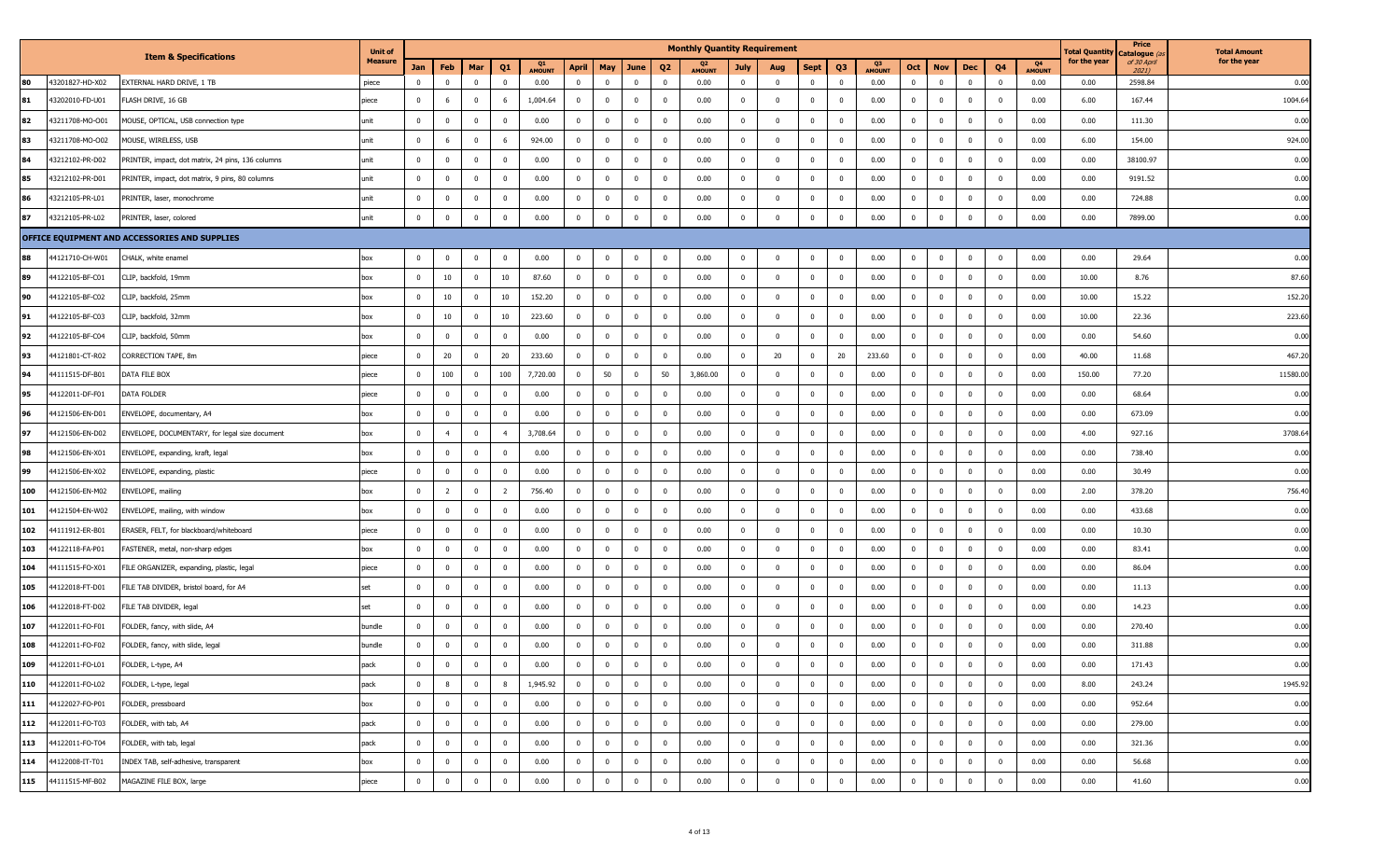|     |                 |                                                   | <b>Unit of</b> |                         |                |                |                         |                     |                         |                |                |                         | <b>Monthly Quantity Requirement</b> |                         |                         |                         |                |                     |                |                         |                |                |                     | Total Quantity | Price<br>Catalogue (a | <b>Total Amount</b> |
|-----|-----------------|---------------------------------------------------|----------------|-------------------------|----------------|----------------|-------------------------|---------------------|-------------------------|----------------|----------------|-------------------------|-------------------------------------|-------------------------|-------------------------|-------------------------|----------------|---------------------|----------------|-------------------------|----------------|----------------|---------------------|----------------|-----------------------|---------------------|
|     |                 | <b>Item &amp; Specifications</b>                  | <b>Measure</b> | Jan                     | Feb            | Mar            | Q <sub>1</sub>          | Q1<br><b>AMOUNT</b> | <b>April</b>            | May            | June           | Q <sub>2</sub>          | Q2<br><b>AMOUNT</b>                 | July                    | Aug                     | Sept                    | Q <sub>3</sub> | Q3<br><b>AMOUNT</b> | Oct            | <b>Nov</b>              | Dec            | Q <sub>4</sub> | Q4<br><b>AMOUNT</b> | for the year   | of 30 April<br>2021)  | for the year        |
| 80  | 43201827-HD-X02 | EXTERNAL HARD DRIVE, 1 TB                         | piece          | $\overline{\mathbf{0}}$ | $^{\circ}$     | $\mathbf{0}$   | $\overline{0}$          | 0.00                | $\overline{\mathbf{0}}$ | $\Omega$       | $\mathbf{0}$   | $\mathbf 0$             | 0.00                                | $\overline{0}$          | $\overline{0}$          | $\mathbf{0}$            | $\overline{0}$ | 0.00                | $\mathbf{0}$   | $\overline{0}$          | $\mathbf 0$    | $\mathbf 0$    | 0.00                | 0.00           | 2598.84               | 0.00                |
| 81  | 43202010-FD-U01 | FLASH DRIVE, 16 GB                                | piece          | $\mathbf{0}$            | 6              | $\overline{0}$ | 6                       | 1,004.64            | $\overline{0}$          | $\mathbf 0$    | $\bf{0}$       | $\overline{0}$          | 0.00                                | $\overline{0}$          | $\mathbf{0}$            | $\overline{0}$          | $\overline{0}$ | 0.00                | $\bf{0}$       | $\overline{\mathbf{0}}$ | $\mathbf 0$    | $\mathbf 0$    | 0.00                | 6.00           | 167.44                | 1004.64             |
| 82  | 43211708-MO-O01 | MOUSE, OPTICAL, USB connection type               | unit           | $\overline{0}$          | $\mathbf{0}$   | $\overline{0}$ | $\overline{0}$          | 0.00                | $\overline{0}$          | $\mathbf{0}$   | $\bf{0}$       | $\overline{\mathbf{0}}$ | 0.00                                | $\overline{0}$          | $\mathbf{0}$            | $\bf{0}$                | $\overline{0}$ | 0.00                | $\bf{0}$       | $\mathbf 0$             | $\overline{0}$ | $\overline{0}$ | 0.00                | 0.00           | 111.30                | 0.00                |
| 83  | 43211708-MO-O02 | MOUSE, WIRELESS, USB                              | unit           | $\mathbf 0$             | 6              | $\overline{0}$ | 6                       | 924.00              | $\Omega$                | $\Omega$       | $\mathbf 0$    | $\overline{0}$          | 0.00                                | $\mathbf{0}$            | $\mathbf 0$             | $\mathbf 0$             | $\overline{0}$ | 0.00                | $\mathbf 0$    | $\overline{0}$          | $\mathbf 0$    | $\overline{0}$ | 0.00                | 6.00           | 154.00                | 924.00              |
| 84  | 43212102-PR-D02 | PRINTER, impact, dot matrix, 24 pins, 136 columns | unit           | $\mathbf 0$             | $\mathbf 0$    | $\overline{0}$ | $\overline{0}$          | 0.00                | $\overline{0}$          | $\mathbf 0$    | $\mathbf 0$    | $\overline{\mathbf{0}}$ | 0.00                                | $\mathbf{0}$            | $\overline{0}$          | $\overline{0}$          | $\mathbf 0$    | 0.00                | $\mathbf 0$    | $\overline{\mathbf{0}}$ | $\mathbf 0$    | $\overline{0}$ | 0.00                | 0.00           | 38100.97              | 0.00                |
| 85  | 43212102-PR-D01 | PRINTER, impact, dot matrix, 9 pins, 80 columns   | unit           | $\overline{0}$          | $\mathbf{0}$   | $\overline{0}$ | $\overline{0}$          | 0.00                | $\overline{0}$          | $\Omega$       | $\bf{0}$       | $\overline{\mathbf{0}}$ | 0.00                                | $\overline{0}$          | $\overline{0}$          | $\bf{0}$                | $\overline{0}$ | 0.00                | $\bf{0}$       | $\mathbf 0$             | $\overline{0}$ | $\mathbf 0$    | 0.00                | 0.00           | 9191.52               | 0.00                |
| 86  | 43212105-PR-L01 | PRINTER, laser, monochrome                        | unit           | $\mathbf 0$             | $\mathbf{0}$   | $\mathbf{0}$   | $\mathbf{0}$            | 0.00                | $\mathbf{0}$            | $\Omega$       | $\bf{0}$       | $\mathbf 0$             | 0.00                                | $\mathbf 0$             | $^{\circ}$              | $\mathbf 0$             | $\mathbf 0$    | 0.00                | $\bf{0}$       | $\mathbf 0$             | $\overline{0}$ | $\overline{0}$ | 0.00                | 0.00           | 724.88                | 0.00                |
| 87  | 43212105-PR-L02 | PRINTER, laser, colored                           | unit           | $\overline{0}$          | $\overline{0}$ | $\mathbf 0$    | $\mathbf{0}$            | 0.00                | $\mathbf{0}$            | $\Omega$       | $\mathbf 0$    | $\overline{0}$          | 0.00                                | $\mathbf{0}$            | $\mathbf{0}$            | $\mathbf 0$             | $\mathbf 0$    | 0.00                | $\mathbf 0$    | $\overline{\mathbf{0}}$ | $\mathbf 0$    | $\overline{0}$ | 0.00                | 0.00           | 7899.00               | 0.00                |
|     |                 | OFFICE EQUIPMENT AND ACCESSORIES AND SUPPLIES     |                |                         |                |                |                         |                     |                         |                |                |                         |                                     |                         |                         |                         |                |                     |                |                         |                |                |                     |                |                       |                     |
| 88  | 44121710-CH-W01 | CHALK, white enamel                               | box            | $\mathbf 0$             | $\mathbf{0}$   | $\mathbf 0$    | $\mathbf 0$             | 0.00                | $\mathbf 0$             | $\mathbf{0}$   | $\bf{0}$       | $\overline{\mathbf{0}}$ | 0.00                                | 0                       | $\mathbf 0$             | $\mathbf 0$             | $\overline{0}$ | 0.00                | $\mathbf{0}$   | $\overline{\mathbf{0}}$ | $\mathbf{0}$   | $\overline{0}$ | 0.00                | 0.00           | 29.64                 | 0.00                |
| 89  | 44122105-BF-C01 | CLIP, backfold, 19mm                              | box            | $\overline{0}$          | 10             | $\mathbf 0$    | 10                      | 87.60               | $\overline{0}$          | $\bf{0}$       | $\mathbf{0}$   | $\overline{\mathbf{0}}$ | 0.00                                | $\mathbf 0$             | $\overline{0}$          | $\bf{0}$                | $\overline{0}$ | 0.00                | $\mathbf{0}$   | $\overline{\mathbf{0}}$ | $\mathbf 0$    | $\mathbf 0$    | 0.00                | 10.00          | 8.76                  | 87.60               |
| 90  | 44122105-BF-C02 | CLIP, backfold, 25mm                              | box            | $\bf{0}$                | 10             | $\mathbf{0}$   | 10                      | 152.20              | $\overline{\mathbf{0}}$ | $\bf{0}$       | $\mathbf{0}$   | $\overline{0}$          | 0.00                                | $\overline{0}$          | $\bf{0}$                | $\mathbf 0$             | $\overline{0}$ | 0.00                | $\bf{0}$       | $\overline{\mathbf{0}}$ | $\mathbf 0$    | $\mathbf 0$    | 0.00                | 10.00          | 15.22                 | 152.20              |
| 91  | 44122105-BF-C03 | CLIP, backfold, 32mm                              | box            | $\overline{0}$          | 10             | $\overline{0}$ | 10                      | 223.60              | $\overline{0}$          | $\bf{0}$       | $\bf{0}$       | $\overline{0}$          | 0.00                                | $\overline{0}$          | $\overline{0}$          | $\overline{0}$          | $\overline{0}$ | 0.00                | $\overline{0}$ | $\overline{0}$          | $\bf{0}$       | $\mathbf{0}$   | 0.00                | 10.00          | 22.36                 | 223.60              |
| 92  | 44122105-BF-C04 | CLIP, backfold, 50mm                              | box            | $\overline{0}$          | $\bf{0}$       | $\mathbf 0$    | $\overline{0}$          | 0.00                | $\overline{\mathbf{0}}$ | $\bf{0}$       | $\bf{0}$       | $\overline{\mathbf{0}}$ | 0.00                                | $^{\circ}$              | $\overline{\mathbf{0}}$ | $\bf{0}$                | $\overline{0}$ | 0.00                | $\bf{0}$       | $\overline{\mathbf{0}}$ | $\mathbf 0$    | $\overline{0}$ | 0.00                | 0.00           | 54.60                 | 0.00                |
| 93  | 44121801-CT-R02 | CORRECTION TAPE, 8m                               | piece          | $\overline{0}$          | 20             | $\mathbf 0$    | 20                      | 233.60              | $\overline{0}$          | $\mathbf 0$    | $\mathbf{0}$   | $\overline{0}$          | 0.00                                | $\mathbf{0}$            | 20                      | $\mathbf{0}$            | 20             | 233.60              | $\bf{0}$       | $\mathbf 0$             | $\mathbf 0$    | $\mathbf 0$    | 0.00                | 40.00          | 11.68                 | 467.20              |
| 94  | 44111515-DF-B01 | DATA FILE BOX                                     | piece          | $\overline{0}$          | 100            | $\overline{0}$ | 100                     | 7,720.00            | $\overline{0}$          | 50             | $\overline{0}$ | 50                      | 3,860.00                            | $\overline{\mathbf{0}}$ | $\overline{0}$          | $\overline{0}$          | $\overline{0}$ | 0.00                | $\overline{0}$ | $\overline{0}$          | $\bf{0}$       | $\mathbf{0}$   | 0.00                | 150.00         | 77.20                 | 11580.00            |
| 95  | 44122011-DF-F01 | DATA FOLDER                                       | piece          | $\mathbf 0$             | $\bf{0}$       | $\mathbf 0$    | $\overline{0}$          | 0.00                | $\overline{\mathbf{0}}$ | $\mathbf 0$    | $\bf{0}$       | $\overline{\mathbf{0}}$ | 0.00                                | $\mathbf{0}$            | $\overline{\mathbf{0}}$ | $\bf{0}$                | $\overline{0}$ | 0.00                | $\mathbf 0$    | $\overline{\mathbf{0}}$ | $\mathbf 0$    | $\overline{0}$ | 0.00                | 0.00           | 68.64                 | 0.00                |
| 96  | 44121506-EN-D01 | ENVELOPE, documentary, A4                         | box            | $\mathbf 0$             | $\mathbf 0$    | $\mathbf 0$    | $\overline{0}$          | 0.00                | $\overline{0}$          | $\bf{0}$       | $\mathbf{0}$   | $\overline{\mathbf{0}}$ | 0.00                                | $\mathbf{0}$            | $\mathbf 0$             | $\mathbf{0}$            | $\overline{0}$ | 0.00                | $\bf{0}$       | $\overline{0}$          | $\mathbf 0$    | $\overline{0}$ | 0.00                | 0.00           | 673.09                | 0.00                |
| 97  | 44121506-EN-D02 | ENVELOPE, DOCUMENTARY, for legal size document    | box            | $\overline{0}$          | $\overline{4}$ | $\overline{0}$ | $\overline{4}$          | 3,708.64            | $\overline{0}$          | $\bf{0}$       | $\bf{0}$       | $\overline{0}$          | 0.00                                | $\overline{0}$          | $\overline{0}$          | $\overline{0}$          | $\overline{0}$ | 0.00                | $\overline{0}$ | $\overline{0}$          | $\mathbf{0}$   | $\mathbf 0$    | 0.00                | 4.00           | 927.16                | 3708.64             |
| 98  | 44121506-EN-X01 | ENVELOPE, expanding, kraft, legal                 | box            | $\overline{0}$          | $\bf{0}$       | $\mathbf 0$    | $\overline{0}$          | 0.00                | $\overline{\mathbf{0}}$ | $\bf{0}$       | $\bf{0}$       | $\overline{\mathbf{0}}$ | 0.00                                | $\mathbf{0}$            | $\overline{\mathbf{0}}$ | $\mathbf 0$             | $\overline{0}$ | 0.00                | $\bf{0}$       | $\overline{\mathbf{0}}$ | $\mathbf 0$    | $\overline{0}$ | 0.00                | 0.00           | 738.40                | 0.00                |
| 99  | 44121506-EN-X02 | ENVELOPE, expanding, plastic                      | piece          | $\mathbf 0$             | $\bf{0}$       | $\overline{0}$ | $\overline{0}$          | 0.00                | $\mathbf 0$             | $\mathbf 0$    | $\mathbf{0}$   | $\overline{0}$          | 0.00                                | $\bf{0}$                | $\overline{0}$          | $\mathbf{0}$            | $\overline{0}$ | 0.00                | $\mathbf 0$    | $\overline{0}$          | $\mathbf 0$    | $\mathbf 0$    | 0.00                | 0.00           | 30.49                 | 0.00                |
| 100 | 44121506-EN-M02 | ENVELOPE, mailing                                 | box            | $\overline{0}$          | $\overline{2}$ | $\overline{0}$ | $\overline{2}$          | 756.40              | $\overline{0}$          | $\overline{0}$ | $\mathbf 0$    | $\overline{\mathbf{0}}$ | 0.00                                | $\mathbf 0$             | $\mathbf 0$             | $\bf{0}$                | $\overline{0}$ | 0.00                | $\mathbf 0$    | $\mathbf 0$             | $\mathbf 0$    | $\overline{0}$ | 0.00                | 2.00           | 378.20                | 756.40              |
| 101 | 44121504-EN-W02 | ENVELOPE, mailing, with window                    | box            | $\mathbf 0$             | $\bf{0}$       | $\overline{0}$ | $\overline{0}$          | 0.00                | $\overline{0}$          | $\mathbf{0}$   | $\bf{0}$       | $\overline{\mathbf{0}}$ | 0.00                                | $^{\circ}$              | $\overline{0}$          | $\bf{0}$                | $\overline{0}$ | 0.00                | $\mathbf{0}$   | $\mathbf 0$             | $\mathbf 0$    | $\mathbf 0$    | 0.00                | 0.00           | 433.68                | 0.00                |
| 102 | 44111912-ER-B01 | ERASER, FELT, for blackboard/whiteboard           | piece          | $\mathbf 0$             | $\mathbf{0}$   | $\overline{0}$ | $\overline{0}$          | 0.00                | $\overline{0}$          | $\overline{0}$ | $\bf{0}$       | $\mathbf{0}$            | 0.00                                | $\mathbf 0$             | $\mathbf{0}$            | $\bf{0}$                | $\overline{0}$ | 0.00                | $\mathbf 0$    | $\mathbf 0$             | $\mathbf 0$    | $\overline{0}$ | 0.00                | 0.00           | 10.30                 | 0.00                |
| 103 | 44122118-FA-P01 | FASTENER, metal, non-sharp edges                  | box            | $\mathbf 0$             | $\overline{0}$ | $\overline{0}$ | $\overline{0}$          | 0.00                | $\overline{0}$          | $\Omega$       | $\mathbf 0$    | $\overline{0}$          | 0.00                                | $\mathbf 0$             | $\mathbf 0$             | $\overline{0}$          | $\mathbf 0$    | 0.00                | $\mathbf 0$    | $\mathbf 0$             | $\mathbf 0$    | $\overline{0}$ | 0.00                | 0.00           | 83.41                 | 0.00                |
| 104 | 44111515-FO-X01 | FILE ORGANIZER, expanding, plastic, legal         | piece          | $\mathbf 0$             | $\bf{0}$       | $\overline{0}$ | $\overline{0}$          | 0.00                | $\overline{0}$          | $\mathbf 0$    | $\overline{0}$ | $\overline{\mathbf{0}}$ | 0.00                                | $\mathbf{0}$            | $\overline{0}$          | $\overline{0}$          | $\overline{0}$ | 0.00                | $\mathbf{0}$   | $\overline{0}$          | $\mathbf 0$    | $\mathbf 0$    | 0.00                | 0.00           | 86.04                 | 0.00                |
| 105 | 44122018-FT-D01 | FILE TAB DIVIDER, bristol board, for A4           | set            | $\mathbf 0$             | $\mathbf{0}$   | $\mathbf{0}$   | $\mathbf 0$             | 0.00                | $\overline{0}$          | $\Omega$       | $\bf{0}$       | $\mathbf 0$             | 0.00                                | $\bf{0}$                | $\mathbf 0$             | $\mathbf 0$             | $\mathbf{0}$   | 0.00                | $\bf{0}$       | $\mathbf 0$             | $\overline{0}$ | $\overline{0}$ | 0.00                | 0.00           | 11.13                 | 0.00                |
| 106 | 44122018-FT-D02 | FILE TAB DIVIDER, legal                           | set            | $\mathbf 0$             | $\overline{0}$ | $\mathbf 0$    | $\overline{0}$          | 0.00                | $\overline{0}$          | $\mathbf 0$    | $\mathbf 0$    | $\overline{\mathbf{0}}$ | 0.00                                | $\bf{0}$                | $\mathbf 0$             | $\mathbf 0$             | $\overline{0}$ | 0.00                | $\mathbf 0$    | $\overline{\mathbf{0}}$ | $\mathbf 0$    | $\overline{0}$ | 0.00                | 0.00           | 14.23                 | 0.00                |
| 107 | 44122011-FO-F01 | FOLDER, fancy, with slide, A4                     | bundle         | $\mathbf 0$             | $\mathbf{0}$   | $\overline{0}$ | $\overline{0}$          | 0.00                | $\overline{0}$          | $\overline{0}$ | $\mathbf{0}$   | $\overline{\mathbf{0}}$ | 0.00                                | $\mathbf{0}$            | $\mathbf{0}$            | $\mathbf 0$             | $\overline{0}$ | 0.00                | $\mathbf 0$    | $\overline{0}$          | $\mathbf 0$    | $\mathbf 0$    | 0.00                | 0.00           | 270.40                | 0.00                |
| 108 | 44122011-FO-F02 | FOLDER, fancy, with slide, legal                  | bundle         | $\overline{0}$          | $\mathbf{0}$   | $\mathbf 0$    | $\Omega$                | 0.00                | $\mathbf 0$             | $\Omega$       | $\bf{0}$       | $\mathbf 0$             | 0.00                                | 0                       | $\mathbf{0}$            | 0                       | $\mathbf{0}$   | 0.00                | $\bf{0}$       | $\mathbf 0$             | $\mathbf 0$    | $\overline{0}$ | 0.00                | 0.00           | 311.88                | 0.00                |
| 109 | 44122011-FO-L01 | FOLDER, L-type, A4                                | pack           | $\overline{0}$          | $\overline{0}$ | $\overline{0}$ | $\overline{\mathbf{0}}$ | 0.00                | $\overline{0}$          | $\bf{0}$       | $\overline{0}$ | $\bf{0}$                | 0.00                                | $\overline{0}$          | $\overline{0}$          | $\mathbf{0}$            | $\overline{0}$ | 0.00                | $\mathbf{0}$   | $\overline{0}$          | $\bf{0}$       | $\overline{0}$ | 0.00                | 0.00           | 171.43                | 0.00                |
| 110 | 44122011-FO-L02 | FOLDER, L-type, legal                             | pack           | $\overline{0}$          | 8              | $\mathbf 0$    | 8                       | 1,945.92            | $\overline{0}$          | $\mathbf 0$    | $\mathbf 0$    | $\overline{0}$          | 0.00                                | $\overline{0}$          | $\mathbf{0}$            | $\mathbf{0}$            | $\overline{0}$ | 0.00                | $\mathbf{0}$   | $\overline{\mathbf{0}}$ | $\mathbf 0$    | $\overline{0}$ | 0.00                | 8.00           | 243.24                | 1945.92             |
| 111 | 44122027-FO-P01 | FOLDER, pressboard                                | box            | $\overline{0}$          | $\bf{0}$       | $\overline{0}$ | $\overline{0}$          | 0.00                | $\overline{\mathbf{0}}$ | $\overline{0}$ | $\overline{0}$ | $\overline{0}$          | 0.00                                | $\overline{0}$          | $\bf{0}$                | $\bf{0}$                | $\overline{0}$ | 0.00                | $\bf{0}$       | $\overline{\mathbf{0}}$ | $\mathbf{0}$   | $\overline{0}$ | 0.00                | 0.00           | 952.64                | 0.00                |
| 112 | 44122011-FO-T03 | FOLDER, with tab, A4                              | pack           | $\overline{0}$          | $\overline{0}$ | $\overline{0}$ | $\overline{0}$          | 0.00                | $\overline{\mathbf{0}}$ | $\bf{0}$       | $\overline{0}$ | $\overline{0}$          | 0.00                                | $\overline{0}$          | $\bf{0}$                | $\overline{0}$          | $\overline{0}$ | 0.00                | $\overline{0}$ | $\overline{\mathbf{0}}$ | $\mathbf 0$    | $\overline{0}$ | 0.00                | 0.00           | 279.00                | 0.00                |
| 113 | 44122011-FO-T04 | FOLDER, with tab, legal                           | pack           | $\overline{0}$          | $\bf{0}$       | $\mathbf 0$    | $\overline{0}$          | 0.00                | $\overline{0}$          | $\bf{0}$       | $\overline{0}$ | $\overline{0}$          | 0.00                                | $\mathbf{0}$            | $\overline{0}$          | $\overline{0}$          | $\overline{0}$ | 0.00                | $\mathbf{0}$   | $\overline{\mathbf{0}}$ | $\mathbf 0$    | $\overline{0}$ | 0.00                | 0.00           | 321.36                | 0.00                |
| 114 | 44122008-IT-T01 | INDEX TAB, self-adhesive, transparent             | box            | $\overline{0}$          | $\bf{0}$       | $\mathbf 0$    | $\mathbf 0$             | 0.00                | $\mathbf 0$             | $\mathbf 0$    | $\bf{0}$       | $\mathbf{0}$            | 0.00                                | $\overline{0}$          | $\mathbf 0$             | $\mathbf 0$             | $\overline{0}$ | 0.00                | $\bf{0}$       | $\overline{\mathbf{0}}$ | $\mathbf{0}$   | $\overline{0}$ | 0.00                | 0.00           | 56.68                 | 0.00                |
| 115 | 44111515-MF-B02 | MAGAZINE FILE BOX, large                          | piece          | $\overline{0}$          | $\overline{0}$ | $\mathbf 0$    | $\overline{0}$          | 0.00                | $\mathbf 0$             | $\mathbf 0$    | $\overline{0}$ | $\overline{0}$          | 0.00                                | $\overline{0}$          | $\overline{0}$          | $\overline{\mathbf{0}}$ | $\mathbf 0$    | 0.00                | $\overline{0}$ | $\overline{\mathbf{0}}$ | $\mathbf 0$    | $\overline{0}$ | 0.00                | 0.00           | 41.60                 | 0.00                |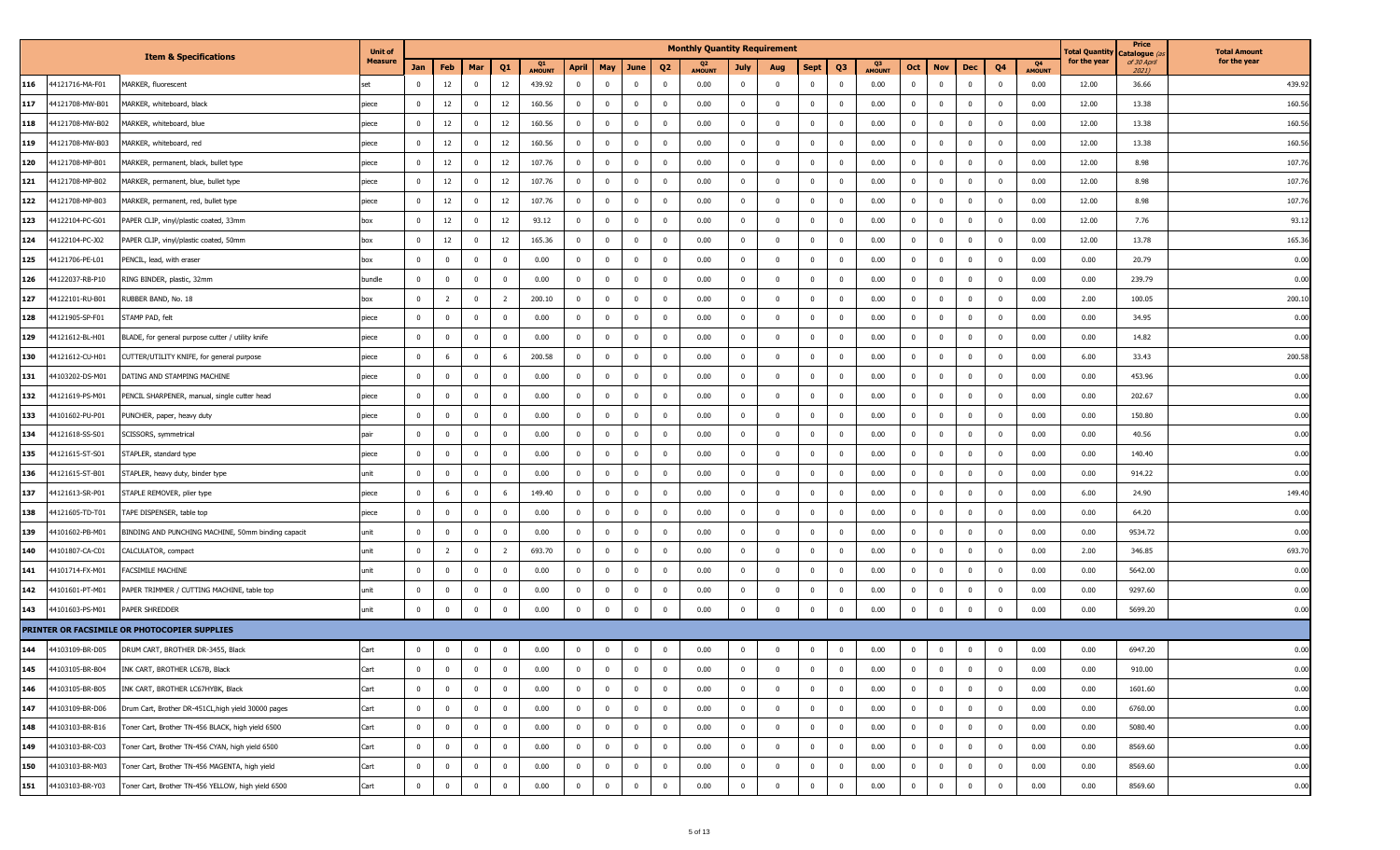|     |                 |                                                     | <b>Unit of</b> |                |                |                         |                         |                     |                         |                |                |                         | <b>Monthly Quantity Requirement</b> |                |                |                         |                         |                     |                |                         |                |                         |                     | Total Quantity | Price<br>Catalogue <i>(a</i> | <b>Total Amount</b> |
|-----|-----------------|-----------------------------------------------------|----------------|----------------|----------------|-------------------------|-------------------------|---------------------|-------------------------|----------------|----------------|-------------------------|-------------------------------------|----------------|----------------|-------------------------|-------------------------|---------------------|----------------|-------------------------|----------------|-------------------------|---------------------|----------------|------------------------------|---------------------|
|     |                 | <b>Item &amp; Specifications</b>                    | <b>Measure</b> | Jan            | Feb            | Mar                     | Q1                      | Q1<br><b>AMOUNT</b> | <b>April</b>            | May            | June           | Q <sub>2</sub>          | <b>AMOUNT</b>                       | July           | Aug            | Sept                    | Q <sub>3</sub>          | 03<br><b>AMOUNT</b> | Oct            | <b>Nov</b>              | Dec            | Q4                      | Q4<br><b>AMOUNT</b> | for the year   | of 30 April<br>2021)         | for the year        |
| 116 | 44121716-MA-F01 | MARKER, fluorescent                                 |                | $\mathbf 0$    | 12             | $\overline{0}$          | 12                      | 439.92              | $\overline{\mathbf{0}}$ | $\mathbf 0$    | $\mathbf 0$    | $\overline{\mathbf{0}}$ | 0.00                                | $\mathbf{0}$   | $\mathbf 0$    | $\mathbf{0}$            | $\overline{0}$          | 0.00                | $\mathbf{0}$   | $\overline{0}$          | $\mathbf{0}$   | $\mathbf 0$             | 0.00                | 12.00          | 36.66                        | 439.92              |
| 117 | 44121708-MW-B01 | MARKER, whiteboard, black                           | piece          | $\mathbf{0}$   | 12             | $\mathbf{0}$            | 12                      | 160.56              | $\overline{\mathbf{0}}$ | $^{\circ}$     | $\mathbf{0}$   | $\overline{\mathbf{0}}$ | 0.00                                | 0              | 0              | $\mathbf 0$             | 0                       | 0.00                | $\mathbf 0$    | $\overline{\mathbf{0}}$ | $\mathbf 0$    | $^{\circ}$              | 0.00                | 12.00          | 13.38                        | 160.56              |
| 118 | 44121708-MW-B02 | MARKER, whiteboard, blue                            | piece          | $\mathbf{0}$   | 12             | $\overline{0}$          | 12                      | 160.56              | $\overline{0}$          | $\mathbf 0$    | $\mathbf{0}$   | $\overline{\mathbf{0}}$ | 0.00                                | $\mathbf{0}$   | $^{\circ}$     | $\mathbf{0}$            | $\overline{0}$          | 0.00                | $\mathbf{0}$   | $\overline{\mathbf{0}}$ | $\mathbf 0$    | $\mathbf{0}$            | 0.00                | 12.00          | 13.38                        | 160.56              |
| 119 | 44121708-MW-B03 | MARKER, whiteboard, red                             | piece          | $\mathbf 0$    | 12             | $\mathbf 0$             | 12                      | 160.56              | $\overline{\mathbf{0}}$ | $\mathbf{0}$   | $\bf{0}$       | $\overline{\mathbf{0}}$ | 0.00                                | $\overline{0}$ | $\bf{0}$       | $\mathbf{0}$            | $\overline{0}$          | 0.00                | $\overline{0}$ | $\overline{0}$          | $\bf{0}$       | $\mathbf 0$             | 0.00                | 12.00          | 13.38                        | 160.56              |
| 120 | 44121708-MP-B01 | MARKER, permanent, black, bullet type               | piece          | $\mathbf{0}$   | 12             | $\overline{0}$          | 12                      | 107.76              | $\overline{\mathbf{0}}$ | $\mathbf{0}$   | $\bf{0}$       | $\overline{\mathbf{0}}$ | 0.00                                | 0              | $\mathbf 0$    | $\mathbf 0$             | $\overline{\mathbf{0}}$ | 0.00                | $\mathbf{0}$   | $\overline{\mathbf{0}}$ | $\mathbf 0$    | $^{\circ}$              | 0.00                | 12.00          | 8.98                         | 107.76              |
| 121 | 44121708-MP-B02 | MARKER, permanent, blue, bullet type                | piece          | $\mathbf{0}$   | 12             | $\overline{0}$          | 12                      | 107.76              | $\overline{\mathbf{0}}$ | $\bf{0}$       | $\mathbf{0}$   | $\overline{\mathbf{0}}$ | 0.00                                | $\mathbf{0}$   | $\Omega$       | $\mathbf{0}$            | $\overline{0}$          | 0.00                | $\mathbf{0}$   | $\overline{0}$          | $\mathbf{0}$   | $\Omega$                | 0.00                | 12.00          | 8.98                         | 107.76              |
| 122 | 44121708-MP-B03 | MARKER, permanent, red, bullet type                 | piece          | $\mathbf 0$    | 12             | $\overline{\mathbf{0}}$ | 12                      | 107.76              | $\overline{\mathbf{0}}$ | $\mathbf{0}$   | $\bf{0}$       | $\overline{\mathbf{0}}$ | 0.00                                | $\mathbf 0$    | $\mathbf 0$    | $\mathbf{0}$            | $\overline{0}$          | 0.00                | $\overline{0}$ | $\overline{\mathbf{0}}$ | $\mathbf{0}$   | $\mathbf 0$             | 0.00                | 12.00          | 8.98                         | 107.76              |
| 123 | 44122104-PC-G01 | PAPER CLIP, vinyl/plastic coated, 33mm              | box            | $\overline{0}$ | 12             | $\mathbf 0$             | 12                      | 93.12               | $\overline{\mathbf{0}}$ | $\mathbf{0}$   | $\mathbf{0}$   | $\overline{\mathbf{0}}$ | 0.00                                | 0              | 0              | $\mathbf{0}$            | $\overline{\mathbf{0}}$ | 0.00                | $\mathbf{0}$   | $\overline{\mathbf{0}}$ | $\overline{0}$ | $^{\circ}$              | 0.00                | 12.00          | 7.76                         | 93.12               |
| 124 | 44122104-PC-J02 | PAPER CLIP, vinyl/plastic coated, 50mm              | box            | $\mathbf{0}$   | 12             | $\overline{0}$          | 12                      | 165.36              | $\overline{0}$          | $\mathbf 0$    | $\mathbf{0}$   | $\overline{\mathbf{0}}$ | 0.00                                | $\mathbf{0}$   | $\mathbf{0}$   | $\mathbf{0}$            | $\overline{0}$          | 0.00                | $\mathbf{0}$   | $\overline{\mathbf{0}}$ | $\mathbf{0}$   | $\Omega$                | 0.00                | 12.00          | 13.78                        | 165.36              |
| 125 | 44121706-PE-L01 | PENCIL, lead, with eraser                           | box            | $\overline{0}$ | $\mathbf 0$    | $\mathbf 0$             | $\overline{0}$          | 0.00                | $\overline{\mathbf{0}}$ | $\mathbf{0}$   | $\bf{0}$       | $\bf{0}$                | 0.00                                | $\mathbf 0$    | $\bf{0}$       | $\mathbf{0}$            | $\overline{0}$          | 0.00                | $\overline{0}$ | $\overline{0}$          | $\bf{0}$       | $\mathbf 0$             | 0.00                | 0.00           | 20.79                        | 0.00                |
| 126 | 44122037-RB-P10 | RING BINDER, plastic, 32mm                          | bundle         | $\mathbf{0}$   | $^{\circ}$     | $\mathbf 0$             | $\overline{\mathbf{0}}$ | 0.00                | $\overline{\mathbf{0}}$ | $\mathbf{0}$   | $\bf{0}$       | $\overline{\mathbf{0}}$ | 0.00                                | 0              | $\mathbf 0$    | $\mathbf{0}$            | $\overline{\mathbf{0}}$ | 0.00                | $\mathbf{0}$   | $\mathbf 0$             | $\mathbf 0$    | $^{\circ}$              | 0.00                | 0.00           | 239.79                       | 0.00                |
| 127 | 44122101-RU-B01 | RUBBER BAND, No. 18                                 | box            | $\mathbf{0}$   | $\overline{2}$ | $\overline{0}$          | 2                       | 200.10              | $\overline{0}$          | $\mathbf{0}$   | $\mathbf{0}$   | $\overline{\mathbf{0}}$ | 0.00                                | $\mathbf{0}$   | $\Omega$       | $\mathbf{0}$            | $\overline{0}$          | 0.00                | $\mathbf{0}$   | $\overline{0}$          | $\mathbf{0}$   | $\Omega$                | 0.00                | 2.00           | 100.05                       | 200.10              |
| 128 | 44121905-SP-F01 | STAMP PAD, felt                                     | piece          | $\mathbf 0$    | $\mathbf 0$    | $\mathbf 0$             | $\overline{0}$          | 0.00                | $\overline{\mathbf{0}}$ | $\mathbf{0}$   | $\bf{0}$       | $\overline{\mathbf{0}}$ | 0.00                                | $\mathbf 0$    | $\mathbf 0$    | $\mathbf{0}$            | $\overline{0}$          | 0.00                | $\overline{0}$ | $\overline{\mathbf{0}}$ | $\mathbf{0}$   | $\mathbf 0$             | 0.00                | 0.00           | 34.95                        | 0.00                |
| 129 | 44121612-BL-H01 | BLADE, for general purpose cutter / utility knife   | piece          | $\mathbf 0$    | $^{\circ}$     | $\overline{0}$          | $\mathbf 0$             | 0.00                | $\mathbf 0$             | $^{\circ}$     | $\mathbf{0}$   | $\bf{0}$                | 0.00                                | 0              | $\mathbf 0$    | $\mathbf 0$             | $\overline{0}$          | 0.00                | $\mathbf 0$    | $\mathbf{0}$            | $\mathbf 0$    |                         | 0.00                | 0.00           | 14.82                        | 0.00                |
| 130 | 44121612-CU-H01 | CUTTER/UTILITY KNIFE, for general purpose           | piece          | $\overline{0}$ | 6              | $\Omega$                | 6                       | 200.58              | $\overline{0}$          | $\bf{0}$       | $\mathbf{0}$   | $\overline{\mathbf{0}}$ | 0.00                                | $\mathbf{0}$   | $\mathbf 0$    | $\mathbf{0}$            | $\mathbf 0$             | 0.00                | $\mathbf{0}$   | $\overline{0}$          | $\mathbf{0}$   | $\Omega$                | 0.00                | 6.00           | 33.43                        | 200.58              |
| 131 | 44103202-DS-M01 | DATING AND STAMPING MACHINE                         | piece          | $\mathbf 0$    | $\mathbf 0$    | $\overline{0}$          | $\overline{0}$          | 0.00                | $\overline{0}$          | $\mathbf{0}$   | $\bf{0}$       | $\overline{\mathbf{0}}$ | 0.00                                | $\mathbf 0$    | $\mathbf 0$    | $\overline{\mathbf{0}}$ | $\overline{0}$          | 0.00                | $\overline{0}$ | $\overline{0}$          | $\mathbf{0}$   | $\mathbf 0$             | 0.00                | 0.00           | 453.96                       | 0.00                |
| 132 | 44121619-PS-M01 | PENCIL SHARPENER, manual, single cutter head        | piece          | 0              | $^{\circ}$     | $\overline{0}$          | $\mathbf 0$             | 0.00                | $\mathbf 0$             | $^{\circ}$     | $\mathbf{0}$   | $\bf{0}$                | 0.00                                | 0              | $\mathbf 0$    | $\mathbf 0$             | $\overline{0}$          | 0.00                | $\mathbf 0$    | $\overline{0}$          | $\mathbf 0$    |                         | 0.00                | 0.00           | 202.67                       | 0.00                |
| 133 | 44101602-PU-P01 | PUNCHER, paper, heavy duty                          | piece          | $^{\circ}$     | $\mathbf{0}$   | $\Omega$                | $\overline{0}$          | 0.00                | $\overline{0}$          | $\Omega$       | $\mathbf{0}$   | $\overline{0}$          | 0.00                                | $\mathbf{0}$   | $\Omega$       | $\mathbf{0}$            | $\overline{0}$          | 0.00                | $^{\circ}$     | $\overline{0}$          | $\mathbf{0}$   | $\Omega$                | 0.00                | 0.00           | 150.80                       | 0.00                |
| 134 | 44121618-SS-S01 | SCISSORS, symmetrical                               | pair           | $\mathbf 0$    | $\mathbf 0$    | $\mathbf 0$             | $\overline{0}$          | 0.00                | $\overline{\mathbf{0}}$ | $\mathbf{0}$   | $\bf{0}$       | $\overline{\mathbf{0}}$ | 0.00                                | $\mathbf 0$    | $\mathbf 0$    | $\mathbf{0}$            | $\overline{0}$          | 0.00                | $\overline{0}$ | $\overline{\mathbf{0}}$ | $\mathbf{0}$   | $\mathbf 0$             | 0.00                | 0.00           | 40.56                        | 0.00                |
| 135 | 44121615-ST-S01 | STAPLER, standard type                              | piece          | $\mathbf 0$    | $^{\circ}$     | $\overline{0}$          | $\mathbf 0$             | 0.00                | $\mathbf 0$             | $^{\circ}$     | $\mathbf{0}$   | $\bf{0}$                | 0.00                                | 0              | $\mathbf 0$    | $\mathbf 0$             | $\overline{0}$          | 0.00                | $\mathbf 0$    | $^{\circ}$              | $\mathbf 0$    |                         | 0.00                | 0.00           | 140.40                       | 0.00                |
| 136 | 44121615-ST-B01 | STAPLER, heavy duty, binder type                    | unit           | $\overline{0}$ | $\mathbf{0}$   | $\Omega$                | $\overline{0}$          | 0.00                | $\overline{0}$          | $\mathbf{0}$   | $\mathbf{0}$   | $\overline{0}$          | 0.00                                | $\overline{0}$ | $\mathbf 0$    | $\mathbf{0}$            | $\mathbf 0$             | 0.00                | $\mathbf{0}$   | $\overline{0}$          | $\mathbf{0}$   | $\Omega$                | 0.00                | 0.00           | 914.22                       | 0.00                |
| 137 | 44121613-SR-P01 | STAPLE REMOVER, plier type                          | piece          | $\mathbf 0$    | -6             | $\overline{0}$          | 6                       | 149.40              | $\overline{0}$          | $\mathbf{0}$   | $\bf{0}$       | $\overline{\mathbf{0}}$ | 0.00                                | $\mathbf 0$    | $\mathbf 0$    | $\overline{0}$          | $\overline{0}$          | 0.00                | $\overline{0}$ | $\overline{\mathbf{0}}$ | $\mathbf{0}$   | $\mathbf 0$             | 0.00                | 6.00           | 24.90                        | 149.40              |
| 138 | 44121605-TD-T01 | TAPE DISPENSER, table top                           | piece          | 0              | $^{\circ}$     | $\overline{0}$          | $\mathbf 0$             | 0.00                | $\mathbf 0$             | $^{\circ}$     | $\mathbf{0}$   | 0                       | 0.00                                | 0              | $\mathbf 0$    | $\mathbf 0$             | $\overline{0}$          | 0.00                | $\mathbf 0$    | $\overline{0}$          | $\mathbf 0$    |                         | 0.00                | 0.00           | 64.20                        | 0.00                |
| 139 | 44101602-PB-M01 | BINDING AND PUNCHING MACHINE, 50mm binding capacit  | unit           | $\mathbf 0$    | $^{\circ}$     | $\Omega$                | $\overline{0}$          | 0.00                | $\overline{0}$          | $\Omega$       | $\mathbf{0}$   | $\overline{0}$          | 0.00                                | $\overline{0}$ | $\Omega$       | $\mathbf{0}$            | $\mathbf{0}$            | 0.00                | $\mathbf{0}$   | $\overline{0}$          | $\mathbf{0}$   | $\Omega$                | 0.00                | 0.00           | 9534.72                      | 0.00                |
| 140 | 44101807-CA-C01 | CALCULATOR, compact                                 | unit           | $\mathbf 0$    | $\overline{2}$ | $\mathbf 0$             | $\overline{2}$          | 693.70              | $\overline{0}$          | $\mathbf{0}$   | $\bf{0}$       | $\overline{\mathbf{0}}$ | 0.00                                | $\mathbf 0$    | $\mathbf 0$    | $\overline{0}$          | $\overline{0}$          | 0.00                | $\overline{0}$ | $\overline{\mathbf{0}}$ | $\mathbf{0}$   | $\mathbf 0$             | 0.00                | 2.00           | 346.85                       | 693.70              |
| 141 | 44101714-FX-M01 | ACSIMILE MACHINE                                    | unit           | $\mathbf 0$    | $^{\circ}$     | $\overline{0}$          | $\mathbf 0$             | 0.00                | $\mathbf 0$             | $\mathbf{0}$   | $\mathbf{0}$   | $\bf{0}$                | 0.00                                | 0              | $\mathbf 0$    | 0                       | $\overline{0}$          | 0.00                | $\mathbf 0$    | $^{\circ}$              | $\mathbf 0$    |                         | 0.00                | 0.00           | 5642.00                      | 0.00                |
| 142 | 44101601-PT-M01 | PAPER TRIMMER / CUTTING MACHINE, table top          | unit           | $\mathbf 0$    | $^{\circ}$     | $\overline{0}$          | $\mathbf 0$             | 0.00                | $\mathbf 0$             | $\overline{0}$ | $\mathbf{0}$   | $\overline{0}$          | 0.00                                | $\mathbf 0$    | $\Omega$       | $\mathbf 0$             | $\overline{0}$          | 0.00                | $\mathbf{0}$   | $\mathbf 0$             | $\mathbf{0}$   | $\Omega$                | 0.00                | 0.00           | 9297.60                      | 0.00                |
| 143 | 44101603-PS-M01 | PAPER SHREDDER                                      | unit           | $\mathbf 0$    | $\mathbf 0$    | $\mathbf 0$             | $\overline{0}$          | 0.00                | $\overline{\mathbf{0}}$ | $\overline{0}$ | $\mathbf 0$    | $\overline{\mathbf{0}}$ | 0.00                                | $\mathbf 0$    | $\mathbf 0$    | $\overline{0}$          | $\overline{0}$          | 0.00                | $\mathbf{0}$   | $\overline{\mathbf{0}}$ | $\mathbf 0$    | $\overline{0}$          | 0.00                | 0.00           | 5699.20                      | 0.00                |
|     |                 | PRINTER OR FACSIMILE OR PHOTOCOPIER SUPPLIES        |                |                |                |                         |                         |                     |                         |                |                |                         |                                     |                |                |                         |                         |                     |                |                         |                |                         |                     |                |                              |                     |
| 144 | 44103109-BR-D05 | DRUM CART, BROTHER DR-3455, Black                   | Cart           | $\mathbf 0$    | $\mathbf{0}$   | $\overline{0}$          | $\mathbf 0$             | 0.00                | $\overline{\mathbf{0}}$ | $\mathbf{0}$   | $\bf{0}$       | $\overline{\mathbf{0}}$ | 0.00                                | $\overline{0}$ | $\mathbf 0$    | $\bf{0}$                | $\overline{0}$          | 0.00                | $\overline{0}$ | $\overline{\mathbf{0}}$ | $\mathbf 0$    | $\mathbf{0}$            | 0.00                | 0.00           | 6947.20                      | 0.00                |
| 145 | 44103105-BR-B04 | INK CART, BROTHER LC67B, Black                      | Cart           | $\mathbf 0$    | $\mathbf{0}$   | $\overline{0}$          | $\mathbf 0$             | 0.00                | $\mathbf 0$             | $\mathbf{0}$   | $\overline{0}$ | $\overline{\mathbf{0}}$ | 0.00                                | 0              | $\mathbf 0$    | $\bf{0}$                | $\overline{0}$          | 0.00                | $\mathbf{0}$   | $\overline{\mathbf{0}}$ | $\mathbf{0}$   | $\mathbf 0$             | 0.00                | 0.00           | 910.00                       | 0.00                |
| 146 | 44103105-BR-B05 | INK CART, BROTHER LC67HYBK, Black                   | Cart           | $\mathbf 0$    | $\overline{0}$ | $\overline{0}$          | $\bf{0}$                | 0.00                | $\overline{0}$          | $\overline{0}$ | $\mathbf{0}$   | $\overline{\mathbf{0}}$ | 0.00                                | $\overline{0}$ | $\mathbf{0}$   | $\overline{0}$          | $\overline{0}$          | 0.00                | $\overline{0}$ | $\overline{\mathbf{0}}$ | $\mathbf{0}$   | $\overline{\mathbf{0}}$ | 0.00                | 0.00           | 1601.60                      | 0.00                |
| 147 | 44103109-BR-D06 | Drum Cart, Brother DR-451CL, high yield 30000 pages | Cart           | $\mathbf 0$    | $\bf{0}$       | $\overline{0}$          | $\overline{0}$          | 0.00                | $\overline{0}$          | $\bf{0}$       | $\mathbf 0$    | $\overline{\mathbf{0}}$ | 0.00                                | $\overline{0}$ | $\overline{0}$ | $\overline{0}$          | $\overline{0}$          | 0.00                | $\mathbf{0}$   | $\overline{\mathbf{0}}$ | $\mathbf 0$    | $\overline{0}$          | 0.00                | 0.00           | 6760.00                      | 0.00                |
| 148 | 44103103-BR-B16 | Toner Cart, Brother TN-456 BLACK, high yield 6500   | Cart           | $\bf{0}$       | $\mathbf{0}$   | $\overline{0}$          | $\bf{0}$                | 0.00                | $\bf{0}$                | $\bf{0}$       | $\overline{0}$ | $\overline{\mathbf{0}}$ | 0.00                                | $\overline{0}$ | $\mathbf 0$    | $\mathbf{0}$            | $\overline{0}$          | 0.00                | $\overline{0}$ | $\overline{\mathbf{0}}$ | $\mathbf{0}$   | $\overline{0}$          | 0.00                | 0.00           | 5080.40                      | 0.00                |
| 149 | 44103103-BR-C03 | Toner Cart, Brother TN-456 CYAN, high yield 6500    | Cart           | $\mathbf 0$    | $\overline{0}$ | $\overline{0}$          | $\overline{0}$          | 0.00                | $\bf{0}$                | $\overline{0}$ | $\overline{0}$ | $\overline{\mathbf{0}}$ | 0.00                                | $\mathbf 0$    | $\bf{0}$       | $\overline{0}$          | $\overline{0}$          | 0.00                | $\overline{0}$ | $\overline{\mathbf{0}}$ | $\mathbf{0}$   | $\mathbf{0}$            | 0.00                | 0.00           | 8569.60                      | 0.00                |
| 150 | 44103103-BR-M03 | Toner Cart, Brother TN-456 MAGENTA, high yield      | Cart           | $\mathbf 0$    | $\mathbf{0}$   | $\mathbf 0$             | $\overline{0}$          | 0.00                | $\overline{\mathbf{0}}$ | $\bf{0}$       | $\mathbf 0$    | $\overline{\mathbf{0}}$ | 0.00                                | $\mathbf 0$    | $\overline{0}$ | $\overline{0}$          | $\overline{0}$          | 0.00                | $\mathbf{0}$   | $\overline{\mathbf{0}}$ | $\mathbf{0}$   | $\mathbf{0}$            | 0.00                | 0.00           | 8569.60                      | 0.00                |
| 151 | 44103103-BR-Y03 | Toner Cart, Brother TN-456 YELLOW, high yield 6500  | Cart           | $\mathbf 0$    | $\bf{0}$       | $\overline{0}$          | $\pmb{0}$               | 0.00                | $\overline{\mathbf{0}}$ | $\overline{0}$ | $\overline{0}$ | $\overline{\mathbf{0}}$ | 0.00                                | $\mathbf 0$    | $\mathbf 0$    | $\mathbf 0$             | $\mathbf 0$             | 0.00                | $\overline{0}$ | $\overline{\mathbf{0}}$ | $\mathbf 0$    | $\bf{0}$                | 0.00                | 0.00           | 8569.60                      | 0.00                |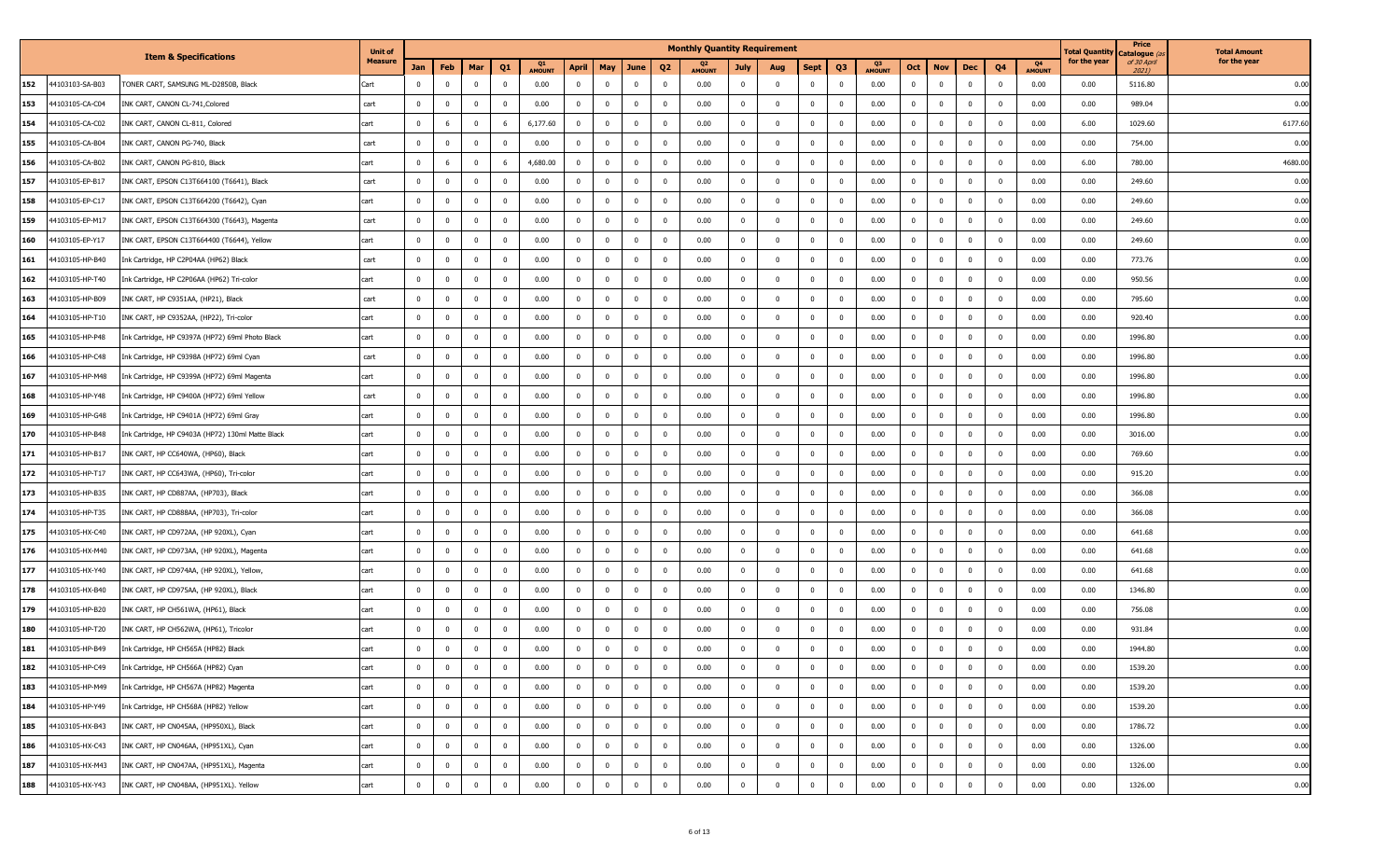|     |                 |                                                   | <b>Unit of</b> |                |                |                                  |               |                         |                |                         |                         | <b>Monthly Quantity Requirement</b> |                |                         |                         |                         |               |                |                |              |                |                     | Total Quantity | Price<br>Catalogue <i>(a</i> | <b>Total Amount</b> |
|-----|-----------------|---------------------------------------------------|----------------|----------------|----------------|----------------------------------|---------------|-------------------------|----------------|-------------------------|-------------------------|-------------------------------------|----------------|-------------------------|-------------------------|-------------------------|---------------|----------------|----------------|--------------|----------------|---------------------|----------------|------------------------------|---------------------|
|     |                 | <b>Item &amp; Specifications</b>                  | <b>Measure</b> | Jan            | Feb            | Mar<br>Q <sub>1</sub>            | <b>AMOUNT</b> | <b>April</b>            | May            | June                    | Q <sub>2</sub>          | <b>AMOUNT</b>                       | July           | Aug                     | <b>Sept</b>             | Q3                      | <b>AMOUNT</b> | Oct            | <b>Nov</b>     | <b>Dec</b>   | Q4             | Q4<br><b>AMOUNT</b> | for the year   | of 30 April<br>2021)         | for the year        |
| 152 | 44103103-SA-B03 | TONER CART, SAMSUNG ML-D2850B, Black              | Cart           | $\Omega$       | $\bf{0}$       | $\mathbf{0}$<br>$\overline{0}$   | 0.00          | $\mathbf{0}$            | $\bf{0}$       | $\overline{\mathbf{0}}$ | $\bf{0}$                | 0.00                                | $\mathbf 0$    | $\bf{0}$                | $\overline{\mathbf{0}}$ | $\Omega$                | 0.00          | $\mathbf 0$    | $\overline{0}$ | $\mathbf 0$  | $\overline{0}$ | 0.00                | 0.00           | 5116.80                      | 0.00                |
| 153 | 44103105-CA-C04 | INK CART, CANON CL-741, Colored                   | cart           | $\Omega$       | $\bf{0}$       | 0<br>$\Omega$                    | 0.00          | $\mathbf{0}$            | $\mathbf 0$    | $\overline{0}$          | $\mathbf 0$             | 0.00                                | $\mathbf 0$    | $\overline{\mathbf{0}}$ | $^{\circ}$              | $\Omega$                | 0.00          | $\mathbf 0$    | $\overline{0}$ | $\Omega$     | $^{\circ}$     | 0.00                | 0.00           | 989.04                       | 0.00                |
| 154 | 44103105-CA-C02 | INK CART, CANON CL-811, Colored                   | cart           | $\mathbf{0}$   | 6              | $\mathbf{0}$<br>-6               | 6,177.60      | $\mathbf 0$             | $\bf{0}$       | $\overline{0}$          | $\mathbf 0$             | 0.00                                | $\mathbf{0}$   | $\overline{\mathbf{0}}$ | $\mathbf 0$             | $\Omega$                | 0.00          | $\mathbf{0}$   | $\overline{0}$ | $\Omega$     | $\Omega$       | 0.00                | 6.00           | 1029.60                      | 6177.60             |
| 155 | 44103105-CA-B04 | INK CART, CANON PG-740, Black                     | cart           | $\overline{0}$ | $\bf{0}$       | $\overline{0}$<br>$\overline{0}$ | 0.00          | $\mathbf{0}$            | $\bf{0}$       | $\overline{0}$          | $\bf{0}$                | 0.00                                | $\mathbf 0$    | $\overline{\mathbf{0}}$ | $\bf{0}$                | $\overline{\mathbf{0}}$ | 0.00          | $\mathbf 0$    | $\overline{0}$ | $\mathbf 0$  | $\mathbf{0}$   | 0.00                | 0.00           | 754.00                       | 0.00                |
| 156 | 44103105-CA-B02 | INK CART, CANON PG-810, Black                     | cart           | $\Omega$       | 6              | $\overline{0}$<br>6              | 4,680.00      | $\mathbf 0$             | $\mathbf 0$    | $\overline{\mathbf{0}}$ | $\mathbf 0$             | 0.00                                | $^{\circ}$     | $\overline{\mathbf{0}}$ | $\mathbf 0$             | $\Omega$                | 0.00          | $\mathbf 0$    | $\overline{0}$ | $^{\circ}$   | $^{\circ}$     | 0.00                | 6.00           | 780.00                       | 4680.00             |
| 157 | 44103105-EP-B17 | INK CART, EPSON C13T664100 (T6641), Black         | cart           | $\mathbf{0}$   | $\bf{0}$       | $\mathbf{0}$<br>$\Omega$         | 0.00          | $\mathbf 0$             | $\mathbf 0$    | $\overline{0}$          | $\mathbf 0$             | 0.00                                | $\mathbf 0$    | $\Omega$                | $\overline{0}$          | $\Omega$                | 0.00          | $\mathbf{0}$   | $\overline{0}$ | $\Omega$     | $\Omega$       | 0.00                | 0.00           | 249.60                       | 0.00                |
| 158 | 44103105-EP-C17 | INK CART, EPSON C13T664200 (T6642), Cyan          | cart           | $\overline{0}$ | $\bf{0}$       | $\overline{0}$<br>$\overline{0}$ | 0.00          | $\mathbf{0}$            | $\bf{0}$       | $\overline{0}$          | $\bf{0}$                | 0.00                                | $\mathbf 0$    | $\overline{\mathbf{0}}$ | $\bf{0}$                | $\overline{\mathbf{0}}$ | 0.00          | $\bf{0}$       | $\overline{0}$ | $^{\circ}$   | $\mathbf{0}$   | 0.00                | 0.00           | 249.60                       | 0.00                |
| 159 | 44103105-EP-M17 | INK CART, EPSON C13T664300 (T6643), Magenta       | cart           | $\overline{0}$ | $\bf{0}$       | 0<br>$\mathbf{0}$                | 0.00          | $\mathbf{0}$            | $\bf{0}$       | $\overline{\mathbf{0}}$ | $\mathbf 0$             | 0.00                                | $\mathbf 0$    | $\overline{\mathbf{0}}$ | $\mathbf 0$             | $\Omega$                | 0.00          | $\bf{0}$       | $\overline{0}$ | $\mathbf{0}$ | $^{\circ}$     | 0.00                | 0.00           | 249.60                       | 0.00                |
| 160 | 44103105-EP-Y17 | INK CART, EPSON C13T664400 (T6644), Yellow        | cart           | $\mathbf{0}$   | $\mathbf 0$    | $\overline{0}$<br>$\Omega$       | 0.00          | $\mathbf 0$             | $\bf{0}$       | $\overline{0}$          | $\mathbf 0$             | 0.00                                | $\mathbf 0$    | $\mathbf{0}$            | $\mathbf 0$             | $\Omega$                | 0.00          | $\mathbf{0}$   | $\mathbf 0$    | $\Omega$     | $\Omega$       | 0.00                | 0.00           | 249.60                       | 0.00                |
| 161 | 44103105-HP-B40 | Ink Cartridge, HP C2P04AA (HP62) Black            | cart           | $\bf{0}$       | $\bf{0}$       | $\bf{0}$<br>$\mathbf 0$          | 0.00          | $\bf{0}$                | $\bf{0}$       | $\overline{0}$          | $\bf{0}$                | 0.00                                | $\overline{0}$ | $\overline{\mathbf{0}}$ | $\overline{\mathbf{0}}$ | $\overline{\mathbf{0}}$ | 0.00          | $\bf{0}$       | $\overline{0}$ | $\mathbf 0$  | $\mathbf{0}$   | 0.00                | 0.00           | 773.76                       | 0.00                |
| 162 | 44103105-HP-T40 | Ink Cartridge, HP C2P06AA (HP62) Tri-color        | cart           | $\overline{0}$ | $\bf{0}$       | 0<br>$\mathbf{0}$                | 0.00          | $\mathbf{0}$            | $\bf{0}$       | $\overline{\mathbf{0}}$ | $\mathbf 0$             | 0.00                                | $\mathbf 0$    | $\overline{\mathbf{0}}$ | $\mathbf 0$             | $^{\circ}$              | 0.00          | $\bf{0}$       | $\overline{0}$ | $^{\circ}$   | $^{\circ}$     | 0.00                | 0.00           | 950.56                       | 0.00                |
| 163 | 44103105-HP-B09 | INK CART, HP C9351AA, (HP21), Black               | cart           | $\mathbf{0}$   | $\mathbf 0$    | $\mathbf{0}$<br>$\Omega$         | 0.00          | $\mathbf 0$             | $\mathbf{0}$   | $\overline{0}$          | $\mathbf 0$             | 0.00                                | $\mathbf 0$    | $\Omega$                | $\overline{0}$          | $\Omega$                | 0.00          | $\mathbf{0}$   | $\overline{0}$ | $\Omega$     | $\Omega$       | 0.00                | 0.00           | 795.60                       | 0.00                |
| 164 | 44103105-HP-T10 | INK CART, HP C9352AA, (HP22), Tri-color           | cart           | $\overline{0}$ | $\bf{0}$       | $\overline{0}$<br>$\overline{0}$ | 0.00          | $\bf{0}$                | $\bf{0}$       | $\overline{0}$          | $\bf{0}$                | 0.00                                | $\mathbf 0$    | $\overline{\mathbf{0}}$ | $\bf{0}$                | $\overline{\mathbf{0}}$ | 0.00          | $\bf{0}$       | $\overline{0}$ | $^{\circ}$   | $\mathbf{0}$   | 0.00                | 0.00           | 920.40                       | 0.00                |
| 165 | 44103105-HP-P48 | Ink Cartridge, HP C9397A (HP72) 69ml Photo Black  | cart           | $\Omega$       | $\bf{0}$       | $\mathbf 0$<br>$\Omega$          | 0.00          | $\overline{\mathbf{0}}$ | $^{\circ}$     | $\overline{0}$          | $\overline{\mathbf{0}}$ | 0.00                                | 0              | $\overline{0}$          | 0                       |                         | 0.00          | $^{\circ}$     | $\mathbf 0$    |              |                | 0.00                | 0.00           | 1996.80                      | 0.00                |
| 166 | 44103105-HP-C48 | Ink Cartridge, HP C9398A (HP72) 69ml Cyan         | cart           | $\overline{0}$ | $\mathbf 0$    | $\overline{0}$<br>$\Omega$       | 0.00          | $\mathbf 0$             | $\mathbf 0$    | $\overline{0}$          | $\mathbf 0$             | 0.00                                | $\mathbf 0$    | $\overline{0}$          | $\mathbf 0$             | $\Omega$                | 0.00          | $\mathbf{0}$   | $\mathbf 0$    | $\Omega$     | $\Omega$       | 0.00                | 0.00           | 1996.80                      | 0.00                |
| 167 | 44103105-HP-M48 | Ink Cartridge, HP C9399A (HP72) 69ml Magenta      | cart           | $\bf{0}$       | $\bf{0}$       | $\bf{0}$<br>$\mathbf 0$          | 0.00          | $\bf{0}$                | $\bf{0}$       | $\overline{0}$          | $\bf{0}$                | 0.00                                | $\overline{0}$ | $\overline{\mathbf{0}}$ | $\overline{0}$          | $\overline{\mathbf{0}}$ | 0.00          | $\mathbf{0}$   | $\overline{0}$ | $\mathbf 0$  | $\mathbf{0}$   | 0.00                | 0.00           | 1996.80                      | 0.00                |
| 168 | 44103105-HP-Y48 | Ink Cartridge, HP C9400A (HP72) 69ml Yellow       | cart           | $\Omega$       | $\bf{0}$       | $\mathbf 0$<br>$\Omega$          | 0.00          | $\overline{\mathbf{0}}$ | $^{\circ}$     | $\overline{0}$          | $\overline{\mathbf{0}}$ | 0.00                                | 0              | $\overline{0}$          | 0                       |                         | 0.00          | $^{\circ}$     | 0              |              |                | 0.00                | 0.00           | 1996.80                      | 0.00                |
| 169 | 44103105-HP-G48 | Ink Cartridge, HP C9401A (HP72) 69ml Gray         | cart           | $\mathbf{0}$   | $\mathbf 0$    | $\mathbf 0$<br>$\Omega$          | 0.00          | $\mathbf 0$             | $\mathbf{0}$   | $\overline{0}$          | $\mathbf 0$             | 0.00                                | $\mathbf{0}$   | $\Omega$                | $\overline{0}$          | $\Omega$                | 0.00          | $\mathbf{0}$   | $\mathbf 0$    | $\Omega$     | $\Omega$       | 0.00                | 0.00           | 1996.80                      | 0.00                |
| 170 | 44103105-HP-B48 | Ink Cartridge, HP C9403A (HP72) 130ml Matte Black | cart           | $\overline{0}$ | $\bf{0}$       | $\overline{0}$<br>$\overline{0}$ | 0.00          | $\bf{0}$                | $\bf{0}$       | $\overline{0}$          | $\bf{0}$                | 0.00                                | $\mathbf 0$    | $\overline{\mathbf{0}}$ | $\bf{0}$                | $\overline{\mathbf{0}}$ | 0.00          | $\mathbf{0}$   | $\overline{0}$ | $^{\circ}$   | $\mathbf{0}$   | 0.00                | 0.00           | 3016.00                      | 0.00                |
| 171 | 44103105-HP-B17 | INK CART, HP CC640WA, (HP60), Black               | cart           | $\Omega$       | $\bf{0}$       | $\mathbf 0$<br>$\Omega$          | 0.00          | $\overline{\mathbf{0}}$ | $^{\circ}$     | $\overline{0}$          | $\mathbf 0$             | 0.00                                | 0              | $\overline{0}$          | 0                       |                         | 0.00          | $^{\circ}$     | $\mathbf 0$    |              |                | 0.00                | 0.00           | 769.60                       | 0.00                |
| 172 | 44103105-HP-T17 | INK CART, HP CC643WA, (HP60), Tri-color           | cart           | $\overline{0}$ | $\mathbf 0$    | $\mathbf 0$<br>$\Omega$          | 0.00          | $\mathbf 0$             | $\mathbf 0$    | $\overline{0}$          | $\mathbf 0$             | 0.00                                | $\overline{0}$ | $\Omega$                | $\overline{0}$          | $\Omega$                | 0.00          | $\mathbf{0}$   | $\mathbf 0$    | $\Omega$     | $\Omega$       | 0.00                | 0.00           | 915.20                       | 0.00                |
| 173 | 44103105-HP-B35 | INK CART, HP CD887AA, (HP703), Black              | cart           | $\bf{0}$       | $\bf{0}$       | $\bf{0}$<br>$\mathbf 0$          | 0.00          | $\bf{0}$                | $\bf{0}$       | $\overline{0}$          | $\bf{0}$                | 0.00                                | $\overline{0}$ | $\overline{\mathbf{0}}$ | $\overline{0}$          | $\overline{\mathbf{0}}$ | 0.00          | $\overline{0}$ | $\overline{0}$ | $^{\circ}$   | $\mathbf{0}$   | 0.00                | 0.00           | 366.08                       | 0.00                |
| 174 | 44103105-HP-T35 | INK CART, HP CD888AA, (HP703), Tri-color          | cart           |                | $\bf{0}$       | $\mathbf 0$                      | 0.00          | $\overline{\mathbf{0}}$ | $^{\circ}$     | $\overline{0}$          | $\mathbf 0$             | 0.00                                | 0              | $\overline{0}$          | 0                       |                         | 0.00          | $^{\circ}$     | 0              |              |                | 0.00                | 0.00           | 366.08                       | 0.00                |
| 175 | 44103105-HX-C40 | INK CART, HP CD972AA, (HP 920XL), Cyan            | cart           | $\mathbf{0}$   | $\mathbf 0$    | $\mathbf 0$<br>$\Omega$          | 0.00          | $\mathbf 0$             | $\mathbf{0}$   | $\overline{0}$          | $\mathbf 0$             | 0.00                                | $\mathbf{0}$   | $\Omega$                | $\mathbf 0$             | $\Omega$                | 0.00          | $\mathbf 0$    | $\mathbf 0$    |              | $\Omega$       | 0.00                | 0.00           | 641.68                       | 0.00                |
| 176 | 44103105-HX-M40 | INK CART, HP CD973AA, (HP 920XL), Magenta         | cart           | $\Omega$       | $\bf{0}$       | $\overline{0}$<br>$\overline{0}$ | 0.00          | $\bf{0}$                | $\bf{0}$       | $\overline{0}$          | $\bf{0}$                | 0.00                                | $\mathbf 0$    | $\overline{\mathbf{0}}$ | $\bf{0}$                | $\overline{\mathbf{0}}$ | 0.00          | $\mathbf{0}$   | $\overline{0}$ | $^{\circ}$   | $^{\circ}$     | 0.00                | 0.00           | 641.68                       | 0.00                |
| 177 | 44103105-HX-Y40 | INK CART, HP CD974AA, (HP 920XL), Yellow,         | cart           | $\Omega$       | $\bf{0}$       | 0                                | 0.00          | $\overline{\mathbf{0}}$ | $^{\circ}$     | $\overline{0}$          | $\mathbf 0$             | 0.00                                | 0              | $\overline{0}$          | 0                       |                         | 0.00          | $^{\circ}$     | $\mathbf 0$    |              |                | 0.00                | 0.00           | 641.68                       | 0.00                |
| 178 | 44103105-HX-B40 | INK CART, HP CD975AA, (HP 920XL), Black           | cart           | $\overline{0}$ | $\mathbf 0$    | $\mathbf 0$<br>$\Omega$          | 0.00          | $\mathbf 0$             | $\mathbf 0$    | $\overline{0}$          | $\mathbf 0$             | 0.00                                | $\overline{0}$ | $\Omega$                | $\mathbf 0$             | $\Omega$                | 0.00          | $\mathbf{0}$   | $\mathbf 0$    | $\Omega$     | $\Omega$       | 0.00                | 0.00           | 1346.80                      | 0.00                |
| 179 | 44103105-HP-B20 | INK CART, HP CH561WA, (HP61), Black               | cart           | $\Omega$       | $\bf{0}$       | $\bf{0}$<br>$\mathbf 0$          | 0.00          | $\bf{0}$                | $\bf{0}$       | $\overline{0}$          | $\bf{0}$                | 0.00                                | $\overline{0}$ | $\overline{\mathbf{0}}$ | $\bf{0}$                | $\overline{\mathbf{0}}$ | 0.00          | $\mathbf{0}$   | $\overline{0}$ | $^{\circ}$   | $^{\circ}$     | 0.00                | 0.00           | 756.08                       | 0.00                |
| 180 | 44103105-HP-T20 | INK CART, HP CH562WA, (HP61), Tricolor            | cart           |                | $^{\circ}$     | $\mathbf 0$                      | 0.00          | $\overline{\mathbf{0}}$ | $^{\circ}$     | $\mathbf 0$             | $\mathbf 0$             | 0.00                                | 0              | $\mathbf{0}$            | $\mathbf{0}$            |                         | 0.00          | $^{\circ}$     | 0              |              |                | 0.00                | 0.00           | 931.84                       | 0.00                |
| 181 | 44103105-HP-B49 | Ink Cartridge, HP CH565A (HP82) Black             | cart           | $\Omega$       | $\mathbf 0$    | $\mathbf 0$<br>$\Omega$          | 0.00          | $\mathbf{0}$            | $\Omega$       | $\overline{0}$          | $\mathbf 0$             | 0.00                                | $\mathbf 0$    | $\Omega$                | $\mathbf 0$             | $\Omega$                | 0.00          | $\mathbf 0$    | $\mathbf 0$    |              | $\Omega$       | 0.00                | 0.00           | 1944.80                      | 0.00                |
| 182 | 44103105-HP-C49 | Ink Cartridge, HP CH566A (HP82) Cyan              | cart           | $\overline{0}$ | $\bf{0}$       | $\mathbf 0$<br>$\bf{0}$          | 0.00          | $\bf{0}$                | $\bf{0}$       | $\overline{\mathbf{0}}$ | $\bf{0}$                | 0.00                                | $\mathbf 0$    | $\mathbf{0}$            | $\mathbf 0$             | $\mathbf{0}$            | 0.00          | $\bf{0}$       | $\overline{0}$ | $\mathbf{0}$ | $\mathbf 0$    | 0.00                | 0.00           | 1539.20                      | 0.00                |
| 183 | 44103105-HP-M49 | Ink Cartridge, HP CH567A (HP82) Magenta           | cart           | $\bf{0}$       | $\bf{0}$       | $\mathbf 0$<br>$\overline{0}$    | 0.00          | $\bf{0}$                | $\mathbf 0$    | $\overline{0}$          | $\bf{0}$                | 0.00                                | $\overline{0}$ | $\mathbf{0}$            | $\mathbf 0$             | $\mathbf{0}$            | 0.00          | $\bf{0}$       | $\overline{0}$ | $^{\circ}$   | $^{\circ}$     | 0.00                | 0.00           | 1539.20                      | 0.00                |
| 184 | 44103105-HP-Y49 | Ink Cartridge, HP CH568A (HP82) Yellow            | cart           | $\mathbf 0$    | $\overline{0}$ | $\bf{0}$<br>$\mathbf 0$          | 0.00          | $\mathbf{0}$            | $\bf{0}$       | $\overline{0}$          | $\bf{0}$                | 0.00                                | $\overline{0}$ | $\overline{0}$          | $\bf{0}$                | $\overline{0}$          | 0.00          | $\overline{0}$ | $\overline{0}$ | $\mathbf{0}$ | $\mathbf 0$    | 0.00                | 0.00           | 1539.20                      | 0.00                |
| 185 | 44103105-HX-B43 | INK CART, HP CN045AA, (HP950XL), Black            | cart           | $\bf{0}$       | $\overline{0}$ | $\overline{0}$<br>$\mathbf{0}$   | 0.00          | $\mathbf{0}$            | $\overline{0}$ | $\overline{\mathbf{0}}$ | $\bf{0}$                | 0.00                                | $\bf{0}$       | $\overline{0}$          | $\overline{0}$          | $\overline{\mathbf{0}}$ | 0.00          | $\overline{0}$ | $\overline{0}$ | $\mathbf{0}$ | $\overline{0}$ | 0.00                | 0.00           | 1786.72                      | 0.00                |
| 186 | 44103105-HX-C43 | INK CART, HP CN046AA, (HP951XL), Cyan             | cart           | $\mathbf{0}$   | $\bf{0}$       | $\mathbf 0$<br>$\mathbf{0}$      | 0.00          | $\mathbf{0}$            | $\bf{0}$       | $\overline{\mathbf{0}}$ | $\mathbf 0$             | 0.00                                | $\mathbf 0$    | $\mathbf 0$             | $\mathbf 0$             | $\mathbf{0}$            | 0.00          | $\bf{0}$       | $\overline{0}$ | $^{\circ}$   | $^{\circ}$     | 0.00                | 0.00           | 1326.00                      | 0.00                |
| 187 | 44103105-HX-M43 | INK CART, HP CN047AA, (HP951XL), Magenta          | cart           | $\bf{0}$       | $\overline{0}$ | $\mathbf 0$<br>$\bf{0}$          | 0.00          | $\bf{0}$                | $\bf{0}$       | $\overline{0}$          | $\bf{0}$                | 0.00                                | $\overline{0}$ | $\mathbf 0$             | $\bf{0}$                | $\mathbf 0$             | 0.00          | $\overline{0}$ | $\mathbf 0$    | $^{\circ}$   | $\mathbf 0$    | 0.00                | 0.00           | 1326.00                      | 0.00                |
| 188 | 44103105-HX-Y43 | INK CART, HP CN048AA, (HP951XL). Yellow           | cart           | $\mathbf 0$    | $\mathbf 0$    | $\mathbf 0$<br>$\mathbf 0$       | 0.00          | $\mathbf 0$             | $\mathbf 0$    | $\overline{\mathbf{0}}$ | $\mathbf 0$             | 0.00                                | $\mathbf 0$    | $\overline{0}$          | $\mathbf 0$             | $\mathbf{0}$            | 0.00          | $\mathbf 0$    | $\mathbf 0$    | $\mathbf{0}$ | $\mathbf 0$    | 0.00                | 0.00           | 1326.00                      | 0.00                |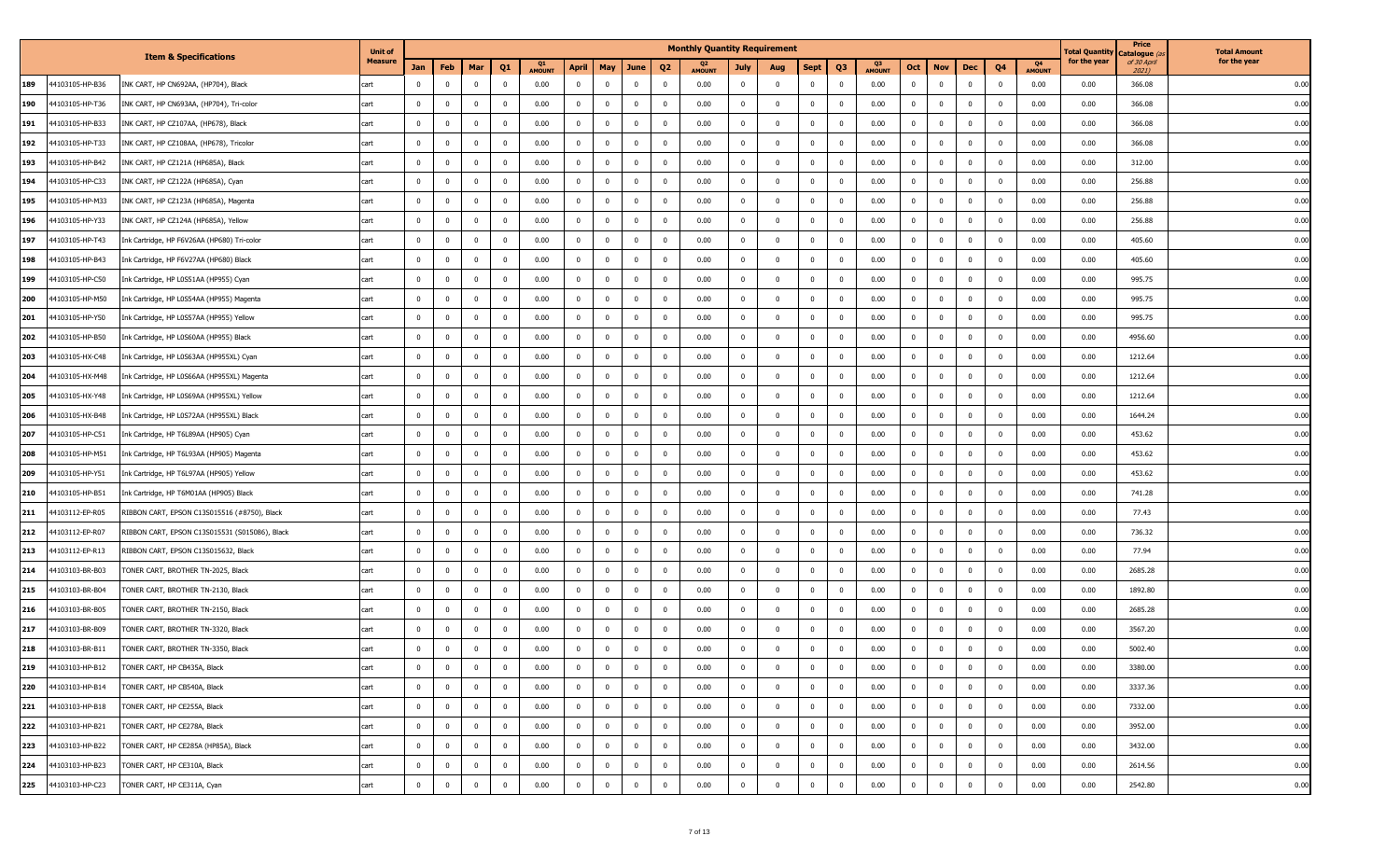|     |                 |                                                | <b>Unit of</b> |                |                |                                  |               |                         |                |                         |                         | <b>Monthly Quantity Requirement</b> |                |                         |                         |                         |               |                |                |              |                |                     | Total Quantity | Price<br>Catalogue <i>(a</i> | <b>Total Amount</b> |
|-----|-----------------|------------------------------------------------|----------------|----------------|----------------|----------------------------------|---------------|-------------------------|----------------|-------------------------|-------------------------|-------------------------------------|----------------|-------------------------|-------------------------|-------------------------|---------------|----------------|----------------|--------------|----------------|---------------------|----------------|------------------------------|---------------------|
|     |                 | <b>Item &amp; Specifications</b>               | <b>Measure</b> | Jan            | Feb            | Mar<br>Q <sub>1</sub>            | <b>AMOUNT</b> | <b>April</b>            | May            | June                    | Q <sub>2</sub>          | <b>AMOUNT</b>                       | July           | Aug                     | Sept                    | Q3                      | <b>AMOUNT</b> | Oct            | <b>Nov</b>     | <b>Dec</b>   | Q4             | Q4<br><b>AMOUNT</b> | for the year   | of 30 April<br>2021)         | for the year        |
| 189 | 44103105-HP-B36 | INK CART, HP CN692AA, (HP704), Black           | cart           | $\Omega$       | $\bf{0}$       | $\overline{0}$<br>$\overline{0}$ | 0.00          | $\mathbf{0}$            | $\bf{0}$       | $\overline{\mathbf{0}}$ | $\bf{0}$                | 0.00                                | $\mathbf 0$    | $\bf{0}$                | $\overline{0}$          | $\Omega$                | 0.00          | $\mathbf 0$    | $\overline{0}$ | $\mathbf 0$  | $\overline{0}$ | 0.00                | 0.00           | 366.08                       | 0.00                |
| 190 | 44103105-HP-T36 | INK CART, HP CN693AA, (HP704), Tri-color       | cart           | $\Omega$       | $\bf{0}$       | $^{\circ}$<br>$^{\circ}$         | 0.00          | $\mathbf{0}$            | $\mathbf 0$    | - 0                     | $\mathbf 0$             | 0.00                                | $^{\circ}$     | $\overline{\mathbf{0}}$ | $^{\circ}$              | $\Omega$                | 0.00          | $\mathbf 0$    | $\overline{0}$ | $\Omega$     | $^{\circ}$     | 0.00                | 0.00           | 366.08                       | 0.00                |
| 191 | 44103105-HP-B33 | INK CART, HP CZ107AA, (HP678), Black           | cart           | $\mathbf{0}$   | $\bf{0}$       | $\mathbf{0}$<br>$\mathbf{0}$     | 0.00          | $\mathbf 0$             | $\bf{0}$       | $\overline{0}$          | $\mathbf 0$             | 0.00                                | $\mathbf 0$    | $\overline{\mathbf{0}}$ | $\mathbf 0$             | $\Omega$                | 0.00          | $\mathbf{0}$   | $\overline{0}$ | $\Omega$     | $\Omega$       | 0.00                | 0.00           | 366.08                       | 0.00                |
| 192 | 44103105-HP-T33 | INK CART, HP CZ108AA, (HP678), Tricolor        | cart           | $\overline{0}$ | $\bf{0}$       | $\overline{0}$<br>$\overline{0}$ | 0.00          | $\mathbf{0}$            | $\bf{0}$       | $\overline{0}$          | $\bf{0}$                | 0.00                                | $\mathbf 0$    | $\overline{\mathbf{0}}$ | $\bf{0}$                | $\overline{\mathbf{0}}$ | 0.00          | $\bf{0}$       | $\overline{0}$ | $\mathbf 0$  | $\mathbf{0}$   | 0.00                | 0.00           | 366.08                       | 0.00                |
| 193 | 44103105-HP-B42 | INK CART, HP CZ121A (HP685A), Black            | cart           | $\Omega$       | $\bf{0}$       | $\overline{0}$<br>$\mathbf{0}$   | 0.00          | $\mathbf 0$             | $\mathbf 0$    | $\overline{0}$          | $\mathbf 0$             | 0.00                                | $^{\circ}$     | $\overline{0}$          | $^{\circ}$              | $\Omega$                | 0.00          | $\mathbf 0$    | $\overline{0}$ | $^{\circ}$   | $^{\circ}$     | 0.00                | 0.00           | 312.00                       | 0.00                |
| 194 | 44103105-HP-C33 | INK CART, HP CZ122A (HP685A), Cyan             | cart           | $\mathbf{0}$   | $\bf{0}$       | $\mathbf{0}$<br>$\Omega$         | 0.00          | $\mathbf 0$             | $\bf{0}$       | $\overline{\mathbf{0}}$ | $\mathbf 0$             | 0.00                                | $\mathbf 0$    | $\Omega$                | $\overline{0}$          | $\Omega$                | 0.00          | $\mathbf{0}$   | $\overline{0}$ | $\Omega$     | $\Omega$       | 0.00                | 0.00           | 256.88                       | 0.00                |
| 195 | 44103105-HP-M33 | INK CART, HP CZ123A (HP685A), Magenta          | cart           | $\Omega$       | $\bf{0}$       | $\overline{0}$<br>$\overline{0}$ | 0.00          | $\mathbf{0}$            | $\bf{0}$       | $\overline{0}$          | $\bf{0}$                | 0.00                                | $\mathbf 0$    | $\overline{\mathbf{0}}$ | $\bf{0}$                | $\overline{\mathbf{0}}$ | 0.00          | $\bf{0}$       | $\overline{0}$ | $^{\circ}$   | $\mathbf{0}$   | 0.00                | 0.00           | 256.88                       | 0.00                |
| 196 | 44103105-HP-Y33 | INK CART, HP CZ124A (HP685A), Yellow           | cart           | $^{\circ}$     | $\bf{0}$       | 0<br>$\mathbf{0}$                | 0.00          | $\mathbf{0}$            | $\mathbf 0$    | $\overline{\mathbf{0}}$ | $\mathbf 0$             | 0.00                                | $\mathbf 0$    | $\overline{\mathbf{0}}$ | $\mathbf 0$             | $\Omega$                | 0.00          | $\bf{0}$       | $\overline{0}$ | $^{\circ}$   | $^{\circ}$     | 0.00                | 0.00           | 256.88                       | 0.00                |
| 197 | 44103105-HP-T43 | Ink Cartridge, HP F6V26AA (HP680) Tri-color    | cart           | $\mathbf{0}$   | $\mathbf 0$    | $\overline{0}$<br>$\Omega$       | 0.00          | $\mathbf 0$             | $\bf{0}$       | $\overline{0}$          | $\mathbf 0$             | 0.00                                | $\mathbf 0$    | $\overline{0}$          | $\mathbf 0$             | $\Omega$                | 0.00          | $\mathbf{0}$   | $\mathbf 0$    | $\Omega$     | $\Omega$       | 0.00                | 0.00           | 405.60                       | 0.00                |
| 198 | 44103105-HP-B43 | Ink Cartridge, HP F6V27AA (HP680) Black        | cart           | $\Omega$       | $\bf{0}$       | $\overline{0}$<br>$\overline{0}$ | 0.00          | $\mathbf{0}$            | $\bf{0}$       | $\overline{0}$          | $\bf{0}$                | 0.00                                | $\overline{0}$ | $\overline{0}$          | $\bf{0}$                | $\overline{\mathbf{0}}$ | 0.00          | $\bf{0}$       | $\overline{0}$ | $\mathbf 0$  | $\mathbf{0}$   | 0.00                | 0.00           | 405.60                       | 0.00                |
| 199 | 44103105-HP-C50 | Ink Cartridge, HP L0S51AA (HP955) Cyan         | cart           | $\Omega$       | $\bf{0}$       | 0<br>$\mathbf{0}$                | 0.00          | $\mathbf{0}$            | $\bf{0}$       | $\overline{\mathbf{0}}$ | $\mathbf 0$             | 0.00                                | $\mathbf 0$    | $\overline{0}$          | $\mathbf 0$             | $^{\circ}$              | 0.00          | $\bf{0}$       | $\overline{0}$ | $^{\circ}$   | $^{\circ}$     | 0.00                | 0.00           | 995.75                       | 0.00                |
| 200 | 44103105-HP-M50 | Ink Cartridge, HP L0S54AA (HP955) Magenta      | cart           | $\mathbf{0}$   | $\bf{0}$       | $\mathbf{0}$<br>$\Omega$         | 0.00          | $\mathbf 0$             | $\mathbf{0}$   | $\overline{0}$          | $\mathbf 0$             | 0.00                                | $\mathbf 0$    | $\Omega$                | $\overline{0}$          | $\Omega$                | 0.00          | $\mathbf{0}$   | $\overline{0}$ | $\Omega$     | $\Omega$       | 0.00                | 0.00           | 995.75                       | 0.00                |
| 201 | 44103105-HP-Y50 | Ink Cartridge, HP L0S57AA (HP955) Yellow       | cart           | $\Omega$       | $\bf{0}$       | $\overline{0}$<br>$\overline{0}$ | 0.00          | $\bf{0}$                | $\bf{0}$       | $\overline{\mathbf{0}}$ | $\bf{0}$                | 0.00                                | $\mathbf 0$    | $\overline{\mathbf{0}}$ | $\bf{0}$                | $\overline{\mathbf{0}}$ | 0.00          | $\bf{0}$       | $\overline{0}$ | $^{\circ}$   | $\mathbf{0}$   | 0.00                | 0.00           | 995.75                       | 0.00                |
| 202 | 14103105-HP-B50 | Ink Cartridge, HP L0S60AA (HP955) Black        | cart           | $\Omega$       | $\bf{0}$       | $\mathbf 0$                      | 0.00          | $\overline{\mathbf{0}}$ | $^{\circ}$     | $\overline{0}$          | $\overline{\mathbf{0}}$ | 0.00                                | 0              | $\overline{0}$          | 0                       |                         | 0.00          | $^{\circ}$     | 0              |              |                | 0.00                | 0.00           | 4956.60                      | 0.00                |
| 203 | 44103105-HX-C48 | Ink Cartridge, HP L0S63AA (HP955XL) Cyan       | cart           | $\mathbf{0}$   | $\mathbf 0$    | $\overline{0}$<br>$\Omega$       | 0.00          | $\mathbf 0$             | $\mathbf 0$    | $\overline{0}$          | $\mathbf 0$             | 0.00                                | $\mathbf 0$    | $\mathbf{0}$            | $\overline{0}$          | $\Omega$                | 0.00          | $\mathbf{0}$   | $\mathbf 0$    | $\Omega$     | $\Omega$       | 0.00                | 0.00           | 1212.64                      | 0.00                |
| 204 | 44103105-HX-M48 | Ink Cartridge, HP L0S66AA (HP955XL) Magenta    | cart           | $\bf{0}$       | $\bf{0}$       | $\overline{0}$<br>$\mathbf 0$    | 0.00          | $\mathbf{0}$            | $\bf{0}$       | $\overline{0}$          | $\bf{0}$                | 0.00                                | $\overline{0}$ | $\overline{\mathbf{0}}$ | $\overline{0}$          | $\overline{\mathbf{0}}$ | 0.00          | $\mathbf{0}$   | $\overline{0}$ | $^{\circ}$   | $\mathbf{0}$   | 0.00                | 0.00           | 1212.64                      | 0.00                |
| 205 | 44103105-HX-Y48 | Ink Cartridge, HP L0S69AA (HP955XL) Yellow     | cart           |                | $\bf{0}$       | $\mathbf 0$                      | 0.00          | $\overline{\mathbf{0}}$ | $^{\circ}$     | $\overline{0}$          | $\mathbf 0$             | 0.00                                | 0              | $\overline{0}$          | 0                       |                         | 0.00          | $^{\circ}$     | 0              |              |                | 0.00                | 0.00           | 1212.64                      | 0.00                |
| 206 | 44103105-HX-B48 | Ink Cartridge, HP L0S72AA (HP955XL) Black      | cart           | $\mathbf{0}$   | $\bf{0}$       | $\mathbf 0$<br>$\Omega$          | 0.00          | $\mathbf 0$             | $\mathbf{0}$   | $\overline{0}$          | $\mathbf 0$             | 0.00                                | $\mathbf{0}$   | $\Omega$                | $^{\circ}$              | $\Omega$                | 0.00          | $\mathbf{0}$   | $\overline{0}$ |              | $\Omega$       | 0.00                | 0.00           | 1644.24                      | 0.00                |
| 207 | 44103105-HP-C51 | Ink Cartridge, HP T6L89AA (HP905) Cyan         | cart           | $\Omega$       | $\bf{0}$       | $\overline{0}$<br>$\overline{0}$ | 0.00          | $\bf{0}$                | $\bf{0}$       | $\overline{0}$          | $\bf{0}$                | 0.00                                | $\mathbf 0$    | $\overline{\mathbf{0}}$ | $\bf{0}$                | $\overline{\mathbf{0}}$ | 0.00          | $\mathbf{0}$   | $\overline{0}$ | $^{\circ}$   | $\mathbf{0}$   | 0.00                | 0.00           | 453.62                       | 0.00                |
| 208 | 44103105-HP-M51 | Ink Cartridge, HP T6L93AA (HP905) Magenta      | cart           | $\Omega$       | $\bf{0}$       | $\mathbf 0$                      | 0.00          | $\overline{\mathbf{0}}$ | $^{\circ}$     | $\overline{0}$          | $\mathbf 0$             | 0.00                                | 0              | $\overline{0}$          | 0                       |                         | 0.00          | $^{\circ}$     | 0              |              |                | 0.00                | 0.00           | 453.62                       | 0.00                |
| 209 | 44103105-HP-Y51 | Ink Cartridge, HP T6L97AA (HP905) Yellow       | cart           | $\overline{0}$ | $\mathbf 0$    | $\mathbf 0$<br>$\Omega$          | 0.00          | $\mathbf 0$             | $\mathbf 0$    | $\overline{0}$          | $\mathbf 0$             | 0.00                                | $\mathbf 0$    | $\Omega$                | $\overline{0}$          | $\Omega$                | 0.00          | $\mathbf{0}$   | $\mathbf 0$    | $\Omega$     | $\Omega$       | 0.00                | 0.00           | 453.62                       | 0.00                |
| 210 | 44103105-HP-B51 | Ink Cartridge, HP T6M01AA (HP905) Black        | cart           | $\bf{0}$       | $\bf{0}$       | $\bf{0}$<br>$\mathbf 0$          | 0.00          | $\bf{0}$                | $\bf{0}$       | $\overline{0}$          | $\bf{0}$                | 0.00                                | $\overline{0}$ | $\overline{\mathbf{0}}$ | $\overline{\mathbf{0}}$ | $\overline{0}$          | 0.00          | $\mathbf{0}$   | $\overline{0}$ | $^{\circ}$   | $^{\circ}$     | 0.00                | 0.00           | 741.28                       | 0.00                |
| 211 | 44103112-EP-R05 | RIBBON CART, EPSON C13S015516 (#8750), Black   | cart           |                | $\bf{0}$       | $\mathbf 0$                      | 0.00          | $\overline{\mathbf{0}}$ | $^{\circ}$     | $\overline{0}$          | $\mathbf 0$             | 0.00                                | 0              | $\overline{0}$          | 0                       |                         | 0.00          | $^{\circ}$     | 0              |              |                | 0.00                | 0.00           | 77.43                        | 0.00                |
| 212 | 44103112-EP-R07 | RIBBON CART, EPSON C13S015531 (S015086), Black | cart           | $\mathbf{0}$   | $\bf{0}$       | $\mathbf 0$<br>$\Omega$          | 0.00          | $\mathbf 0$             | $\mathbf{0}$   | $\overline{0}$          | $\mathbf 0$             | 0.00                                | $\mathbf{0}$   | $\Omega$                | $\mathbf 0$             | $\Omega$                | 0.00          | $\bf{0}$       | $\overline{0}$ |              | $\Omega$       | 0.00                | 0.00           | 736.32                       | 0.00                |
| 213 | 44103112-EP-R13 | RIBBON CART, EPSON C13S015632, Black           | cart           | $\Omega$       | $\bf{0}$       | $\overline{0}$<br>$\overline{0}$ | 0.00          | $\bf{0}$                | $\mathbf 0$    | $\overline{0}$          | $\bf{0}$                | 0.00                                | $\mathbf 0$    | $\overline{\mathbf{0}}$ | $\bf{0}$                | $\overline{0}$          | 0.00          | $\mathbf{0}$   | $\overline{0}$ | $^{\circ}$   | $^{\circ}$     | 0.00                | 0.00           | 77.94                        | 0.00                |
| 214 | 44103103-BR-B03 | TONER CART, BROTHER TN-2025, Black             | cart           | $\Omega$       | $\bf{0}$       | $\mathbf 0$                      | 0.00          | $\overline{\mathbf{0}}$ | $^{\circ}$     | $\overline{0}$          | $\mathbf 0$             | 0.00                                | 0              | $\overline{0}$          | 0                       |                         | 0.00          | $^{\circ}$     | 0              |              |                | 0.00                | 0.00           | 2685.28                      | 0.00                |
| 215 | 44103103-BR-B04 | TONER CART, BROTHER TN-2130, Black             | cart           | $\mathbf{0}$   | $\bf{0}$       | $\mathbf 0$<br>$\Omega$          | 0.00          | $\mathbf 0$             | $\mathbf 0$    | $\overline{0}$          | $\mathbf 0$             | 0.00                                | $\mathbf 0$    | $\Omega$                | $\mathbf 0$             | $\Omega$                | 0.00          | $\mathbf{0}$   | $\mathbf 0$    | $\Omega$     | $\Omega$       | 0.00                | 0.00           | 1892.80                      | 0.00                |
| 216 | 44103103-BR-B05 | TONER CART, BROTHER TN-2150, Black             | cart           | $\Omega$       | $\bf{0}$       | $\bf{0}$<br>$\overline{0}$       | 0.00          | $\bf{0}$                | $\bf{0}$       | $\overline{0}$          | $\bf{0}$                | 0.00                                | $\overline{0}$ | $\overline{\mathbf{0}}$ | $\bf{0}$                | $\overline{\mathbf{0}}$ | 0.00          | $\bf{0}$       | $\overline{0}$ | $^{\circ}$   | $^{\circ}$     | 0.00                | 0.00           | 2685.28                      | 0.00                |
| 217 | 44103103-BR-B09 | TONER CART, BROTHER TN-3320, Black             | cart           |                | $^{\circ}$     | $\mathbf 0$                      | 0.00          | $^{\circ}$              | $^{\circ}$     | $\mathbf 0$             | $\mathbf 0$             | 0.00                                | 0              | $\mathbf{0}$            | $\mathbf{0}$            |                         | 0.00          | $^{\circ}$     | $\overline{0}$ |              |                | 0.00                | 0.00           | 3567.20                      | 0.00                |
| 218 | 44103103-BR-B11 | TONER CART, BROTHER TN-3350, Black             | cart           | $\Omega$       | $\mathbf 0$    | $\mathbf 0$<br>$\Omega$          | 0.00          | $\mathbf{0}$            | $\Omega$       | $\overline{0}$          | $\mathbf 0$             | 0.00                                | $\mathbf 0$    | $\Omega$                | $\mathbf 0$             | $\Omega$                | 0.00          | $\mathbf 0$    | $\mathbf 0$    |              | $\Omega$       | 0.00                | 0.00           | 5002.40                      | 0.00                |
| 219 | 44103103-HP-B12 | TONER CART, HP CB435A, Black                   | cart           | $\overline{0}$ | $\bf{0}$       | $\mathbf 0$<br>$\bf{0}$          | 0.00          | $\bf{0}$                | $\bf{0}$       | $\overline{0}$          | $\bf{0}$                | 0.00                                | $\mathbf 0$    | $\mathbf{0}$            | $\mathbf 0$             | $\mathbf{0}$            | 0.00          | $\bf{0}$       | $\overline{0}$ | $\mathbf{0}$ | $\mathbf{0}$   | 0.00                | 0.00           | 3380.00                      | 0.00                |
| 220 | 44103103-HP-B14 | TONER CART, HP CB540A, Black                   | cart           | $\mathbf 0$    | $\bf{0}$       | $\bf{0}$<br>$\mathbf 0$          | 0.00          | $\bf{0}$                | $\mathbf{0}$   | $\overline{0}$          | $\bf{0}$                | 0.00                                | $\overline{0}$ | $\mathbf 0$             | $\mathbf 0$             | $\mathbf{0}$            | 0.00          | $\mathbf{0}$   | $\overline{0}$ | $^{\circ}$   | $^{\circ}$     | 0.00                | 0.00           | 3337.36                      | 0.00                |
| 221 | 44103103-HP-B18 | TONER CART, HP CE255A, Black                   | cart           | $\mathbf 0$    | $\overline{0}$ | $\bf{0}$<br>$\mathbf 0$          | 0.00          | $\bf{0}$                | $\overline{0}$ | $\overline{0}$          | $\bf{0}$                | 0.00                                | $\overline{0}$ | $\overline{0}$          | $\bf{0}$                | $\overline{0}$          | 0.00          | $\overline{0}$ | $\overline{0}$ | $\mathbf{0}$ | $\mathbf 0$    | 0.00                | 0.00           | 7332.00                      | 0.00                |
| 222 | 44103103-HP-B21 | TONER CART, HP CE278A, Black                   | cart           | $\bf{0}$       | $\overline{0}$ | $\overline{0}$<br>$\bf{0}$       | 0.00          | $\mathbf 0$             | $\overline{0}$ | $\overline{0}$          | $\bf{0}$                | 0.00                                | $\bf{0}$       | $\overline{0}$          | $\overline{0}$          | $\overline{\mathbf{0}}$ | 0.00          | $\overline{0}$ | $\mathbf 0$    | $\bf{0}$     | $\bf{0}$       | 0.00                | 0.00           | 3952.00                      | 0.00                |
| 223 | 44103103-HP-B22 | TONER CART, HP CE285A (HP85A), Black           | cart           | $\mathbf 0$    | $\bf{0}$       | $\mathbf 0$<br>$\mathbf 0$       | 0.00          | $\bf{0}$                | $\mathbf{0}$   | $\overline{0}$          | $\bf{0}$                | 0.00                                | $\mathbf 0$    | $\overline{\mathbf{0}}$ | $\mathbf 0$             | $\mathbf{0}$            | 0.00          | $\mathbf 0$    | $\mathbf 0$    | $^{\circ}$   | $^{\circ}$     | 0.00                | 0.00           | 3432.00                      | 0.00                |
| 224 | 44103103-HP-B23 | TONER CART, HP CE310A, Black                   | cart           | $\bf{0}$       | $\overline{0}$ | $\mathbf 0$<br>$\mathbf 0$       | 0.00          | $\bf{0}$                | $\overline{0}$ | $\overline{0}$          | $\bf{0}$                | 0.00                                | $\overline{0}$ | $\overline{0}$          | $\bf{0}$                | $\overline{0}$          | 0.00          | $\overline{0}$ | $\overline{0}$ | $\mathbf{0}$ | $\overline{0}$ | 0.00                | 0.00           | 2614.56                      | 0.00                |
| 225 | 44103103-HP-C23 | TONER CART, HP CE311A, Cyan                    | cart           | $\mathbf 0$    | $\mathbf 0$    | $\overline{0}$<br>$\mathbf 0$    | 0.00          | $\mathbf 0$             | $\mathbf 0$    | $\overline{\mathbf{0}}$ | $\mathbf 0$             | 0.00                                | $\mathbf 0$    | $\overline{0}$          | $\mathbf 0$             | $\overline{0}$          | 0.00          | $\overline{0}$ | $\mathbf 0$    | $\mathbf 0$  | $\overline{0}$ | 0.00                | 0.00           | 2542.80                      | 0.00                |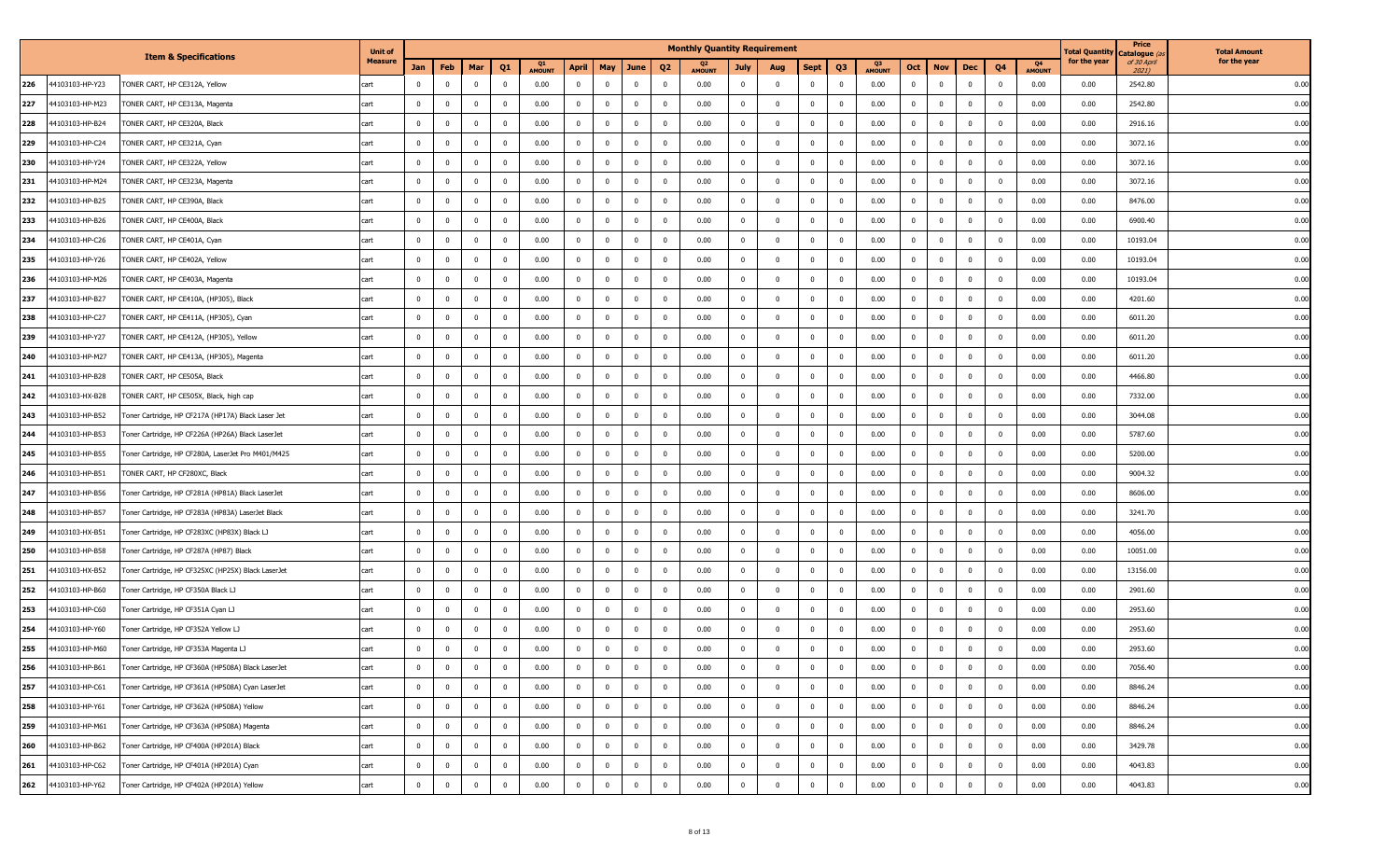|     |                 |                                                    | <b>Unit of</b> |                |                |              |                         |                     |                |                |              |                         |               | <b>Monthly Quantity Requirement</b> |                         |                |                         |               |              |                         |              |                |                     | Total Quantity | Price<br>Catalogue (a. | <b>Total Amount</b> |
|-----|-----------------|----------------------------------------------------|----------------|----------------|----------------|--------------|-------------------------|---------------------|----------------|----------------|--------------|-------------------------|---------------|-------------------------------------|-------------------------|----------------|-------------------------|---------------|--------------|-------------------------|--------------|----------------|---------------------|----------------|------------------------|---------------------|
|     |                 | <b>Item &amp; Specifications</b>                   | <b>Measure</b> | Jan            | Feb            | Mar          | Q <sub>1</sub>          | Q1<br><b>AMOUNT</b> | <b>April</b>   | May            | June         | Q <sub>2</sub>          | <b>AMOUNT</b> | July                                | Aug                     | Sept           | Q <sub>3</sub>          | <b>AMOUNT</b> | Oct          | <b>Nov</b>              | Dec          | Q4             | Q4<br><b>AMOUNT</b> | for the year   | of 30 April<br>2021)   | for the year        |
| 226 | 44103103-HP-Y23 | FONER CART, HP CE312A, Yellow                      | cart           | $^{\circ}$     | $\overline{0}$ | $\mathbf{0}$ | $\mathbf{0}$            | 0.00                | $\mathbf{0}$   | $\mathbf{0}$   | $\mathbf{0}$ | $\overline{\mathbf{0}}$ | 0.00          | $\mathbf{0}$                        | $\bf{0}$                | $\overline{0}$ | $\overline{\mathbf{0}}$ | 0.00          | $\mathbf 0$  | $\bf{0}$                | $\mathbf{0}$ | $\mathbf{0}$   | 0.00                | 0.00           | 2542.80                | 0.00                |
| 227 | 44103103-HP-M23 | FONER CART, HP CE313A, Magenta                     | cart           | $\mathbf{0}$   | $\mathbf{0}$   | $^{\circ}$   | $\mathbf{0}$            | 0.00                | $\bf{0}$       | $^{\circ}$     | $^{\circ}$   | - 0                     | 0.00          | $^{\circ}$                          | $\overline{0}$          | $^{\circ}$     | - 0                     | 0.00          | $\mathbf 0$  | 0                       | $^{\circ}$   | $\mathbf{0}$   | 0.00                | 0.00           | 2542.80                | 0.00                |
| 228 | 44103103-HP-B24 | TONER CART, HP CE320A, Black                       | cart           | $\mathbf 0$    | $\mathbf 0$    | $\Omega$     | $\overline{0}$          | 0.00                | $\mathbf{0}$   | $\overline{0}$ | $\mathbf 0$  | $\overline{\mathbf{0}}$ | 0.00          | $\mathbf{0}$                        | $\mathbf 0$             | $\mathbf 0$    | $\overline{\mathbf{0}}$ | 0.00          | $\mathbf 0$  | $\mathbf 0$             | $\mathbf 0$  | $\mathbf 0$    | 0.00                | 0.00           | 2916.16                | 0.00                |
| 229 | 44103103-HP-C24 | TONER CART, HP CE321A, Cyan                        | cart           | $\overline{0}$ | $\overline{0}$ | $\bf{0}$     | $\overline{\mathbf{0}}$ | 0.00                | $\overline{0}$ | $\overline{0}$ | $\mathbf{0}$ | $\overline{\mathbf{0}}$ | 0.00          | $\mathbf{0}$                        | $\overline{0}$          | $\overline{0}$ | $\overline{\mathbf{0}}$ | 0.00          | $\mathbf 0$  | $\overline{0}$          | $\mathbf{0}$ | $\overline{0}$ | 0.00                | 0.00           | 3072.16                | 0.00                |
| 230 | 44103103-HP-Y24 | TONER CART, HP CE322A, Yellow                      | cart           | $\mathbf{0}$   | $\mathbf 0$    | $^{\circ}$   | $\mathbf 0$             | 0.00                | $\overline{0}$ | $\overline{0}$ | $^{\circ}$   | $\overline{\mathbf{0}}$ | 0.00          | $^{\circ}$                          | $\overline{0}$          | $^{\circ}$     | $\overline{\mathbf{0}}$ | 0.00          | $\mathbf 0$  | 0                       | $\mathbf 0$  | $\overline{0}$ | 0.00                | 0.00           | 3072.16                | 0.00                |
| 231 | 44103103-HP-M24 | FONER CART, HP CE323A, Magenta                     | cart           | $\mathbf 0$    | $\mathbf 0$    | $\Omega$     | $\overline{0}$          | 0.00                | $\overline{0}$ | $\overline{0}$ | $\mathbf 0$  | $\overline{\mathbf{0}}$ | 0.00          | $\mathbf 0$                         | $\Omega$                | $^{\circ}$     | $\Omega$                | 0.00          | $\mathbf 0$  | $\mathbf 0$             | $\mathbf 0$  | $\mathbf 0$    | 0.00                | 0.00           | 3072.16                | 0.00                |
| 232 | 44103103-HP-B25 | TONER CART, HP CE390A, Black                       | cart           | $\overline{0}$ | $\mathbf{0}$   | $\bf{0}$     | $\overline{\mathbf{0}}$ | 0.00                | $\overline{0}$ | $\mathbf{0}$   | $\mathbf{0}$ | $\overline{\mathbf{0}}$ | 0.00          | $\mathbf{0}$                        | $\overline{0}$          | $\overline{0}$ | $\overline{\mathbf{0}}$ | 0.00          | $\bf{0}$     | $\overline{0}$          | $\mathbf{0}$ | $\mathbf{0}$   | 0.00                | 0.00           | 8476.00                | 0.00                |
| 233 | 44103103-HP-B26 | FONER CART, HP CE400A, Black                       | cart           | $\mathbf 0$    | $\mathbf{0}$   | $^{\circ}$   | $\mathbf 0$             | 0.00                | $\overline{0}$ | $\mathbf 0$    | $^{\circ}$   | $\overline{\mathbf{0}}$ | 0.00          | $\overline{\mathbf{0}}$             | $\overline{0}$          | $^{\circ}$     | 0                       | 0.00          | $\bf{0}$     | $\overline{\mathbf{0}}$ | $\mathbf 0$  | $\mathbf{0}$   | 0.00                | 0.00           | 6900.40                | 0.00                |
| 234 | 44103103-HP-C26 | FONER CART, HP CE401A, Cyan                        | cart           | $\overline{0}$ | $\overline{0}$ | $\Omega$     | $\mathbf 0$             | 0.00                | $\mathbf{0}$   | $\overline{0}$ | $\mathbf 0$  | $\overline{\mathbf{0}}$ | 0.00          | $\mathbf{0}$                        | $\mathbf{0}$            | $\mathbf{0}$   | $\overline{0}$          | 0.00          | $\mathbf 0$  | $\mathbf 0$             | $\mathbf 0$  | $\mathbf 0$    | 0.00                | 0.00           | 10193.04               | 0.00                |
| 235 | 44103103-HP-Y26 | TONER CART, HP CE402A, Yellow                      | cart           | $\overline{0}$ | $\mathbf{0}$   | $\bf{0}$     | $\overline{\mathbf{0}}$ | 0.00                | $\overline{0}$ | $\overline{0}$ | $\mathbf{0}$ | $\overline{\mathbf{0}}$ | 0.00          | $\overline{\mathbf{0}}$             | $\mathbf 0$             | $\overline{0}$ | $\overline{\mathbf{0}}$ | 0.00          | $\bf{0}$     | $\overline{0}$          | $\bf{0}$     | $\mathbf{0}$   | 0.00                | 0.00           | 10193.04               | 0.00                |
| 236 | 44103103-HP-M26 | FONER CART, HP CE403A, Magenta                     | cart           | $\mathbf{0}$   | $\mathbf{0}$   | $^{\circ}$   | $\mathbf 0$             | 0.00                | $\overline{0}$ | $\overline{0}$ | $^{\circ}$   | $\overline{\mathbf{0}}$ | 0.00          | $\mathbf 0$                         | $\overline{\mathbf{0}}$ | $^{\circ}$     | $\overline{\mathbf{0}}$ | 0.00          | $\bf{0}$     | $\overline{\mathbf{0}}$ | $\mathbf 0$  | $\mathbf{0}$   | 0.00                | 0.00           | 10193.04               | 0.00                |
| 237 | 44103103-HP-B27 | FONER CART, HP CE410A, (HP305), Black              | cart           | $\mathbf{0}$   | $\overline{0}$ | $\Omega$     | $\mathbf 0$             | 0.00                | $\overline{0}$ | $\mathbf 0$    | $^{\circ}$   | $\overline{\mathbf{0}}$ | 0.00          | $\mathbf 0$                         | $\Omega$                | $\Omega$       | $\overline{0}$          | 0.00          | $\bf{0}$     | $\mathbf 0$             | $\mathbf 0$  | $\mathbf 0$    | 0.00                | 0.00           | 4201.60                | 0.00                |
| 238 | 44103103-HP-C27 | TONER CART, HP CE411A, (HP305), Cyan               | cart           | $\overline{0}$ | $\overline{0}$ | $\bf{0}$     | $\overline{\mathbf{0}}$ | 0.00                | $\overline{0}$ | $\overline{0}$ | $\mathbf{0}$ | $\overline{\mathbf{0}}$ | 0.00          | $\mathbf{0}$                        | $\overline{0}$          | $\overline{0}$ | $\overline{\mathbf{0}}$ | 0.00          | $\mathbf 0$  | $\overline{\mathbf{0}}$ | $\mathbf{0}$ | $\overline{0}$ | 0.00                | 0.00           | 6011.20                | 0.00                |
| 239 | 44103103-HP-Y27 | "ONER CART, HP CE412A, (HP305), Yellow             | cart           | $\overline{0}$ | 0              |              | $\overline{0}$          | 0.00                | $\overline{0}$ | $\mathbf 0$    |              | $\overline{\mathbf{0}}$ | 0.00          | $^{\circ}$                          | $\mathbf 0$             | $\mathbf 0$    | $\Omega$                | 0.00          | $^{\circ}$   | 0                       | $\mathbf 0$  | $\mathbf 0$    | 0.00                | 0.00           | 6011.20                | 0.00                |
| 240 | 44103103-HP-M27 | FONER CART, HP CE413A, (HP305), Magenta            | cart           | $\overline{0}$ | $\overline{0}$ | $\Omega$     | $\mathbf 0$             | 0.00                | $\overline{0}$ | $\overline{0}$ | $\mathbf 0$  | $\overline{\mathbf{0}}$ | 0.00          | $\mathbf{0}$                        | $\mathbf{0}$            | $\overline{0}$ | $\overline{0}$          | 0.00          | $\mathbf 0$  | $\mathbf 0$             | $\mathbf 0$  | $\overline{0}$ | 0.00                | 0.00           | 6011.20                | 0.00                |
| 241 | 44103103-HP-B28 | TONER CART, HP CE505A, Black                       | cart           | $\overline{0}$ | $\mathbf{0}$   | $\bf{0}$     | $\overline{\mathbf{0}}$ | 0.00                | $\overline{0}$ | $\overline{0}$ | $\mathbf{0}$ | $\overline{\mathbf{0}}$ | 0.00          | $\overline{\mathbf{0}}$             | $\mathbf 0$             | $\overline{0}$ | $\overline{\mathbf{0}}$ | 0.00          | $\bf{0}$     | $\overline{0}$          | $\bf{0}$     | $\mathbf{0}$   | 0.00                | 0.00           | 4466.80                | 0.00                |
| 242 | 44103103-HX-B28 | FONER CART, HP CE505X, Black, high cap             | cart           | $\mathbf 0$    | 0              |              | $\overline{0}$          | 0.00                | $\overline{0}$ | $\mathbf 0$    |              | $\overline{\mathbf{0}}$ | 0.00          | 0                                   | $\mathbf 0$             | $\mathbf 0$    | $\Omega$                | 0.00          | $^{\circ}$   | 0                       | $\mathbf 0$  | $\mathbf 0$    | 0.00                | 0.00           | 7332.00                | 0.00                |
| 243 | 44103103-HP-B52 | Toner Cartridge, HP CF217A (HP17A) Black Laser Jet | cart           | $\mathbf 0$    | $\overline{0}$ | $\Omega$     | $\mathbf 0$             | 0.00                | $\overline{0}$ | $\mathbf 0$    | $\Omega$     | $\overline{\mathbf{0}}$ | 0.00          | $\mathbf 0$                         | $\Omega$                | $\Omega$       | $\overline{0}$          | 0.00          | $\mathbf{0}$ | $\mathbf 0$             | $\Omega$     | $\overline{0}$ | 0.00                | 0.00           | 3044.08                | 0.00                |
| 244 | 44103103-HP-B53 | Toner Cartridge, HP CF226A (HP26A) Black LaserJet  | cart           | $\overline{0}$ | $\mathbf{0}$   | $\bf{0}$     | $\overline{\mathbf{0}}$ | 0.00                | $\overline{0}$ | $\overline{0}$ | $\mathbf{0}$ | $\overline{\mathbf{0}}$ | 0.00          | $\mathbf{0}$                        | $\overline{0}$          | $\overline{0}$ | $\overline{\mathbf{0}}$ | 0.00          | $\bf{0}$     | $\overline{0}$          | $\bf{0}$     | $\mathbf{0}$   | 0.00                | 0.00           | 5787.60                | 0.00                |
| 245 | 44103103-HP-B55 | Toner Cartridge, HP CF280A, LaserJet Pro M401/M425 | cart           | $\overline{0}$ | 0              |              | $\overline{0}$          | 0.00                | $\mathbf 0$    | $\mathbf 0$    |              | $\overline{\mathbf{0}}$ | 0.00          | $\mathbf 0$                         | $\mathbf 0$             | $\mathbf 0$    | $\Omega$                | 0.00          | $\mathbf{0}$ | 0                       | $\mathbf 0$  | $\mathbf 0$    | 0.00                | 0.00           | 5200.00                | 0.00                |
| 246 | 44103103-HP-B51 | TONER CART, HP CF280XC, Black                      | cart           | $\overline{0}$ | $\overline{0}$ | $\Omega$     | $\mathbf 0$             | 0.00                | $\overline{0}$ | $\mathbf 0$    | $\Omega$     | $\overline{\mathbf{0}}$ | 0.00          | $\mathbf{0}$                        | $\mathbf{0}$            | $\Omega$       | $\overline{0}$          | 0.00          | $\mathbf{0}$ | $\pmb{0}$               | $\Omega$     | $\overline{0}$ | 0.00                | 0.00           | 9004.32                | 0.00                |
| 247 | 44103103-HP-B56 | Toner Cartridge, HP CF281A (HP81A) Black LaserJet  | cart           | $\overline{0}$ | $\mathbf{0}$   | $\bf{0}$     | $\overline{\mathbf{0}}$ | 0.00                | $\overline{0}$ | $\overline{0}$ | $\mathbf{0}$ | $\overline{\mathbf{0}}$ | 0.00          | $\overline{\mathbf{0}}$             | $\mathbf 0$             | $\overline{0}$ | $\overline{\mathbf{0}}$ | 0.00          | $\bf{0}$     | $\overline{0}$          | $\bf{0}$     | $\mathbf{0}$   | 0.00                | 0.00           | 8606.00                | 0.00                |
| 248 | 44103103-HP-B57 | Toner Cartridge, HP CF283A (HP83A) LaserJet Black  | cart           | $\mathbf 0$    | 0              |              | $\overline{0}$          | 0.00                | $\overline{0}$ | $\mathbf 0$    |              | 0                       | 0.00          | 0                                   | $\mathbf 0$             | 0              | $\Omega$                | 0.00          | $\mathbf{0}$ | 0                       | $\mathbf 0$  | $\mathbf 0$    | 0.00                | 0.00           | 3241.70                | 0.00                |
| 249 | 44103103-HX-B51 | Toner Cartridge, HP CF283XC (HP83X) Black LJ       | cart           | $\Omega$       | $\overline{0}$ |              | $\mathbf 0$             | 0.00                | $\overline{0}$ | $\mathbf 0$    | $\Omega$     | $\overline{0}$          | 0.00          | $\mathbf 0$                         | $\Omega$                | $\Omega$       | $\overline{0}$          | 0.00          | $\mathbf{0}$ | $\mathbf 0$             | $\Omega$     | $\overline{0}$ | 0.00                | 0.00           | 4056.00                | 0.00                |
| 250 | 44103103-HP-B58 | Toner Cartridge, HP CF287A (HP87) Black            | cart           | $\mathbf{0}$   | $\overline{0}$ | $^{\circ}$   | $\overline{\mathbf{0}}$ | 0.00                | $\mathbf{0}$   | $\overline{0}$ | $^{\circ}$   | $\overline{\mathbf{0}}$ | 0.00          | $\bf{0}$                            | $\overline{0}$          | $\overline{0}$ | $\overline{\mathbf{0}}$ | 0.00          | $\mathbf 0$  | $\bf{0}$                | $\mathbf{0}$ | $\overline{0}$ | 0.00                | 0.00           | 10051.00               | 0.00                |
| 251 | 44103103-HX-B52 | Toner Cartridge, HP CF325XC (HP25X) Black LaserJet | cart           | $\mathbf 0$    | 0              |              | $\overline{0}$          | 0.00                | $\mathbf 0$    | $\mathbf 0$    |              | 0                       | 0.00          | $\mathbf 0$                         | $\mathbf 0$             | $\mathbf{0}$   | $\Omega$                | 0.00          | $\mathbf{0}$ | 0                       | $\mathbf 0$  | $\mathbf 0$    | 0.00                | 0.00           | 13156.00               | 0.00                |
| 252 | 44103103-HP-B60 | Toner Cartridge, HP CF350A Black LJ                | cart           | $\mathbf{0}$   | $\overline{0}$ | $\Omega$     | $\mathbf 0$             | 0.00                | $\overline{0}$ | $\mathbf 0$    | $\Omega$     | $\Omega$                | 0.00          | $\mathbf{0}$                        | $\mathbf{0}$            | $\Omega$       | $\overline{0}$          | 0.00          | $\mathbf{0}$ | $\pmb{0}$               | $\Omega$     | $\overline{0}$ | 0.00                | 0.00           | 2901.60                | 0.00                |
| 253 | 44103103-HP-C60 | Toner Cartridge, HP CF351A Cyan LJ                 | cart           | $\mathbf{0}$   | $\overline{0}$ | $\bf{0}$     | $\overline{\mathbf{0}}$ | 0.00                | $\overline{0}$ | $\overline{0}$ | $\mathbf{0}$ | $\overline{\mathbf{0}}$ | 0.00          | $\overline{0}$                      | $\overline{0}$          | $\overline{0}$ | $\overline{\mathbf{0}}$ | 0.00          | $\bf{0}$     | $\bf{0}$                | $\bf{0}$     | $\mathbf{0}$   | 0.00                | 0.00           | 2953.60                | 0.00                |
| 254 | 44103103-HP-Y60 | Toner Cartridge, HP CF352A Yellow LJ               | cart           | $\mathbf 0$    | $\mathbf 0$    |              | $\overline{0}$          | 0.00                | $\mathbf 0$    | $\mathbf 0$    |              | 0                       | 0.00          | $\mathbf 0$                         | $\Omega$                | $\mathbf 0$    | $\Omega$                | 0.00          | $\Omega$     | 0                       | 0            | 0              | 0.00                | 0.00           | 2953.60                | 0.00                |
| 255 | 44103103-HP-M60 | Toner Cartridge, HP CF353A Magenta LJ              | cart           | $\Omega$       | $^{\circ}$     | $\Omega$     | $\overline{0}$          | 0.00                | $\mathbf{0}$   | $\mathbf 0$    | $\Omega$     | $\overline{0}$          | 0.00          | $\mathbf{0}$                        | $\Omega$                | $\Omega$       | $\Omega$                | 0.00          | $\Omega$     | $\mathbf 0$             | $\Omega$     | $\overline{0}$ | 0.00                | 0.00           | 2953.60                | 0.00                |
| 256 | 44103103-HP-B61 | Toner Cartridge, HP CF360A (HP508A) Black LaserJet | cart           | $\mathbf 0$    | $\overline{0}$ | $^{\circ}$   | $\overline{\mathbf{0}}$ | 0.00                | $\overline{0}$ | $\mathbf 0$    | $^{\circ}$   | $\overline{0}$          | 0.00          | $\mathbf 0$                         | $\mathbf 0$             | $\overline{0}$ | $\overline{0}$          | 0.00          | $\bf{0}$     | $\overline{0}$          | $\bf{0}$     | $\overline{0}$ | 0.00                | 0.00           | 7056.40                | 0.00                |
| 257 | 44103103-HP-C61 | Toner Cartridge, HP CF361A (HP508A) Cyan LaserJet  | cart           | $\overline{0}$ | $\overline{0}$ | $^{\circ}$   | $\mathbf 0$             | 0.00                | $\overline{0}$ | $\mathbf 0$    | $^{\circ}$   | $\overline{0}$          | 0.00          | $\bf{0}$                            | $\mathbf 0$             | $\overline{0}$ | $\overline{\mathbf{0}}$ | 0.00          | $\bf{0}$     | $\bf{0}$                | $\mathbf 0$  | $\mathbf 0$    | 0.00                | 0.00           | 8846.24                | 0.00                |
| 258 | 44103103-HP-Y61 | Toner Cartridge, HP CF362A (HP508A) Yellow         | cart           | $\overline{0}$ | $\overline{0}$ | $^{\circ}$   | $\overline{0}$          | 0.00                | $\bf{0}$       | $\mathbf 0$    | $\bf{0}$     | $\overline{\mathbf{0}}$ | 0.00          | $\overline{0}$                      | $\overline{0}$          | $\mathbf{0}$   | $\overline{0}$          | 0.00          | $\bf{0}$     | $\overline{0}$          | $\mathbf 0$  | $\overline{0}$ | 0.00                | 0.00           | 8846.24                | 0.00                |
| 259 | 44103103-HP-M61 | Toner Cartridge, HP CF363A (HP508A) Magenta        | cart           | $\overline{0}$ | $\overline{0}$ | $\bf{0}$     | $\overline{0}$          | 0.00                | $\overline{0}$ | $\overline{0}$ | $\bf{0}$     | $\overline{\mathbf{0}}$ | 0.00          | $\overline{0}$                      | $\overline{0}$          | $\overline{0}$ | $\overline{0}$          | 0.00          | $\bf{0}$     | $\overline{0}$          | $\bf{0}$     | $\overline{0}$ | 0.00                | 0.00           | 8846.24                | 0.00                |
| 260 | 44103103-HP-B62 | Toner Cartridge, HP CF400A (HP201A) Black          | cart           | $\overline{0}$ | $\mathbf 0$    | $^{\circ}$   | $\mathbf 0$             | 0.00                | $\overline{0}$ | $\mathbf 0$    | $^{\circ}$   | $\overline{\mathbf{0}}$ | 0.00          | $\overline{\mathbf{0}}$             | $\bf{0}$                | $\mathbf 0$    | 0                       | 0.00          | $\mathbf 0$  | $\pmb{0}$               | $\mathbf 0$  | $\mathbf{0}$   | 0.00                | 0.00           | 3429.78                | 0.00                |
| 261 | 44103103-HP-C62 | Toner Cartridge, HP CF401A (HP201A) Cyan           | cart           | $\overline{0}$ | $\overline{0}$ | $^{\circ}$   | $\overline{0}$          | 0.00                | $\mathbf 0$    | $\mathbf 0$    | $^{\circ}$   | $\overline{\mathbf{0}}$ | 0.00          | $\overline{0}$                      | $\overline{0}$          | $\mathbf{0}$   | $\overline{0}$          | 0.00          | $\bf{0}$     | $\pmb{0}$               | $\mathbf 0$  | $\overline{0}$ | 0.00                | 0.00           | 4043.83                | 0.00                |
| 262 | 44103103-HP-Y62 | Toner Cartridge, HP CF402A (HP201A) Yellow         | cart           | $\mathbf 0$    | $\mathbf 0$    | $\mathbf 0$  | $\overline{0}$          | 0.00                | $\mathbf 0$    | $\pmb{0}$      | $\mathbf 0$  | $\overline{\mathbf{0}}$ | 0.00          | $\mathbf 0$                         | $\overline{0}$          | $\overline{0}$ | $\overline{0}$          | 0.00          | $\mathbf 0$  | $\overline{0}$          | $\mathbf 0$  | $\mathbf 0$    | 0.00                | 0.00           | 4043.83                | 0.00                |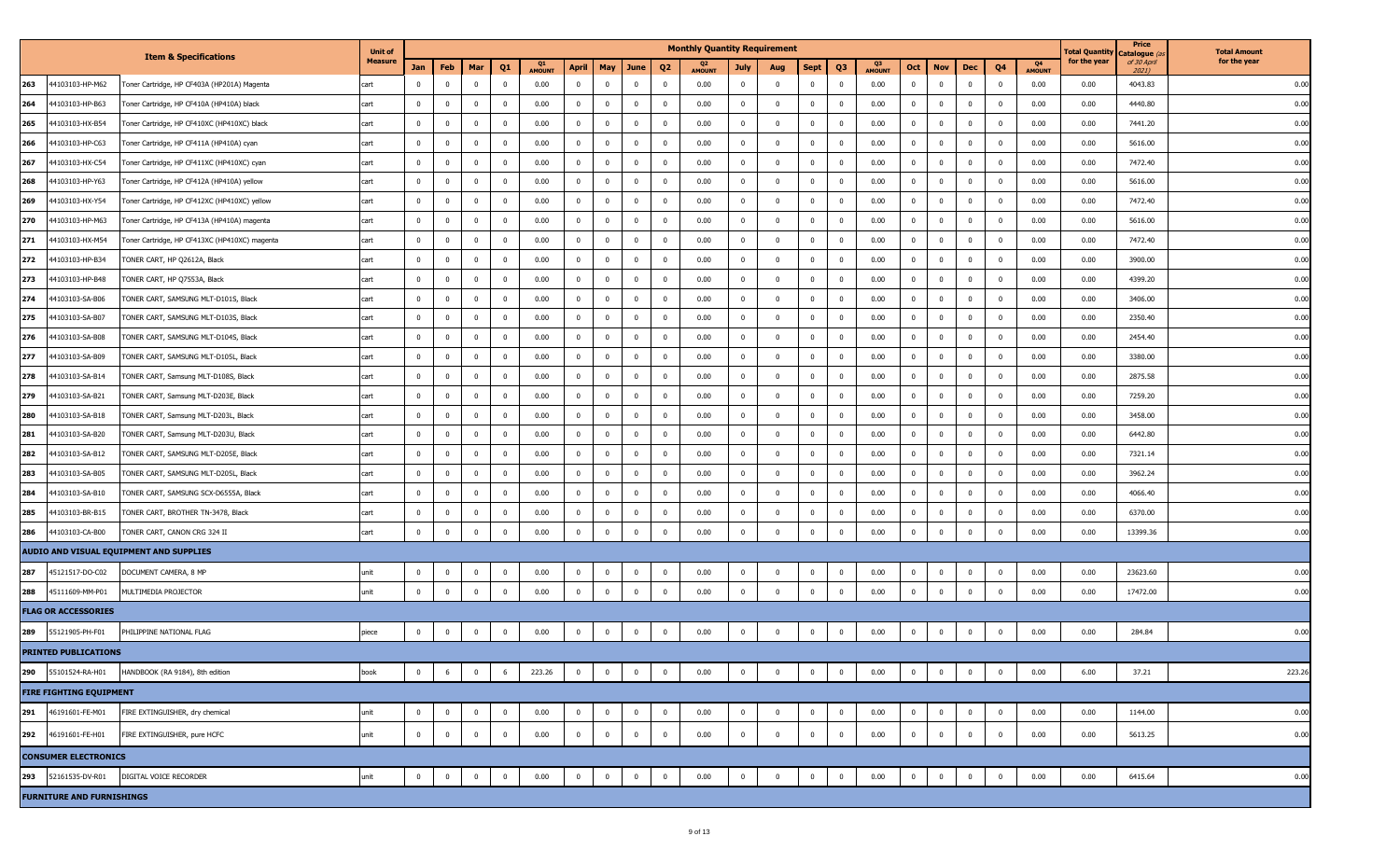|     |                                  |                                               | <b>Unit of</b> |                |                          |                         |              |                     |                |                         |                         |                | <b>Monthly Quantity Requirement</b> |                |                |                |                |                       |                |                |                |                         |                     | Total Quantity | Price<br>) Catalogue | <b>Total Amount</b> |
|-----|----------------------------------|-----------------------------------------------|----------------|----------------|--------------------------|-------------------------|--------------|---------------------|----------------|-------------------------|-------------------------|----------------|-------------------------------------|----------------|----------------|----------------|----------------|-----------------------|----------------|----------------|----------------|-------------------------|---------------------|----------------|----------------------|---------------------|
|     |                                  | <b>Item &amp; Specifications</b>              | <b>Measure</b> | Jan            | Feb                      | Mar                     | Q1           | Q1<br><b>AMOUNT</b> | April          | May                     | June                    | Q <sub>2</sub> | <b>AMOUNT</b>                       | <b>July</b>    | Aug            | <b>Sept</b>    | Q <sub>3</sub> | - 03<br><b>AMOUNT</b> | Oct            | <b>Nov</b>     | Dec            | Q <sub>4</sub>          | Q4<br><b>AMOUNT</b> | for the year   | of 30 April<br>2021) | for the year        |
| 263 | 44103103-HP-M62                  | Toner Cartridge, HP CF403A (HP201A) Magenta   | cart           | $^{\circ}$     | $\overline{\mathbf{0}}$  | $\overline{0}$          | $^{\circ}$   | 0.00                | $\overline{0}$ | $\mathbf{0}$            | $\overline{\mathbf{0}}$ | $^{\circ}$     | 0.00                                | $\mathbf{0}$   | 0              | $\bf{0}$       | $\mathbf 0$    | 0.00                  | 0              | $\mathbf{0}$   | $\overline{0}$ | $\overline{\mathbf{0}}$ | 0.00                | 0.00           | 4043.83              | 0.00                |
| 264 | 44103103-HP-B63                  | Toner Cartridge, HP CF410A (HP410A) black     | cart           |                | 0                        | $\overline{\mathbf{0}}$ | $^{\circ}$   | 0.00                | $\overline{0}$ | 0                       | $\overline{0}$          | $^{\circ}$     | 0.00                                | $^{\circ}$     | $^{\circ}$     | $\bf{0}$       | 0              | 0.00                  | $\mathbf 0$    | $\bf{0}$       | 0              | 0                       | 0.00                | 0.00           | 4440.80              | 0.00                |
| 265 | 44103103-HX-B54                  | Toner Cartridge, HP CF410XC (HP410XC) black   | cart           | $\Omega$       | $\overline{0}$           | $\mathbf 0$             | $\mathbf 0$  | 0.00                | $\overline{0}$ | $\overline{0}$          | $\mathbf 0$             | $\mathbf{0}$   | 0.00                                | $\mathbf{0}$   | $^{\circ}$     | $\mathbf{0}$   | $\mathbf{0}$   | 0.00                  | $\mathbf 0$    | $\bf{0}$       | $\bf{0}$       | $\overline{\mathbf{0}}$ | 0.00                | 0.00           | 7441.20              | 0.00                |
| 266 | 44103103-HP-C63                  | Toner Cartridge, HP CF411A (HP410A) cyan      | cart           | $\mathbf{0}$   | $\bf{0}$                 | $\overline{\mathbf{0}}$ | $\mathbf{0}$ | 0.00                | $\bf{0}$       | $\mathbf{0}$            | $\overline{\mathbf{0}}$ | $\bf{0}$       | 0.00                                | $\overline{0}$ | $^{\circ}$     | $\mathbf{0}$   | $\overline{0}$ | 0.00                  | $\mathbf 0$    | $\bf{0}$       | $\bf{0}$       | $\overline{\mathbf{0}}$ | 0.00                | 0.00           | 5616.00              | 0.00                |
| 267 | 44103103-HX-C54                  | Toner Cartridge, HP CF411XC (HP410XC) cyan    | cart           |                | $\overline{0}$           | $\overline{\mathbf{0}}$ | $\Omega$     | 0.00                | $\overline{0}$ | 0                       | $\overline{0}$          | $^{\circ}$     | 0.00                                | $^{\circ}$     | $^{\circ}$     | $\mathbf{0}$   | $\overline{0}$ | 0.00                  | $\mathbf 0$    | $\mathbf 0$    | 0              | $\overline{0}$          | 0.00                | 0.00           | 7472.40              | 0.00                |
| 268 | 44103103-HP-Y63                  | Toner Cartridge, HP CF412A (HP410A) yellow    | cart           | $\Omega$       | $\mathbf 0$              | $\mathbf 0$             | $\mathbf{0}$ | 0.00                | $\overline{0}$ | $\overline{0}$          | $\mathbf 0$             | $\mathbf{0}$   | 0.00                                | $\mathbf{0}$   | $\Omega$       | $\mathbf{0}$   | $\mathbf{0}$   | 0.00                  | $\mathbf 0$    | $\bf{0}$       | $\mathbf 0$    | $\overline{0}$          | 0.00                | 0.00           | 5616.00              | 0.00                |
| 269 | 44103103-HX-Y54                  | Toner Cartridge, HP CF412XC (HP410XC) yellow  | cart           | $\mathbf{0}$   | $\bf{0}$                 | $\overline{\mathbf{0}}$ | $^{\circ}$   | 0.00                | $\overline{0}$ | $\mathbf 0$             | $\overline{\mathbf{0}}$ | $\bf{0}$       | 0.00                                | $\mathbf 0$    | $^{\circ}$     | $\mathbf{0}$   | $\mathbf 0$    | 0.00                  | $\mathbf 0$    | $\bf{0}$       | $\bf{0}$       | $\overline{\mathbf{0}}$ | 0.00                | 0.00           | 7472.40              | 0.00                |
| 270 | 44103103-HP-M63                  | Toner Cartridge, HP CF413A (HP410A) magenta   | cart           |                | $\overline{0}$           | $\overline{\mathbf{0}}$ |              | 0.00                | $\overline{0}$ | 0                       | $\mathbf 0$             | $\mathbf{0}$   | 0.00                                |                | $\Omega$       | $\mathbf 0$    | $\overline{0}$ | 0.00                  | $\mathbf 0$    | $\bf{0}$       | 0              | $\mathbf{0}$            | 0.00                | 0.00           | 5616.00              | 0.00                |
| 271 | 44103103-HX-M54                  | Toner Cartridge, HP CF413XC (HP410XC) magenta | cart           | $\Omega$       | $\overline{0}$           | $\mathbf 0$             | $\mathbf 0$  | 0.00                | $\overline{0}$ | $\overline{0}$          | $\mathbf 0$             | $\bf{0}$       | 0.00                                | $\mathbf{0}$   | $\mathbf{0}$   | $\mathbf{0}$   | $\mathbf{0}$   | 0.00                  | $\mathbf 0$    | $\overline{0}$ | $\mathbf 0$    | $\mathbf 0$             | 0.00                | 0.00           | 7472.40              | 0.00                |
| 272 | 44103103-HP-B34                  | TONER CART, HP Q2612A, Black                  | cart           | $\mathbf{0}$   | $\overline{\phantom{0}}$ | $\overline{\mathbf{0}}$ | $\mathbf{0}$ | 0.00                | $\bf{0}$       | $\bf{0}$                | $\overline{\mathbf{0}}$ | $\bf{0}$       | 0.00                                | $\overline{0}$ | $\mathbf{0}$   | $\mathbf{0}$   | $\overline{0}$ | 0.00                  | $\mathbf 0$    | $\bf{0}$       | $\bf{0}$       | $\overline{\mathbf{0}}$ | 0.00                | 0.00           | 3900.00              | 0.00                |
| 273 | 44103103-HP-B48                  | TONER CART, HP Q7553A, Black                  | cart           |                | $\overline{0}$           | $\overline{\mathbf{0}}$ |              | 0.00                | $\overline{0}$ | 0                       | $\overline{0}$          | $\mathbf{0}$   | 0.00                                | 0              | $^{\circ}$     | $\mathbf 0$    | $\overline{0}$ | 0.00                  | $\mathbf 0$    | $\mathbf 0$    | 0              | $\overline{0}$          | 0.00                | 0.00           | 4399.20              | 0.00                |
| 274 | 44103103-SA-B06                  | TONER CART, SAMSUNG MLT-D101S, Black          | cart           | $\Omega$       | $\mathbf 0$              | $\overline{\mathbf{0}}$ | $\mathbf{0}$ | 0.00                | $\overline{0}$ | $\overline{0}$          | $\mathbf 0$             | $\bf{0}$       | 0.00                                | $\mathbf{0}$   | $\Omega$       | $\mathbf{0}$   | $\mathbf{0}$   | 0.00                  | $\mathbf 0$    | $\bf{0}$       | $\mathbf 0$    | $\overline{0}$          | 0.00                | 0.00           | 3406.00              | 0.00                |
| 275 | 44103103-SA-B07                  | TONER CART, SAMSUNG MLT-D103S, Black          | cart           | $\mathbf{0}$   | $\overline{\phantom{0}}$ | $\overline{\mathbf{0}}$ | $\mathbf{0}$ | 0.00                | $\bf{0}$       | $\mathbf 0$             | $\overline{\mathbf{0}}$ | $\bf{0}$       | 0.00                                | $\mathbf{0}$   | $^{\circ}$     | $\mathbf{0}$   | $\mathbf 0$    | 0.00                  | $\mathbf 0$    | $\bf{0}$       | $\bf{0}$       | $\overline{\mathbf{0}}$ | 0.00                | 0.00           | 2350.40              | 0.00                |
| 276 | 44103103-SA-B08                  | TONER CART, SAMSUNG MLT-D104S, Black          | cart           | $^{\circ}$     | $\overline{0}$           | $\overline{0}$          | $\Omega$     | 0.00                | $\mathbf{0}$   | $\mathbf 0$             | $\overline{0}$          | $\mathbf{0}$   | 0.00                                | $^{\circ}$     | $^{\circ}$     | $\mathbf 0$    | $\mathbf{0}$   | 0.00                  | $\mathbf 0$    | $\mathbf 0$    | 0              | $\overline{0}$          | 0.00                | 0.00           | 2454.40              | 0.00                |
| 277 | 44103103-SA-B09                  | TONER CART, SAMSUNG MLT-D105L, Black          | cart           | $\Omega$       | $\overline{\mathbf{0}}$  | $\mathbf 0$             | $\mathbf 0$  | 0.00                | $\overline{0}$ | $\overline{0}$          | $\mathbf 0$             | $\bf{0}$       | 0.00                                | $\mathbf{0}$   | $\mathbf{0}$   | $\mathbf{0}$   | $\mathbf{0}$   | 0.00                  | $\mathbf 0$    | $\bf{0}$       | $\mathbf 0$    | $\mathbf 0$             | 0.00                | 0.00           | 3380.00              | 0.00                |
| 278 | 44103103-SA-B14                  | TONER CART, Samsung MLT-D108S, Black          | cart           | $\mathbf{0}$   | $\overline{\phantom{0}}$ | $\overline{\mathbf{0}}$ | $\mathbf{0}$ | 0.00                | $\bf{0}$       | $\bf{0}$                | $\overline{\mathbf{0}}$ | $\bf{0}$       | 0.00                                | $\overline{0}$ | $\mathbf{0}$   | $\mathbf{0}$   | $\overline{0}$ | 0.00                  | $\mathbf 0$    | $\bf{0}$       | $\bf{0}$       | $\overline{\mathbf{0}}$ | 0.00                | 0.00           | 2875.58              | 0.00                |
| 279 | 44103103-SA-B21                  | TONER CART, Samsung MLT-D203E, Black          | cart           | $\Omega$       | $\overline{0}$           | $\overline{\mathbf{0}}$ | $\Omega$     | 0.00                | $\mathbf{0}$   | $\mathbf 0$             | $\overline{0}$          | $\mathbf{0}$   | 0.00                                | $^{\circ}$     | $^{\circ}$     | $\mathbf 0$    | $\mathbf{0}$   | 0.00                  | $\mathbf 0$    | $\mathbf 0$    | 0              | $\overline{0}$          | 0.00                | 0.00           | 7259.20              | 0.00                |
| 280 | 44103103-SA-B18                  | TONER CART, Samsung MLT-D203L, Black          | cart           | $\Omega$       | $\overline{\mathbf{0}}$  | $\mathbf 0$             | $\mathbf{0}$ | 0.00                | $\overline{0}$ | $\overline{0}$          | $\mathbf 0$             | $\overline{0}$ | 0.00                                | $\mathbf{0}$   | $\Omega$       | $\mathbf{0}$   | $\mathbf{0}$   | 0.00                  | $\mathbf 0$    | $\bf{0}$       | $\mathbf 0$    | $\overline{0}$          | 0.00                | 0.00           | 3458.00              | 0.00                |
| 281 | 44103103-SA-B20                  | TONER CART, Samsung MLT-D203U, Black          | cart           | $\mathbf{0}$   | $\overline{\phantom{0}}$ | $\overline{\mathbf{0}}$ | $\mathbf{0}$ | 0.00                | $\bf{0}$       | $\mathbf 0$             | $\overline{\mathbf{0}}$ | $\bf{0}$       | 0.00                                | $\mathbf{0}$   | $^{\circ}$     | $\mathbf{0}$   | $\mathbf 0$    | 0.00                  | $\mathbf 0$    | $\bf{0}$       | $\bf{0}$       | $\overline{\mathbf{0}}$ | 0.00                | 0.00           | 6442.80              | 0.00                |
| 282 | 44103103-SA-B12                  | TONER CART, SAMSUNG MLT-D205E, Black          | cart           | $^{\circ}$     | $\overline{0}$           | $\overline{\mathbf{0}}$ |              | 0.00                | $\overline{0}$ | 0                       | $\mathbf 0$             | $\mathbf{0}$   | 0.00                                | $^{\circ}$     | $\Omega$       | $\mathbf{0}$   | $\mathbf{0}$   | 0.00                  | $\mathbf 0$    | $\mathbf 0$    | 0              | $\overline{0}$          | 0.00                | 0.00           | 7321.14              | 0.00                |
| 283 | 44103103-SA-B05                  | TONER CART, SAMSUNG MLT-D205L, Black          | cart           | $\Omega$       | $\overline{0}$           | $\mathbf 0$             | $\mathbf{0}$ | 0.00                | $\overline{0}$ | $\overline{0}$          | $\mathbf 0$             | $\overline{0}$ | 0.00                                | $\overline{0}$ | $\Omega$       | $\mathbf{0}$   | $\mathbf{0}$   | 0.00                  | $\mathbf 0$    | $\bf{0}$       | $\mathbf 0$    | $\mathbf 0$             | 0.00                | 0.00           | 3962.24              | 0.00                |
| 284 | 44103103-SA-B10                  | TONER CART, SAMSUNG SCX-D6555A, Black         | cart           | $\mathbf{0}$   | $\overline{\mathbf{0}}$  | $\overline{\mathbf{0}}$ | $\mathbf{0}$ | 0.00                | $\bf{0}$       | $\mathbf 0$             | $\overline{\mathbf{0}}$ | $\bf{0}$       | 0.00                                | $\overline{0}$ | $^{\circ}$     | $\mathbf{0}$   | $\overline{0}$ | 0.00                  | $\mathbf 0$    | $\bf{0}$       | $\bf{0}$       | $\overline{\mathbf{0}}$ | 0.00                | 0.00           | 4066.40              | 0.00                |
| 285 | 44103103-BR-B15                  | TONER CART, BROTHER TN-3478, Black            | cart           |                | $\overline{0}$           | $\overline{\mathbf{0}}$ |              | 0.00                | $\overline{0}$ | 0                       | 0                       | $\mathbf{0}$   | 0.00                                | $^{\circ}$     | $\Omega$       | $\mathbf{0}$   | $\overline{0}$ | 0.00                  | $\mathbf 0$    | $\bf{0}$       | 0              | $\mathbf{0}$            | 0.00                | 0.00           | 6370.00              | 0.00                |
| 286 | 44103103-CA-B00                  | TONER CART, CANON CRG 324 II                  | cart           | $\overline{0}$ | $\mathbf 0$              | $\overline{\mathbf{0}}$ | $\mathbf{0}$ | 0.00                | $\overline{0}$ | $\mathbf 0$             | $\mathbf 0$             | $\mathbf 0$    | 0.00                                | $\overline{0}$ | $\Omega$       | $\mathbf{0}$   | $\mathbf 0$    | 0.00                  | $\pmb{0}$      | $\overline{0}$ | $\bf{0}$       | $\mathbf 0$             | 0.00                | 0.00           | 13399.36             | 0.00                |
|     |                                  | AUDIO AND VISUAL EQUIPMENT AND SUPPLIES       |                |                |                          |                         |              |                     |                |                         |                         |                |                                     |                |                |                |                |                       |                |                |                |                         |                     |                |                      |                     |
| 287 | 45121517-DO-C02                  | DOCUMENT CAMERA, 8 MP                         | unit           | $^{\circ}$     | $\overline{\mathbf{0}}$  | $\overline{\mathbf{0}}$ | $\mathbf 0$  | 0.00                | $\mathbf 0$    | $\mathbf 0$             | $\overline{\mathbf{0}}$ | $\mathbf 0$    | 0.00                                | 0              | $^{\circ}$     | $\mathbf 0$    | $\mathbf 0$    | 0.00                  | 0              | $\bf{0}$       | $\bf{0}$       | $\overline{\mathbf{0}}$ | 0.00                | 0.00           | 23623.60             | 0.00                |
| 288 | 45111609-MM-P01                  | MULTIMEDIA PROJECTOR                          | unit           | $\overline{0}$ | $\mathbf 0$              | $\overline{\mathbf{0}}$ | $\Omega$     | 0.00                | $\mathbf{0}$   | $\bf{0}$                | $\pmb{0}$               | $\mathbf 0$    | 0.00                                | $\mathbf 0$    | $^{\circ}$     | $\mathbf 0$    | $\overline{0}$ | 0.00                  | $\mathbf{0}$   | $\overline{0}$ | $\mathbf 0$    | $\overline{0}$          | 0.00                | 0.00           | 17472.00             | 0.00                |
|     | <b>FLAG OR ACCESSORIES</b>       |                                               |                |                |                          |                         |              |                     |                |                         |                         |                |                                     |                |                |                |                |                       |                |                |                |                         |                     |                |                      |                     |
| 289 | 55121905-PH-F01                  | PHILIPPINE NATIONAL FLAG                      | piece          | $\overline{0}$ | $\overline{\mathbf{0}}$  | $\overline{\mathbf{0}}$ | $\bf{0}$     | 0.00                | $\overline{0}$ | $\overline{0}$          | $\mathbf{0}$            | $\bf{0}$       | 0.00                                | $\overline{0}$ | $\overline{0}$ | $\overline{0}$ | $\overline{0}$ | 0.00                  | $\bf{0}$       | $\bf{0}$       | $\mathbf{0}$   | $\overline{0}$          | 0.00                | 0.00           | 284.84               | 0.00                |
|     | <b>PRINTED PUBLICATIONS</b>      |                                               |                |                |                          |                         |              |                     |                |                         |                         |                |                                     |                |                |                |                |                       |                |                |                |                         |                     |                |                      |                     |
| 290 | 55101524-RA-H01                  | HANDBOOK (RA 9184), 8th edition               | book           | $\overline{0}$ | 6                        | $\overline{0}$          | 6            | 223.26              | $\bf{0}$       | $\overline{0}$          | $\overline{0}$          | $\bf{0}$       | 0.00                                | $\overline{0}$ | $^{\circ}$     | $\bf{0}$       | $\overline{0}$ | 0.00                  | $\overline{0}$ | $\overline{0}$ | $\mathbf{0}$   | $\overline{\mathbf{0}}$ | 0.00                | 6.00           | 37.21                | 223.26              |
|     | FIRE FIGHTING EQUIPMENT          |                                               |                |                |                          |                         |              |                     |                |                         |                         |                |                                     |                |                |                |                |                       |                |                |                |                         |                     |                |                      |                     |
| 291 | 46191601-FE-M01                  | FIRE EXTINGUISHER, dry chemical               | unit           | $\mathbf 0$    | $\bf{0}$                 | $\overline{\mathbf{0}}$ | $\bf{0}$     | 0.00                | $\overline{0}$ | $\overline{\mathbf{0}}$ | $\overline{\mathbf{0}}$ | $\overline{0}$ | 0.00                                | $\mathbf{0}$   | $^{\circ}$     | $\overline{0}$ | $\overline{0}$ | 0.00                  | 0              | $\overline{0}$ | $\bf{0}$       | $\overline{0}$          | 0.00                | 0.00           | 1144.00              | 0.00                |
| 292 | 46191601-FE-H01                  | FIRE EXTINGUISHER, pure HCFC                  | unit           | $\overline{0}$ | $\overline{0}$           | $\overline{\mathbf{0}}$ | $\mathbf{0}$ | 0.00                | $\overline{0}$ | $\overline{0}$          | $\overline{0}$          | $\mathbf 0$    | 0.00                                | $\overline{0}$ | $^{\circ}$     | $\overline{0}$ | $\overline{0}$ | 0.00                  | $\mathbf 0$    | $\overline{0}$ | $\bf{0}$       | $\overline{0}$          | 0.00                | 0.00           | 5613.25              | 0.00                |
|     | <b>CONSUMER ELECTRONICS</b>      |                                               |                |                |                          |                         |              |                     |                |                         |                         |                |                                     |                |                |                |                |                       |                |                |                |                         |                     |                |                      |                     |
| 293 | 52161535-DV-R01                  | DIGITAL VOICE RECORDER                        | unit           | $\overline{0}$ | $\overline{\mathbf{0}}$  | $\overline{\mathbf{0}}$ | $\Omega$     | 0.00                | $\mathbf 0$    | $\overline{0}$          | $\overline{\mathbf{0}}$ | $\mathbf 0$    | 0.00                                |                | $\Omega$       | $\mathbf{0}$   | $\mathbf 0$    | 0.00                  | $\overline{0}$ | $\overline{0}$ | $\mathbf 0$    | $\overline{0}$          | 0.00                | 0.00           | 6415.64              | 0.00                |
|     | <b>FURNITURE AND FURNISHINGS</b> |                                               |                |                |                          |                         |              |                     |                |                         |                         |                |                                     |                |                |                |                |                       |                |                |                |                         |                     |                |                      |                     |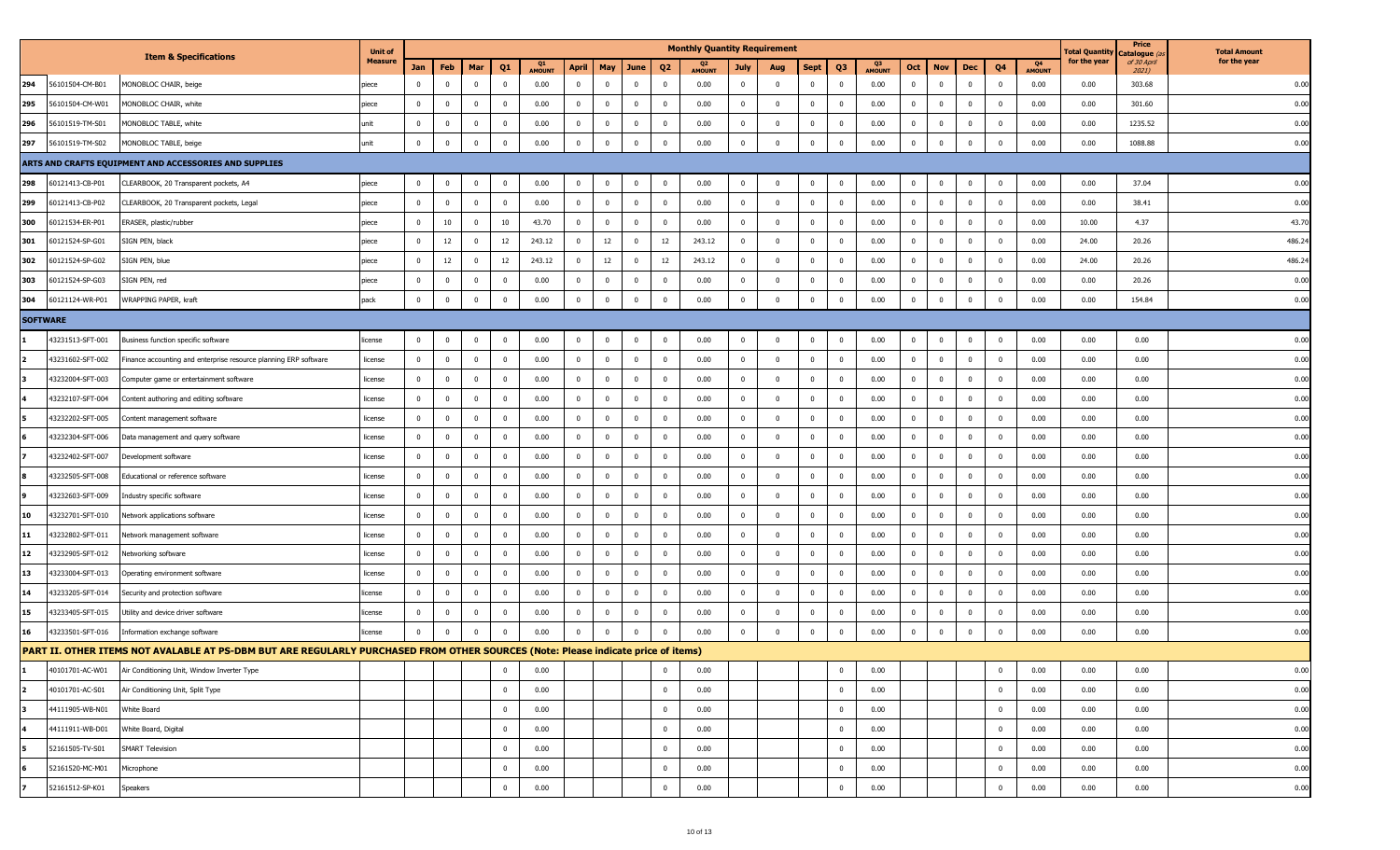|                 |                  |                                                                                                                                   | <b>Unit of</b> |                |                |                |              |                     |                |                |                         |                         | <b>Monthly Quantity Requirement</b> |                         |                         |                |                |                     |              |                         |              |                         |                     | <b>Total Quantity</b> | Price<br>C <b>atalogue</b> <i>(a</i> | <b>Total Amount</b> |
|-----------------|------------------|-----------------------------------------------------------------------------------------------------------------------------------|----------------|----------------|----------------|----------------|--------------|---------------------|----------------|----------------|-------------------------|-------------------------|-------------------------------------|-------------------------|-------------------------|----------------|----------------|---------------------|--------------|-------------------------|--------------|-------------------------|---------------------|-----------------------|--------------------------------------|---------------------|
|                 |                  | <b>Item &amp; Specifications</b>                                                                                                  | <b>Measure</b> | Jan            | Feb            | Mar            | Q1           | Q1<br><b>AMOUNT</b> | <b>April</b>   | May            | June                    | Q <sub>2</sub>          | <b>AMOUNT</b>                       | July                    | Aug                     | Sept           | <b>Q3</b>      | Q3<br><b>AMOUNT</b> | Oct          | <b>Nov</b>              | Dec          | Q4                      | Q4<br><b>AMOUNT</b> | for the year          | of 30 April<br>2021)                 | for the year        |
| 294             | 56101504-CM-B01  | MONOBLOC CHAIR, beige                                                                                                             | piece          | $\mathbf{0}$   | $\mathbf{0}$   | $\overline{0}$ | $\bf{0}$     | 0.00                | $\overline{0}$ | $\mathbf 0$    | $\overline{\mathbf{0}}$ | $\overline{0}$          | 0.00                                | $\overline{0}$          | $\overline{\mathbf{0}}$ | $\mathbf{0}$   | $\overline{0}$ | 0.00                | $^{\circ}$   | $\overline{0}$          | $\bf{0}$     | $\overline{0}$          | 0.00                | 0.00                  | 303.68                               | 0.00                |
| 295             | 56101504-CM-W01  | MONOBLOC CHAIR, white                                                                                                             | piece          | $\overline{0}$ | $\bf{0}$       | $\mathbf 0$    | $\mathbf 0$  | 0.00                | $\overline{0}$ | $^{\circ}$     | $\overline{0}$          | $\overline{0}$          | 0.00                                | $\overline{0}$          | $\overline{\mathbf{0}}$ | $^{\circ}$     | 0              | 0.00                | $\Omega$     | $\overline{0}$          | $\mathbf 0$  | $^{\circ}$              | 0.00                | 0.00                  | 301.60                               | 0.00                |
| 296             | 56101519-TM-S01  | MONOBLOC TABLE, white                                                                                                             | unit           | $\mathbf 0$    | $\mathbf 0$    | $\mathbf 0$    | $\mathbf 0$  | 0.00                | $\bf{0}$       | $\Omega$       | $\overline{0}$          | $\overline{0}$          | 0.00                                | $\overline{0}$          | $\Omega$                | $\mathbf 0$    | $\mathbf{0}$   | 0.00                | $\Omega$     | $\overline{0}$          | $\mathbf{0}$ | $\mathbf{0}$            | 0.00                | 0.00                  | 1235.52                              | 0.00                |
| 297             | 56101519-TM-S02  | MONOBLOC TABLE, beige                                                                                                             | unit           | $\mathbf 0$    | $\mathbf 0$    | $\overline{0}$ | $\mathbf 0$  | 0.00                | $\mathbf 0$    | $\mathbf 0$    | $\overline{\mathbf{0}}$ | $\overline{\mathbf{0}}$ | 0.00                                | $\overline{0}$          | $\overline{0}$          | $\mathbf 0$    | $\overline{0}$ | 0.00                | $^{\circ}$   | $\overline{\mathbf{0}}$ | $\mathbf{0}$ | $\mathbf{0}$            | 0.00                | 0.00                  | 1088.88                              | 0.00                |
|                 |                  | ARTS AND CRAFTS EQUIPMENT AND ACCESSORIES AND SUPPLIES                                                                            |                |                |                |                |              |                     |                |                |                         |                         |                                     |                         |                         |                |                |                     |              |                         |              |                         |                     |                       |                                      |                     |
| 298             | 60121413-CB-P01  | CLEARBOOK, 20 Transparent pockets, A4                                                                                             | piece          | $\Omega$       | $\bf{0}$       | $\mathbf 0$    | $\mathbf 0$  | 0.00                | $\bf{0}$       | $^{\circ}$     | $\overline{\mathbf{0}}$ | $\overline{0}$          | 0.00                                | $\mathbf 0$             | 0                       | $\mathbf 0$    | $\overline{0}$ | 0.00                |              | $\mathbf 0$             | $\mathbf{0}$ | $\mathbf{0}$            | 0.00                | 0.00                  | 37.04                                | 0.00                |
| 299             | 60121413-CB-P02  | CLEARBOOK, 20 Transparent pockets, Legal                                                                                          | piece          | $\overline{0}$ | $\overline{0}$ | $\overline{0}$ | $\mathbf 0$  | 0.00                | $\bf{0}$       | $^{\circ}$     | $\overline{\mathbf{0}}$ | $\overline{0}$          | 0.00                                | $\overline{0}$          | $\overline{\mathbf{0}}$ | $\mathbf 0$    | $\mathbf 0$    | 0.00                | $^{\circ}$   | $\overline{0}$          | $\mathbf{0}$ | $\mathbf{0}$            | 0.00                | 0.00                  | 38.41                                | 0.00                |
| 300             | 60121534-ER-P01  | ERASER, plastic/rubber                                                                                                            | piece          | $\overline{0}$ | 10             | $\mathbf 0$    | 10           | 43.70               | $\bf{0}$       | 0              | $\overline{\mathbf{0}}$ | $\overline{0}$          | 0.00                                | $\overline{0}$          | $\overline{\mathbf{0}}$ | $\mathbf 0$    | $\overline{0}$ | 0.00                |              | $\overline{\mathbf{0}}$ | $\mathbf{0}$ | $\mathbf 0$             | 0.00                | 10.00                 | 4.37                                 | 43.70               |
| 301             | 60121524-SP-G01  | SIGN PEN, black                                                                                                                   | piece          | $\mathbf{0}$   | 12             | $\overline{0}$ | 12           | 243.12              | $\bf{0}$       | 12             | $\overline{\mathbf{0}}$ | 12                      | 243.12                              | $\bf{0}$                | $\overline{0}$          | $\mathbf 0$    | $\overline{0}$ | 0.00                |              | $\overline{\mathbf{0}}$ | $\mathbf{0}$ | $\mathbf{0}$            | 0.00                | 24.00                 | 20.26                                | 486.24              |
| 302             | 60121524-SP-G02  | SIGN PEN, blue                                                                                                                    | piece          | $\mathbf{0}$   | 12             | $\overline{0}$ | 12           | 243.12              | $\bf{0}$       | 12             | $\overline{0}$          | 12                      | 243.12                              | $\overline{0}$          | $\overline{\mathbf{0}}$ | $\mathbf 0$    | $\mathbf{0}$   | 0.00                | $^{\circ}$   | $\overline{0}$          | $\mathbf{0}$ | $\overline{\mathbf{0}}$ | 0.00                | 24.00                 | 20.26                                | 486.24              |
| 303             | 60121524-SP-G03  | SIGN PEN, red                                                                                                                     | piece          | $\bf{0}$       | $\bf{0}$       | $\mathbf 0$    | $\mathbf 0$  | 0.00                | $\bf{0}$       | $^{\circ}$     | $\overline{\mathbf{0}}$ | $\overline{0}$          | 0.00                                | $\bf{0}$                | 0                       | $\mathbf 0$    | $\overline{0}$ | 0.00                |              | $\mathbf 0$             | $\mathbf{0}$ | $^{\circ}$              | 0.00                | 0.00                  | 20.26                                | 0.00                |
| 304             | 60121124-WR-P01  | WRAPPING PAPER, kraft                                                                                                             | pack           | $\mathbf 0$    | $\bf{0}$       | $\overline{0}$ | $\mathbf 0$  | 0.00                | $\bf{0}$       | $\Omega$       | $\overline{\mathbf{0}}$ | $\overline{\mathbf{0}}$ | 0.00                                | $\mathbf 0$             | $\overline{0}$          | $\mathbf 0$    | $\overline{0}$ | 0.00                | $\Omega$     | $\overline{\mathbf{0}}$ | $\mathbf{0}$ | $\Omega$                | 0.00                | 0.00                  | 154.84                               | 0.00                |
|                 | <b>SOFTWARE</b>  |                                                                                                                                   |                |                |                |                |              |                     |                |                |                         |                         |                                     |                         |                         |                |                |                     |              |                         |              |                         |                     |                       |                                      |                     |
|                 | 43231513-SFT-001 | Business function specific software                                                                                               | license        | $\mathbf 0$    | $\bf{0}$       | $\mathbf 0$    | $\mathbf 0$  | 0.00                | $\bf{0}$       | $\mathbf{0}$   | $\overline{\mathbf{0}}$ | $\overline{0}$          | 0.00                                | $\overline{0}$          | $\overline{0}$          | $\mathbf 0$    | $\mathbf{0}$   | 0.00                | $\Omega$     | $\overline{\mathbf{0}}$ | $\bf{0}$     | $\overline{0}$          | 0.00                | 0.00                  | 0.00                                 | 0.00                |
|                 | 43231602-SFT-002 | Finance accounting and enterprise resource planning ERP software                                                                  | license        | $\mathbf 0$    | $\overline{0}$ | $\overline{0}$ | $\bf{0}$     | 0.00                | $\bf{0}$       | $\overline{0}$ | $\overline{\mathbf{0}}$ | $\overline{\mathbf{0}}$ | 0.00                                | $\overline{0}$          | $\overline{\mathbf{0}}$ | $\bf{0}$       | $\overline{0}$ | 0.00                | $^{\circ}$   | $\overline{0}$          | $\bf{0}$     | $\overline{\mathbf{0}}$ | 0.00                | 0.00                  | 0.00                                 | 0.00                |
|                 | 43232004-SFT-003 | Computer game or entertainment software                                                                                           | license        | $\overline{0}$ | $\bf{0}$       | 0              | $^{\circ}$   | 0.00                | $\bf{0}$       | $\Omega$       | $\mathbf{0}$            | $\overline{0}$          | 0.00                                | $\overline{\mathbf{0}}$ | 0                       | 0              | $\mathbf{0}$   | 0.00                |              | $\overline{0}$          | $\mathbf 0$  | $^{\circ}$              | 0.00                | 0.00                  | 0.00                                 | 0.00                |
|                 | 43232107-SFT-004 | Content authoring and editing software                                                                                            | license        | $\mathbf 0$    | $\mathbf 0$    | $\mathbf 0$    | $\Omega$     | 0.00                | $\bf{0}$       | $\Omega$       | $\overline{\mathbf{0}}$ | $\overline{0}$          | 0.00                                | $\overline{0}$          | $\Omega$                | $\mathbf 0$    | $\mathbf{0}$   | 0.00                | $\Omega$     | $\overline{0}$          | $\mathbf{0}$ | $\Omega$                | 0.00                | 0.00                  | 0.00                                 | 0.00                |
|                 | 43232202-SFT-005 | Content management software                                                                                                       | license        | $\mathbf 0$    | $\bf{0}$       | $\bf{0}$       | $\mathbf 0$  | 0.00                | $\overline{0}$ | $^{\circ}$     | $\overline{\mathbf{0}}$ | $\overline{0}$          | 0.00                                | $\overline{0}$          | $\overline{\mathbf{0}}$ | $\bf{0}$       | $\overline{0}$ | 0.00                | $^{\circ}$   | $\overline{\mathbf{0}}$ | $\mathbf{0}$ | $\overline{\mathbf{0}}$ | 0.00                | 0.00                  | 0.00                                 | 0.00                |
|                 | 43232304-SFT-006 | Data management and query software                                                                                                | license        | $\overline{0}$ | $\bf{0}$       | $\mathbf 0$    | $\mathbf 0$  | 0.00                | $\bf{0}$       | $^{\circ}$     | $\overline{0}$          | $\overline{0}$          | 0.00                                | $\overline{\mathbf{0}}$ | 0                       | 0              | $^{\circ}$     | 0.00                |              | $\overline{0}$          | $^{\circ}$   | $^{\circ}$              | 0.00                | 0.00                  | 0.00                                 | 0.00                |
|                 | 43232402-SFT-007 | Development software                                                                                                              | license        | $\mathbf 0$    | $\bf{0}$       | $\mathbf 0$    | $\mathbf 0$  | 0.00                | $\bf{0}$       | $\Omega$       | $\overline{0}$          | $\overline{0}$          | 0.00                                | $\overline{0}$          | $\Omega$                | $\mathbf 0$    | $\mathbf{0}$   | 0.00                | $\Omega$     | $\mathbf 0$             | $\mathbf{0}$ | $\mathbf{0}$            | 0.00                | 0.00                  | 0.00                                 | 0.00                |
|                 | 43232505-SFT-008 | Educational or reference software                                                                                                 | license        | $\mathbf 0$    | $\bf{0}$       | $\bf{0}$       | $\mathbf 0$  | 0.00                | $\bf{0}$       | $^{\circ}$     | $\overline{\mathbf{0}}$ | $\overline{0}$          | 0.00                                | $\overline{0}$          | $\overline{\mathbf{0}}$ | $\bf{0}$       | $\mathbf 0$    | 0.00                | $^{\circ}$   | $\overline{\mathbf{0}}$ | $\mathbf{0}$ | $\overline{\mathbf{0}}$ | 0.00                | 0.00                  | 0.00                                 | 0.00                |
|                 | 43232603-SFT-009 | Industry specific software                                                                                                        | license        | $\overline{0}$ | $\mathbf 0$    | $\mathbf{0}$   | $^{\circ}$   | 0.00                | $\bf{0}$       | $^{\circ}$     | $\overline{0}$          | $\overline{0}$          | 0.00                                | $\overline{\mathbf{0}}$ | 0                       | $^{\circ}$     | 0              | 0.00                | - 0          | $\overline{0}$          | $\mathbf{0}$ | $^{\circ}$              | 0.00                | 0.00                  | 0.00                                 | 0.00                |
| 10              | 43232701-SFT-010 | Network applications software                                                                                                     | license        | $\mathbf 0$    | $\overline{0}$ | $\mathbf 0$    | $\mathbf 0$  | 0.00                | $\bf{0}$       | $\Omega$       | $\overline{0}$          | $\overline{0}$          | 0.00                                | $\overline{0}$          | $\Omega$                | $\mathbf 0$    | $\mathbf{0}$   | 0.00                | $\Omega$     | $\overline{0}$          | $\mathbf{0}$ | $\Omega$                | 0.00                | 0.00                  | 0.00                                 | 0.00                |
| 11              | 43232802-SFT-011 | Network management software                                                                                                       | license        | $\bf{0}$       | $\bf{0}$       | $\bf{0}$       | $\mathbf 0$  | 0.00                | $\overline{0}$ | $^{\circ}$     | $\overline{\mathbf{0}}$ | $\overline{0}$          | 0.00                                | $\overline{0}$          | $\overline{\mathbf{0}}$ | $\overline{0}$ | $\overline{0}$ | 0.00                | $^{\circ}$   | $\overline{\mathbf{0}}$ | $\mathbf{0}$ | $\mathbf 0$             | 0.00                | 0.00                  | 0.00                                 | 0.00                |
| 12 <sub>2</sub> | 43232905-SFT-012 | Networking software                                                                                                               | license        | $\overline{0}$ | $\bf{0}$       | $\mathbf 0$    | $^{\circ}$   | 0.00                | $\bf{0}$       | $^{\circ}$     | $\overline{0}$          | $\overline{0}$          | 0.00                                | $\overline{\mathbf{0}}$ | 0                       | 0              | 0              | 0.00                | $\Omega$     | $\overline{0}$          | $\mathbf 0$  | $^{\circ}$              | 0.00                | 0.00                  | 0.00                                 | 0.00                |
| 13              | 43233004-SFT-013 | Operating environment software                                                                                                    | license        | $\mathbf 0$    | $\overline{0}$ | $\overline{0}$ | $\mathbf 0$  | 0.00                | $\bf{0}$       | $\overline{0}$ | $\overline{0}$          | $\overline{0}$          | 0.00                                | $\overline{0}$          | $\overline{\mathbf{0}}$ | $\mathbf 0$    | $\mathbf 0$    | 0.00                | $\mathbf{0}$ | $\overline{\mathbf{0}}$ | $\mathbf{0}$ | $\overline{\mathbf{0}}$ | 0.00                | 0.00                  | 0.00                                 | 0.00                |
| 14              | 43233205-SFT-014 | Security and protection software                                                                                                  | license        | $\bf{0}$       | $\bf{0}$       | $\bf{0}$       | $\mathbf{0}$ | 0.00                | $\bf{0}$       | $^{\circ}$     | $\overline{\mathbf{0}}$ | $\overline{0}$          | 0.00                                | $\overline{0}$          | $\overline{\mathbf{0}}$ | $\mathbf 0$    | $\overline{0}$ | 0.00                | $^{\circ}$   | $\overline{\mathbf{0}}$ | $\mathbf{0}$ | $\overline{\mathbf{0}}$ | 0.00                | 0.00                  | 0.00                                 | 0.00                |
| 15              | 43233405-SFT-015 | Utility and device driver software                                                                                                | license        | $^{\circ}$     | $\bf{0}$       | $\mathbf 0$    | $^{\circ}$   | 0.00                | $\bf{0}$       | $^{\circ}$     | $\overline{0}$          | $\overline{0}$          | 0.00                                | $\overline{\mathbf{0}}$ | 0                       | 0              | $^{\circ}$     | 0.00                |              | $\overline{\mathbf{0}}$ | $^{\circ}$   | $^{\circ}$              | 0.00                | 0.00                  | 0.00                                 | 0.00                |
| 16              | 43233501-SFT-016 | Information exchange software                                                                                                     | license        | $\mathbf 0$    | $\bf{0}$       | $\overline{0}$ | $\mathbf 0$  | 0.00                | $\bf{0}$       | $\Omega$       | $\overline{0}$          | $\overline{0}$          | 0.00                                | $\overline{0}$          | $\Omega$                | $\mathbf 0$    | $\mathbf 0$    | 0.00                | $\mathbf{0}$ | $\overline{\mathbf{0}}$ | $\mathbf{0}$ | $\mathbf{0}$            | 0.00                | 0.00                  | 0.00                                 | 0.00                |
|                 |                  | PART II. OTHER ITEMS NOT AVALABLE AT PS-DBM BUT ARE REGULARLY PURCHASED FROM OTHER SOURCES (Note: Please indicate price of items) |                |                |                |                |              |                     |                |                |                         |                         |                                     |                         |                         |                |                |                     |              |                         |              |                         |                     |                       |                                      |                     |
|                 | 40101701-AC-W01  | Air Conditioning Unit, Window Inverter Type                                                                                       |                |                |                |                | $^{\circ}$   | 0.00                |                |                |                         | $\overline{0}$          | 0.00                                |                         |                         |                | $\overline{0}$ | 0.00                |              |                         |              | $\mathbf 0$             | 0.00                | 0.00                  | 0.00                                 | 0.00                |
| $\overline{2}$  | 40101701-AC-S01  | Air Conditioning Unit, Split Type                                                                                                 |                |                |                |                | $\mathbf 0$  | 0.00                |                |                |                         | $\overline{0}$          | 0.00                                |                         |                         |                | $\mathbf{0}$   | 0.00                |              |                         |              | $\overline{0}$          | 0.00                | 0.00                  | 0.00                                 | 0.00                |
|                 | 44111905-WB-N01  | White Board                                                                                                                       |                |                |                |                | $\mathbf{0}$ | 0.00                |                |                |                         | $\overline{0}$          | 0.00                                |                         |                         |                | $\overline{0}$ | 0.00                |              |                         |              | $\overline{0}$          | 0.00                | 0.00                  | 0.00                                 | 0.00                |
|                 | 44111911-WB-D01  | White Board, Digital                                                                                                              |                |                |                |                | $\pmb{0}$    | 0.00                |                |                |                         | $\overline{\mathbf{0}}$ | 0.00                                |                         |                         |                | $\overline{0}$ | 0.00                |              |                         |              | $\mathbf 0$             | 0.00                | 0.00                  | 0.00                                 | 0.00                |
|                 | 52161505-TV-S01  | <b>SMART Television</b>                                                                                                           |                |                |                |                | $\mathbf 0$  | 0.00                |                |                |                         | $\overline{\mathbf{0}}$ | 0.00                                |                         |                         |                | $\overline{0}$ | 0.00                |              |                         |              | $\overline{0}$          | 0.00                | 0.00                  | 0.00                                 | 0.00                |
|                 | 52161520-MC-M01  | Microphone                                                                                                                        |                |                |                |                | $\mathbf 0$  | 0.00                |                |                |                         | $\overline{\mathbf{0}}$ | 0.00                                |                         |                         |                | $\mathbf 0$    | 0.00                |              |                         |              | $\overline{0}$          | 0.00                | 0.00                  | 0.00                                 | 0.00                |
|                 | 52161512-SP-K01  | Speakers                                                                                                                          |                |                |                |                | $\pmb{0}$    | 0.00                |                |                |                         | $\pmb{0}$               | 0.00                                |                         |                         |                | $\overline{0}$ | 0.00                |              |                         |              | $\mathbf{0}$            | 0.00                | 0.00                  | 0.00                                 | 0.00                |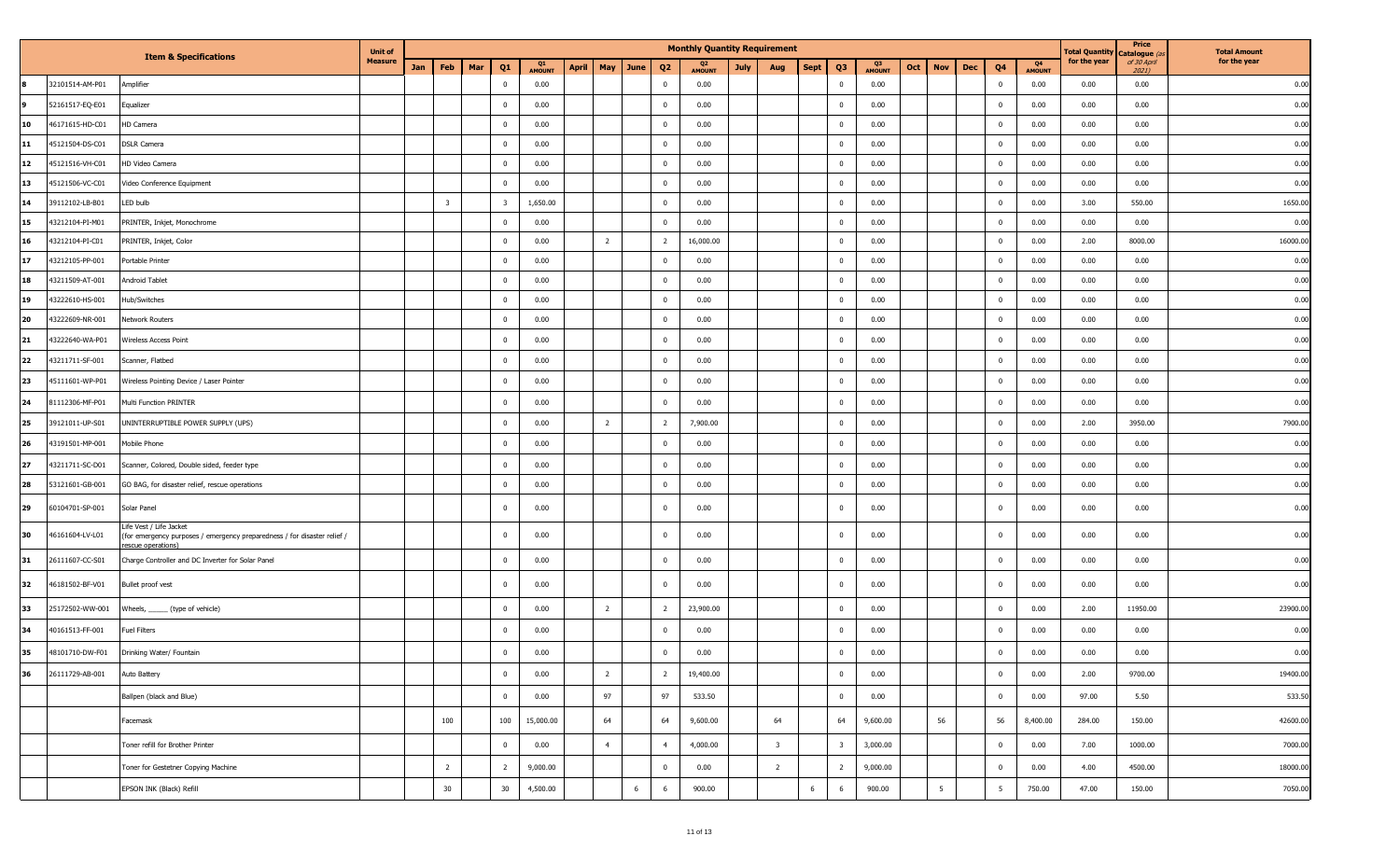|    |                 |                                                                                                                          | <b>Unit of</b> |                         |     |                         |                     |       |                |                            | <b>Monthly Quantity Requirement</b> |             |                         |                               |                     |     |                 |            |                |                     | <b>Total Quantity</b> | Price<br>Catalogue (a | <b>Total Amount</b> |
|----|-----------------|--------------------------------------------------------------------------------------------------------------------------|----------------|-------------------------|-----|-------------------------|---------------------|-------|----------------|----------------------------|-------------------------------------|-------------|-------------------------|-------------------------------|---------------------|-----|-----------------|------------|----------------|---------------------|-----------------------|-----------------------|---------------------|
|    |                 | <b>Item &amp; Specifications</b>                                                                                         | <b>Measure</b> | Jan<br>Feb              | Mar | Q1                      | Q1<br><b>AMOUNT</b> | April |                | May June<br>Q <sub>2</sub> | <b>AMOUNT</b>                       | <b>July</b> | Aug                     | Q <sub>3</sub><br><b>Sept</b> | Q3<br><b>AMOUNT</b> | Oct | <b>Nov</b>      | <b>Dec</b> | Q4             | Q4<br><b>AMOUNT</b> | for the year          | of 30 April<br>2021)  | for the year        |
|    | 32101514-AM-P01 | Amplifier                                                                                                                |                |                         |     | $\mathbf{0}$            | 0.00                |       |                | $\mathbf 0$                | 0.00                                |             |                         | $\overline{\mathbf{0}}$       | 0.00                |     |                 |            | $\mathbf{0}$   | 0.00                | 0.00                  | 0.00                  | 0.00                |
| l9 | 52161517-EQ-E01 | Equalizer                                                                                                                |                |                         |     | $\bf{0}$                | 0.00                |       |                | $\mathbf 0$                | 0.00                                |             |                         | $\overline{\mathbf{0}}$       | 0.00                |     |                 |            | $\bf{0}$       | 0.00                | 0.00                  | 0.00                  | 0.00                |
| 10 | 46171615-HD-C01 | HD Camera                                                                                                                |                |                         |     | $\mathbf 0$             | 0.00                |       |                | $\mathbf 0$                | 0.00                                |             |                         | $\overline{\mathbf{0}}$       | 0.00                |     |                 |            | $\mathbf 0$    | 0.00                | 0.00                  | 0.00                  | 0.00                |
| 11 | 45121504-DS-C01 | <b>DSLR Camera</b>                                                                                                       |                |                         |     | $\overline{0}$          | 0.00                |       |                | $\mathbf 0$                | 0.00                                |             |                         | $\overline{0}$                | 0.00                |     |                 |            | $\mathbf 0$    | 0.00                | 0.00                  | 0.00                  | 0.00                |
| 12 | 45121516-VH-C01 | HD Video Camera                                                                                                          |                |                         |     | $\mathbf 0$             | 0.00                |       |                | $\mathbf 0$                | 0.00                                |             |                         | $\overline{\mathbf{0}}$       | 0.00                |     |                 |            | $\overline{0}$ | 0.00                | 0.00                  | 0.00                  | 0.00                |
| 13 | 45121506-VC-C01 | Video Conference Equipment                                                                                               |                |                         |     | $\mathbf 0$             | 0.00                |       |                | $\mathbf 0$                | 0.00                                |             |                         | $\overline{\mathbf{0}}$       | 0.00                |     |                 |            | $\mathbf 0$    | 0.00                | 0.00                  | 0.00                  | 0.00                |
| 14 | 39112102-LB-B01 | LED bulb                                                                                                                 |                | $\overline{\mathbf{3}}$ |     | $\overline{\mathbf{3}}$ | 1,650.00            |       |                | $\mathbf 0$                | 0.00                                |             |                         | $\overline{0}$                | 0.00                |     |                 |            | $\mathbf 0$    | 0.00                | 3.00                  | 550.00                | 1650.00             |
| 15 | 43212104-PI-M01 | PRINTER, Inkjet, Monochrome                                                                                              |                |                         |     | $\overline{0}$          | 0.00                |       |                | $\mathbf 0$                | 0.00                                |             |                         | $\overline{\mathbf{0}}$       | 0.00                |     |                 |            | $\mathbf 0$    | 0.00                | 0.00                  | 0.00                  | 0.00                |
| 16 | 43212104-PI-C01 | PRINTER, Inkjet, Color                                                                                                   |                |                         |     | $\mathbf 0$             | 0.00                |       | $2^{\circ}$    | $\overline{2}$             | 16,000.00                           |             |                         | $\overline{\mathbf{0}}$       | 0.00                |     |                 |            | $\mathbf 0$    | 0.00                | 2.00                  | 8000.00               | 16000.00            |
| 17 | 43212105-PP-001 | Portable Printer                                                                                                         |                |                         |     | $\overline{0}$          | 0.00                |       |                | $\mathbf 0$                | 0.00                                |             |                         | $\overline{0}$                | 0.00                |     |                 |            | $\mathbf 0$    | 0.00                | 0.00                  | 0.00                  | 0.00                |
| 18 | 43211509-AT-001 | Android Tablet                                                                                                           |                |                         |     | $\overline{0}$          | 0.00                |       |                | $\overline{0}$             | 0.00                                |             |                         | $\overline{\mathbf{0}}$       | 0.00                |     |                 |            | $\mathbf 0$    | 0.00                | 0.00                  | 0.00                  | 0.00                |
| 19 | 43222610-HS-001 | lub/Switches                                                                                                             |                |                         |     | $\mathbf{0}$            | 0.00                |       |                | $\mathbf 0$                | 0.00                                |             |                         | $\Omega$                      | 0.00                |     |                 |            | $\mathbf 0$    | 0.00                | 0.00                  | 0.00                  | 0.00                |
| 20 | 43222609-NR-001 | Network Routers                                                                                                          |                |                         |     | $\overline{0}$          | 0.00                |       |                | $\mathbf 0$                | 0.00                                |             |                         | $\overline{0}$                | 0.00                |     |                 |            | $\mathbf 0$    | 0.00                | 0.00                  | 0.00                  | 0.00                |
| 21 | 43222640-WA-P01 | Wireless Access Point                                                                                                    |                |                         |     | $\overline{0}$          | 0.00                |       |                | $\mathbf{0}$               | 0.00                                |             |                         | $\overline{0}$                | 0.00                |     |                 |            | $\mathbf 0$    | 0.00                | 0.00                  | 0.00                  | 0.00                |
| 22 | 43211711-SF-001 | Scanner, Flatbed                                                                                                         |                |                         |     | $\overline{0}$          | 0.00                |       |                | $\mathbf 0$                | 0.00                                |             |                         | $\overline{0}$                | 0.00                |     |                 |            | $\overline{0}$ | 0.00                | 0.00                  | 0.00                  | 0.00                |
| 23 | 45111601-WP-P01 | Wireless Pointing Device / Laser Pointer                                                                                 |                |                         |     | $\overline{0}$          | 0.00                |       |                | $\Omega$                   | 0.00                                |             |                         | $\overline{0}$                | 0.00                |     |                 |            | $\mathbf 0$    | 0.00                | 0.00                  | 0.00                  | 0.00                |
| 24 | 31112306-MF-P01 | Multi Function PRINTER                                                                                                   |                |                         |     | $\mathbf{0}$            | 0.00                |       |                | $\Omega$                   | 0.00                                |             |                         | $\overline{0}$                | 0.00                |     |                 |            | $\mathbf 0$    | 0.00                | 0.00                  | 0.00                  | 0.00                |
| 25 | 39121011-UP-S01 | UNINTERRUPTIBLE POWER SUPPLY (UPS)                                                                                       |                |                         |     | $\overline{0}$          | 0.00                |       | $\overline{2}$ | $\overline{2}$             | 7,900.00                            |             |                         | $\overline{0}$                | 0.00                |     |                 |            | $\mathbf 0$    | 0.00                | 2.00                  | 3950.00               | 7900.00             |
| 26 | 43191501-MP-001 | Mobile Phone                                                                                                             |                |                         |     | $\overline{0}$          | 0.00                |       |                | $\mathbf 0$                | 0.00                                |             |                         | $\overline{0}$                | 0.00                |     |                 |            | $\mathbf 0$    | 0.00                | 0.00                  | 0.00                  | 0.00                |
| 27 | 43211711-SC-D01 | Scanner, Colored, Double sided, feeder type                                                                              |                |                         |     | $\overline{0}$          | 0.00                |       |                | $\Omega$                   | 0.00                                |             |                         | $\overline{0}$                | 0.00                |     |                 |            | $\mathbf 0$    | 0.00                | 0.00                  | 0.00                  | 0.00                |
| 28 | 53121601-GB-001 | GO BAG, for disaster relief, rescue operations                                                                           |                |                         |     | $\overline{0}$          | 0.00                |       |                | $\overline{0}$             | 0.00                                |             |                         | $\overline{\mathbf{0}}$       | 0.00                |     |                 |            | $\mathbf 0$    | 0.00                | 0.00                  | 0.00                  | 0.00                |
| 29 | 60104701-SP-001 | Solar Panel                                                                                                              |                |                         |     | $\overline{0}$          | 0.00                |       |                | $\mathbf{0}$               | 0.00                                |             |                         | $\overline{\mathbf{0}}$       | 0.00                |     |                 |            | 0              | 0.00                | 0.00                  | 0.00                  | 0.00                |
| 30 | 46161604-LV-L01 | Life Vest / Life Jacket<br>(for emergency purposes / emergency preparedness / for disaster relief /<br>escue operations) |                |                         |     | $\mathbf{0}$            | 0.00                |       |                | $^{\circ}$                 | 0.00                                |             |                         | $\overline{0}$                | 0.00                |     |                 |            | $\mathbf 0$    | 0.00                | 0.00                  | 0.00                  | 0.00                |
| 31 | 26111607-CC-S01 | Charge Controller and DC Inverter for Solar Panel                                                                        |                |                         |     | $\mathbf{0}$            | 0.00                |       |                | $\mathbf 0$                | 0.00                                |             |                         | $\overline{\mathbf{0}}$       | 0.00                |     |                 |            | $\overline{0}$ | 0.00                | 0.00                  | 0.00                  | 0.00                |
| 32 | 46181502-BF-V01 | Bullet proof vest                                                                                                        |                |                         |     | $\mathbf{0}$            | 0.00                |       |                | $\mathbf 0$                | 0.00                                |             |                         | $\overline{\mathbf{0}}$       | 0.00                |     |                 |            | 0              | 0.00                | 0.00                  | 0.00                  | 0.00                |
| 33 | 25172502-WW-001 | Wheels, ______ (type of vehicle)                                                                                         |                |                         |     | $\overline{0}$          | 0.00                |       | $\overline{2}$ | $\overline{2}$             | 23,900.00                           |             |                         | $\overline{\mathbf{0}}$       | 0.00                |     |                 |            | $\mathbf 0$    | 0.00                | 2.00                  | 11950.00              | 23900.00            |
| 34 | 40161513-FF-001 | Fuel Filters                                                                                                             |                |                         |     | $\overline{0}$          | 0.00                |       |                | $\mathbf 0$                | 0.00                                |             |                         | $\overline{\mathbf{0}}$       | 0.00                |     |                 |            | $\mathbf 0$    | 0.00                | 0.00                  | 0.00                  | 0.00                |
| 35 | 48101710-DW-F01 | Drinking Water/ Fountain                                                                                                 |                |                         |     | $\overline{0}$          | 0.00                |       |                | $\overline{0}$             | 0.00                                |             |                         | $\overline{0}$                | 0.00                |     |                 |            | $\mathbf 0$    | 0.00                | 0.00                  | 0.00                  | 0.00                |
| 36 | 26111729-AB-001 | Auto Battery                                                                                                             |                |                         |     | $\mathbf 0$             | 0.00                |       | $2^{\circ}$    | $\overline{2}$             | 19,400.00                           |             |                         | $\overline{0}$                | 0.00                |     |                 |            | $\mathbf 0$    | 0.00                | 2.00                  | 9700.00               | 19400.00            |
|    |                 | Ballpen (black and Blue)                                                                                                 |                |                         |     | $\overline{0}$          | 0.00                |       | 97             | 97                         | 533.50                              |             |                         | $\overline{\mathbf{0}}$       | 0.00                |     |                 |            | $\mathbf 0$    | 0.00                | 97.00                 | 5.50                  | 533.50              |
|    |                 | Facemask                                                                                                                 |                | 100                     |     | 100                     | 15,000.00           |       | 64             | 64                         | 9,600.00                            |             | 64                      | 64                            | 9,600.00            |     | 56              |            | 56             | 8,400.00            | 284.00                | 150.00                | 42600.00            |
|    |                 | Toner refill for Brother Printer                                                                                         |                |                         |     | $\overline{0}$          | 0.00                |       | $\overline{4}$ | $\overline{4}$             | 4,000.00                            |             | $\overline{\mathbf{3}}$ | $\overline{\mathbf{3}}$       | 3,000.00            |     |                 |            | $\pmb{0}$      | 0.00                | 7.00                  | 1000.00               | 7000.00             |
|    |                 | Toner for Gestetner Copying Machine                                                                                      |                | $\overline{2}$          |     | $\overline{2}$          | 9,000.00            |       |                | $\bf{0}$                   | 0.00                                |             | $\overline{2}$          | $\overline{2}$                | 9,000.00            |     |                 |            | $\mathbf 0$    | 0.00                | 4.00                  | 4500.00               | 18000.00            |
|    |                 | EPSON INK (Black) Refill                                                                                                 |                | 30                      |     | 30                      | 4,500.00            |       |                | 6<br>6                     | 900.00                              |             |                         | $6\overline{6}$<br>6          | 900.00              |     | $5\overline{5}$ |            | 5              | 750.00              | 47.00                 | 150.00                | 7050.00             |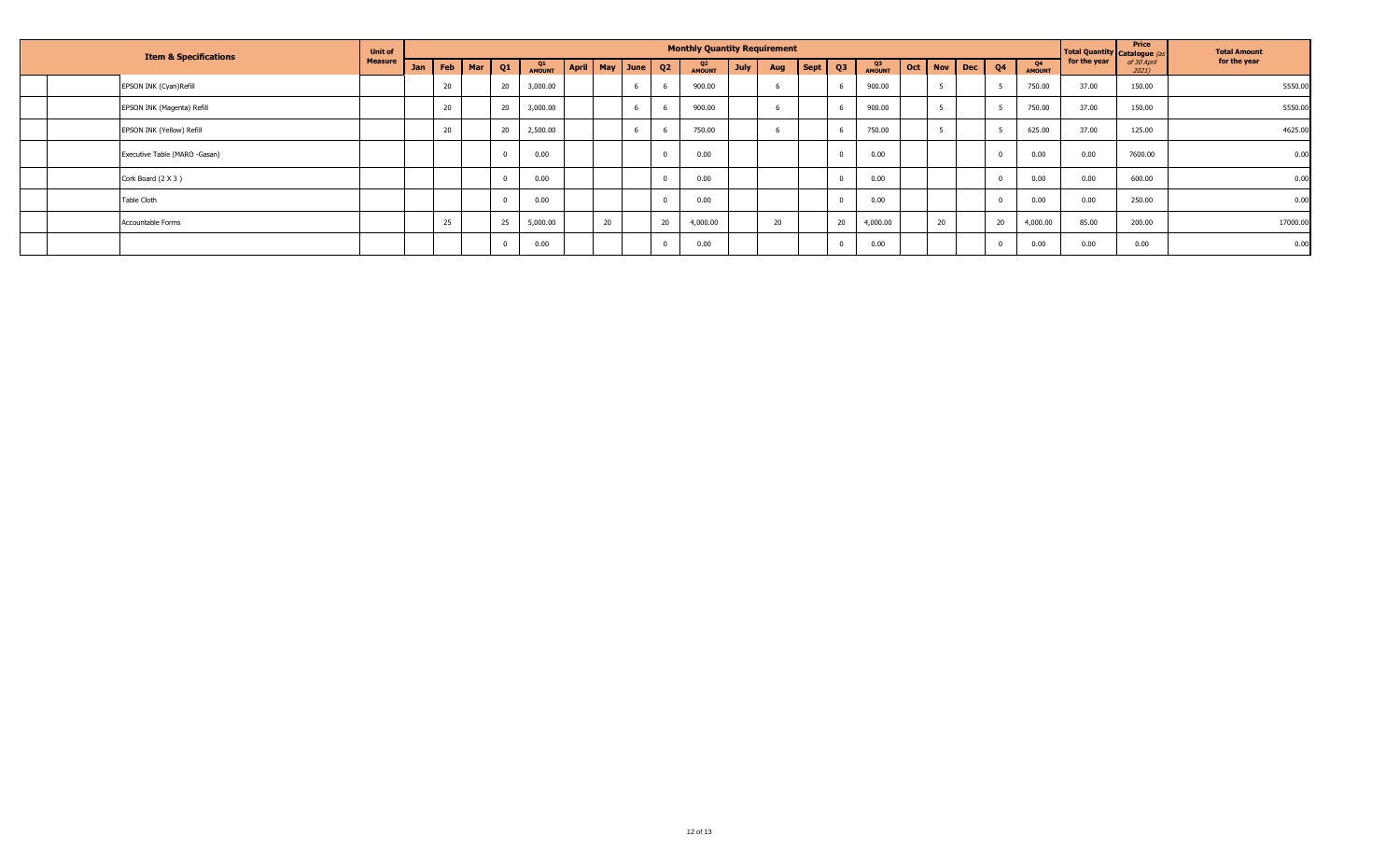| <b>Item &amp; Specifications</b> |                               | <b>Unit of</b> | <b>Monthly Quantity Requirement</b> |     |            |    |              |              |        |  |             |                     |             |     |                              |        |              | Total Quantity Catalogue ( | Price      | <b>Total Amount</b> |                     |              |                      |              |
|----------------------------------|-------------------------------|----------------|-------------------------------------|-----|------------|----|--------------|--------------|--------|--|-------------|---------------------|-------------|-----|------------------------------|--------|--------------|----------------------------|------------|---------------------|---------------------|--------------|----------------------|--------------|
|                                  |                               | <b>Measure</b> | Jan                                 | Feb | <b>Mar</b> | 01 | Q1<br>AMOUNT | <b>April</b> |        |  | May June Q2 | Q2<br><b>AMOUNT</b> | <b>July</b> | Aug | $\text{Sept} \mid \text{Q3}$ |        | Q3<br>AMOUNT | Oct   Nov                  | <b>Dec</b> | Q4                  | Q4<br><b>AMOUNT</b> | for the year | of 30 April<br>2021) | for the year |
|                                  | EPSON INK (Cyan) Refill       |                |                                     | 20  |            | 20 | 3,000.00     |              |        |  |             | 900.00              |             |     |                              |        | 900.00       | п.                         |            |                     | 750.00              | 37.00        | 150.00               | 5550.00      |
|                                  | EPSON INK (Magenta) Refill    |                |                                     | 20  |            | 20 | 3,000.00     |              |        |  |             | 900.00              |             |     |                              |        | 900.00       |                            |            |                     | 750.00              | 37.00        | 150.00               | 5550.00      |
|                                  | EPSON INK (Yellow) Refill     |                |                                     | 20  |            | 20 | 2,500.00     |              |        |  |             | 750.00              |             |     |                              |        | 750.00       |                            |            |                     | 625.00              | 37.00        | 125.00               | 4625.00      |
|                                  | Executive Table (MARO -Gasan) |                |                                     |     |            |    | 0.00         |              |        |  |             | 0.00                |             |     |                              |        | 0.00         |                            |            | $\overline{0}$      | 0.00                | 0.00         | 7600.00              | 0.00         |
|                                  | Cork Board (2 X 3)            |                |                                     |     |            |    | 0.00         |              |        |  |             | 0.00                |             |     |                              |        | 0.00         |                            |            |                     | 0.00                | 0.00         | 600.00               | 0.00         |
|                                  | <b>Table Cloth</b>            |                |                                     |     |            |    | 0.00         |              |        |  |             | 0.00                |             |     |                              |        | 0.00         |                            |            | $\Omega$            | 0.00                | 0.00         | 250.00               | 0.00         |
|                                  | Accountable Forms             |                |                                     | 25  |            | 25 | 5,000.00     |              | $\sim$ |  | 20          | 4,000.00            |             | 20  |                              | $\sim$ | 4,000.00     | 20                         |            | 20                  | 4,000.00            | 85.00        | 200.00               | 17000.00     |
|                                  |                               |                |                                     |     |            |    | 0.00         |              |        |  |             | 0.00                |             |     |                              |        | 0.00         |                            |            | $\Omega$            | 0.00                | 0.00         | 0.00                 | 0.00         |